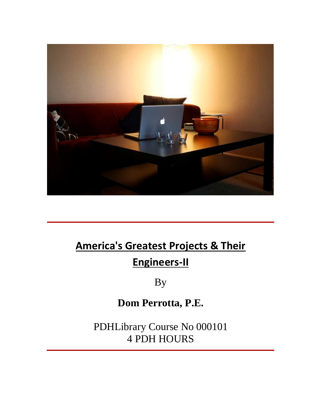

# **Engineers-II**

By

### **Dom Perrotta, P.E.**

PDHLibrary Course No 000101 4 PDH HOURS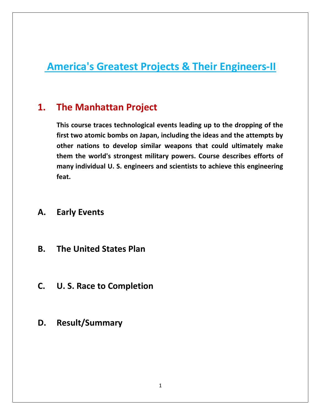# **America's Greatest Projects & Their Engineers-II The Manhattan Projects &<br>The Manhattan Proiect The Manhattan Projects & Their Engineers-II<br>
<b>The Manhattan Project**<br>
This course traces technological events leading up to the dropping of the

#### $1.$ **The Manhattan Project**

**1**<br> **two** atomic bombs on Japan, including the ideas and the attempts by<br> **outh** atomic bombs on Japan, including the ideas and the attempts by **nanktran Project**<br> **Manhattan Project**<br> **Surfer and the dropping of the**<br> **No atomic bombs on Japan, including the ideas and the attempts by<br>
<br>
<b>No atomic bombs on Japan, including the ideas and the attempts by<br>
<b>No atomi Manhattan Project**<br>
burse traces technological events leading up to the dropping of the<br>
wo atomic bombs on Japan, including the ideas and the attempts by<br>
nations to develop similar weapons that could ultimately make<br>
th first two atomic bombs on Japan, including the ideas and the attempts by other nations to develop similar weapons that could ultimately make them the world's strongest military powers. Course describes efforts of many indi **feat.FIFST two atomic bombs of ther nations to develof them the world's strong<br>them the world's strong<br>many individual U. S. en<br>feat.<br>Early Events The United States Plan**

### **C.**

- **Early Events<br>The United States Plan<br>U. S. Race to Completion D.**
- **The United States Plan<br>U. S. Race to Completion<br>Result/Summary**  $\mathsf{C}$ .
- D.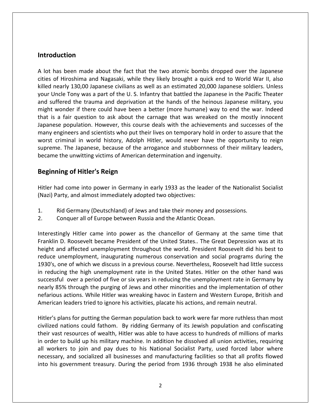#### **Introduction**

**troduction**<br>lot has been made about the fact that the two atomic bombs dropped over the Japanese ondian<br>Allection<br>Thiroshima and Nagasaki, while they likely brought a quick end to World War II, also<br>Allection and Nagasaki, while they likely brought a quick end to World War II, also **duction**<br>has been made about the fact that the two atomic bombs dropped over the Japanese<br>of Hiroshima and Nagasaki, while they likely brought a quick end to World War II, also<br>nearly 130.00 Japanese civilians as well as **Soluction**<br>
has been made about the fact that the two atomic bombs dropped over the Japanese<br>
of Hiroshima and Nagasaki, while they likely brought a quick end to World War II, also<br>
nearly 130,00 Japanese civilians as wel **oduction**<br>
I has been made about the fact that the two atomic bombs dropped over the Japanese<br>
s of Hiroshima and Nagasaki, while they likely brought a quick end to World War II, also<br>
I nearly 130,00 Japanese civilians a as been made about the fact that the two atomic bombs dropped over the Japanese<br>of Hiroshima and Nagasaki, while they likely brought a quick end to World War II, also<br>nearly 130,00 Japanese civilians as well as an estimate A lot has been made about the fact that the two atomic bombs dropped over the Japanese has been made about the fact that the two atomic bombs dropped over the Japanese<br>of Hiroshima and Nagasaki, while they likely brought a quick end to World War II, also<br>nearly 130,00 Japanese civilians as well as an estimat cities of Hiroshima and Nagasaki, while they likely brought a quick end to World War II, also Hiroshima and Nagasaki, while they likely brought a quick end to World War II, also<br>rly 130,00 Japanese civilians as well as an estimated 20,000 Japanese soldiers. Unless<br>e Tony was a part of the U. S. Infantry that battle killed nearly 130,00 Japanese civilians as well as an estimated 20,000 Japanese soldiers. Unless nearly 130,00 Japanese civilians as well as an estimated 20,000 Japanese soldiers. Unless<br>Jncle Tony was a part of the U.S. Infantry that battled the Japanese in the Pacific Theater<br>uffered the trauma and deprivation at th your Uncle Tony was a part of the U.S. Infantry that battled the Japanese in the Pacific Theater ncle Tony was a part of the U. S. Infantry that battled the Japanese in the Pacific Theater<br>ffered the trauma and deprivation at the hands of the heinous Japanese military, you<br>wonder if there could have been a better (mor and suffered the trauma and deprivation at the hands of the heinous Japanese military, you A suffered the trauma and deprivation at the hands of the heinous Japanese military, you might wonder if there could have been a better (more humane) way to end the war. Indeed that is a fair question to ask about the carn might wonder if there could have been a better (more humane) way to en<br>that is a fair question to ask about the carnage that was wreaked on th<br>Japanese population. However, this course deals with the achievements ar<br>many e **of** a matrix section to ask about the pulation. However, this cours ers and scientists who put the nal in world history, Adolph e Japanese, because of the a unwitting victims of American of Hitler's Reign worst criminal in world history, Adolph Hitler, would never have the opportunity to reign criminal in world history, Adolph Hitler, would never have the opportunity to reign<br>me. The Japanese, because of the arrogance and stubbornness of their military leaders,<br>ie the unwitting victims of American determination supreme. The Japanese, because of the arrogance and stubbornness of their military leaders, became the unwitting victims of American determination and ingenuity.<br>Beginning of Hitler's Reign

**Beginning of Hitler's Reign<br>Hitler had come into power in Germany in early 1933 as the leader of the Nationalis:<br>(Nazi) Party, and almost immediately adopted two objectives:<br>1. Rid Germany (Deutschland) of Jews an** Hitler had come into power in Germany in early 1933 as the leader of the Nationalist Socialist me into power in Germany in early 1933 as the leader of the Nationalist Socialist<br>ind almost immediately adopted two objectives:<br>independencellor of Aeronal possessions.<br>Inter all of Europe between Russia and the Atlantic Franklinheight

- Rid Germany (Deutschland) of Jews and take their money and possessions.<br>Conquer all of Europe between Russia and the Atlantic Ocean.  $1.$
- 

rty, and almost immediately adopted two objectives:<br>id Germany (Deutschland) of Jews and take their money and possessions.<br>onquer all of Europe between Russia and the Atlantic Ocean.<br>ngly Hitler came into power as the chan Rid Germany (Deutschland) of Jews and take their money and possessions.<br>
Conquer all of Europe between Russia and the Atlantic Ocean.<br>
The Same time that<br>
The Same time that<br>
The Same time that<br>
The Same time that<br>
The Sam Rid Germany (Deutschland) of Jews and take their money and possessions.<br>
Conquer all of Europe between Russia and the Atlantic Ocean.<br>
ingly Hitler came into power as the chancellor of Germany at the same time that<br>
D. Roo 2. Conquer all of Europe between Russia and the Atlantic Ocean.<br>
Interestingly Hitler came into power as the chancellor of Germany at the same time that<br>
Franklin D. Roosevelt became President of the United States.. The Gr erestingly Hitler came into power as the chancellor of Germany at the same time that<br>inklin D. Roosevelt became President of the United States.. The Great Depression was at its<br>ight and affected unemployment throughout the Interestingly Hitler came into power as the chancellor of Germany at the same time that y Hitler came into power as the chancellor of Germany at the same time that<br>Roosevelt became President of the United States.. The Great Depression was at its<br>affected unemployment throughout the world. President Roosevelt Franklin D. Roosevelt became President of the United States.. The Great Depression was at its 85% through the purging of Jews and other minorities and the implementation of other minorities and affected unemployment throughout the world. President Roosevelt did his best to unemployment, inaugurating numerous conser height and affected unemployment throughout the world. President Roosevelt did his best to d affected unemployment throughout the world. President Roosevelt did his best to employment, inaugurating numerous conservation and social programs during the e of which we discuss in a previous course. Nevertheless, Roos raduce iii reduce unemployment, inaugurating numerous conservation and social programs durin<br>1930's, one of which we discuss in a previous course. Nevertheless, Roosevelt had little su<br>in reducing the high unemployment rate in the Un cing the high unemployment rate in the United States. Hitler on the other hand was<br>ful over a period of five or six years in reducing the unemployment rate in Germany by<br>35% through the purging of Jews and other minorities in reducing the high unemployment rate in the United States. Hitler on the other hand was successful over a period of five or six years in reducing the unemployment rate in Germany by I over a period of five or six years in reducing the unemployment rate in Germany by<br>5% through the purging of Jews and other minorities and the implementation of other<br>5 actions. While Hitler was wreaking havoc in Eastern nearly 85% through the purging of Jews and other minorities and the implementation of other verty 85% through the purging of Jews and other minorities and the implementation of other<br>ious actions. While Hitler was wreaking havoc in Eastern and Western Europe, British and<br>ican leaders tried to ignore his activitie nefarious actions. While Hitler was wreaking havoc in Eastern and Western Europe, British and American leaders tried to ignore his activities, placate his actions, and remain neutral. necessary,

in order to build up his military machine. In addition he dissolved all union activities, requiring Farious actions. While Hitler was wreaking havoc in Eastern and Western Europe, British and<br>nerican leaders tried to ignore his activities, placate his actions, and remain neutral.<br>Iler's plans for putting the German popul erican leaders tried to ignore his activities, placate his actions, and remain neutral.<br>
er's plans for putting the German population back to work were far more ruthless than most<br>
lized nations could fathom. By ridding Ge It is for putting the German population back to work were far more ruthless than most<br>tions could fathom. By ridding Germany of its Jewish population and confiscating<br>esources of wealth, Hitler was able to have access to h Hitler's plans for putting the German population back to work were far more ruthless than most r's plans for putting the German population back to work were far more ruthless than most<br>red nations could fathom. By ridding Germany of its Jewish population and confiscating<br>vast resources of wealth, Hitler was able to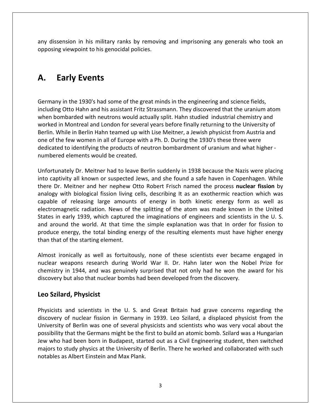dissension in his military ranks by removing and imprisoning any generals who took an viewpoint of the series of the sample of the sample of the sample of the sample of the sample of the sample of th<br>The sample of the sample of the sample of the sample of the sample of the sample of the sample of the sample **Example 18 Example 2011**<br> **Early** Events<br> **Early Events** opposing viewpoint to his genocidal policies.

### A. Early Events

in the 1930's had some of the great minds in the engineering and science fields.<br>in the 1930's had some of the great minds in the engineering and science fields. arly Events<br>
in the 1930's had some of the great minds in the engineering and science fields,<br>
Otto Hahn and his assistant Fritz Strassmann. They discovered that the uranium atom **Early Events**<br>bombards with a some of the great minds in the engineering and science fields,<br>ing Otto Hahn and his assistant Fritz Strassmann. They discovered that the uranium atom<br>bombarded with neutrons would actually s **Early Events**<br>
y in the 1930's had some of the great minds in the engineering and science fields,<br>
g Otto Hahn and his assistant Fritz Strassmann. They discovered that the uranium atom<br>
pombarded with neutrons would actua my in the 1930's had some of the great minds in the engineering and science fields,<br>hg Otto Hahn and his assistant Fritz Strassmann. They discovered that the uranium atom<br>ombarded with neutrons would actually split. Hahn s many in the 1930's had some of the great minds in the engineering and science fields,<br>iding Otto Hahn and his assistant Fritz Strassmann. They discovered that the uranium atom<br>in bombarded with neutrons would actually spli Germany in the 1930's had some of the great minds in the engineering and science fields, Germany in the 1930's had some of the great minds in the engineering and science fields,<br>including Otto Hahn and his assistant Fritz Strassmann. They discovered that the uranium atom<br>when bombarded with neutrons would actu including Otto Hahn and his assistant Fritz S<br>when bombarded with neutrons would actu<br>worked in Montreal and London for several<br>Berlin. While in Berlin Hahn teamed up with<br>one of the few women in all of Europe with<br>dedicat Intreal and London for several years before finally returning to the University of<br>
Dr. Merlin Hahn teamed up with Lise Meitner, a Jewish physicist from Austria and<br>
Women in all of Europe with a Ph. D. During the 1930's t worked in Montreal and London for several years before finally returning to the University of Berlin. While in Berlin Hahn teamed up with Lise Meitner, a Jewish physicist from Austria and n. While in Berlin Hahn teamed up with Lise Meitner, a Jewish physicist from Austria and<br>of the few women in all of Europe with a Ph. D. During the 1930's these three were<br>cated to identifying the products of neutron bomba one of the few women in all of Europe with a Ph. D. During the 1930's these three were If the few women in all of Europe with a Ph. D. During the 1930's these three were<br>ted to identifying the products of neutron bombardment of uranium and what higher-<br>ered elements would be created.<br>Cunately Dr. Meitner had dedicated to identifying the products of neutron bombardment of uranium and what higher numbered elements would be created. electromagnetic

d to identifying the products of neutron bombardment of uranium and what higher -<br>ed elements would be created.<br>ately Dr. Meitner had to leave Berlin suddenly in 1938 because the Nazis were placing<br>ivity all known or suspe d elements would be created.<br>
ately Dr. Meitner had to leave Berlin suddenly in 1938 because the Nazis were placing<br>
ivity all known or suspected Jews, and she found a safe haven in Copenhagen. While<br>
Meitner and her nephe radiation. Neither had to leave Berlin suddenly in 1938 because the Nazis were placing<br>known or suspected Jews, and she found a safe haven in Copenhagen. While<br>r and her nephew Otto Robert Frisch named the process **nuclear** Unfortunately Dr. Meitner had to leave Berlin suddenly in 1938 because the Nazis were placing Unfortunately Dr. Meitner had to leave Berlin suddenly in 1938 because the Nazis were placing<br>into captivity all known or suspected Jews, and she found a safe haven in Copenhagen. While<br>there Dr. Meitner and her nephew Ott captivity all known or suspected Jews, and she found a safe haven in Copenhagen. While<br>
E Dr. Meitner and her nephew Otto Robert Frisch named the process **nuclear fission** by<br>
pgy with biological fission living cells, desc there Dr. Meitner and her nephew Otto Robert Frisch named the process nuclear fission by Meitner and her nephew Otto Robert Frisch named the process **nuclear fission** by<br>with biological fission living cells, describing It as an exothermic reaction which was<br>of releasing large amounts of energy in both kinetic analogy with biological fission living cells, describing It as an exothermic reaction which was analogy with biological fission living<br>capable of releasing large amount:<br>electromagnetic radiation. News of t<br>States in early 1939, which captured<br>and around the world. At that time<br>produce energy, the total binding en<br>th inagnetic radiation. News of the splitting of the atom was made known in the United<br>
i early 1939, which captured the imaginations of engineers and scientists in the U.S.<br>
und the world. At that time the simple explanation electromagnetic radiation. News of the splitting of the atom was made known in the United<br>States in early 1939, which captured the imaginations of engineers and scientists in the U.S. weapons research during World War II. Dr. Hahn later won the Nobel Prize for the Nobel Prize for the starting element.<br>
weapons research during World War II. Dr. Hahn later won the Nobel Prize for the Nobel Prize for the N and around the world. At that time the simple explanation was that In order for fission to d the world. At that time the simple explanation was that In order for fission to<br>nergy, the total binding energy of the resulting elements must have higher energy<br>of the starting element.<br>nically as well as fortuitously, produce energy, the total binding energy of the resulting elements must have higher energy

than that of the starting element.<br>Almost ironically as well as fortuitously, none of these scientists ever became engaged in **Said Shirt (SP)** the total shirt that of the starting elements<br>st ironically as well as for the starting of the starting of the starting<br>istry in 1944, and was ge<br>very but also that nuclear k<br>Szilard. Physicist nuclear weapons research during World War II. Dr. Hahn later won the Nobel Prize for eapons research during World War II. Dr. Hahn later won the Nobel Prize for<br>in 1944, and was genuinely surprised that not only had he won the award for his<br>out also that nuclear bombs had been developed from the discovery. chemistry in 1944, and was genuinely surprised that not only had he won the award for his in 1944, and was genuinely surprised that not only had he won the award for his<br>but also that nuclear bombs had been developed from the discovery.<br> **rd, Physicist**<br>
and scientists in the U. S. and Great Britain had grave c discovery but also that nuclear bombs had been developed from the discovery.

#### Leo Szilard, Physicist

Jew who had been born in Budapest, started out as a Civil Engineering student, then switched out also that nuclear bombs had been developed from the discovery.<br> **d, Physicist**<br>
and scientists in the U. S. and Great Britain had grave concerns regarding the<br>
of nuclear fission in Germany in 1939. Leo Szilard, a disp rd, Physicist<br>and scientists in the U. S. and Great Britain had grave concerns regarding the<br>of nuclear fission in Germany in 1939. Leo Szilard, a displaced physicist from the<br>of Berlin was one of several physicists and sc **Szilard, Physicist**<br>icists and scientists in the U. S. and Great Britain had grave concerns regarding the<br>overy of nuclear fission in Germany in 1939. Leo Szilard, a displaced physicist from the<br>ersity of Berlin was one o ts and scientists in the U. S. and Great Britain had grave concerns regarding the<br>ry of nuclear fission in Germany in 1939. Leo Szilard, a displaced physicist from the<br>ity of Berlin was one of several physicists and scient Physicists and scientists in the U.S. and Great Britain had grave concerns regarding the discovery of nuclear fission in Germany in 1939. Leo Szilard, a displaced physicist from the University of Berlin was one of several physicists and scientists who was very vocal about the possibility that the Germans might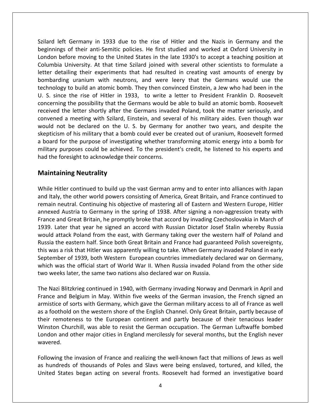left Germany in <sup>1933</sup> due to the rise of Hitler and the Nazis in Germany and the Germany in 1933 due to the rise of Hitler and the Nazis in Germany and the<br>of their anti-Semitic policies. He first studied and worked at Oxford University in eft Germany in 1933 due to the rise of Hitler and the Nazis in Germany and the<br>pgs of their anti-Semitic policies. He first studied and worked at Oxford University in<br>before moving to the United States in the late 1930's t If Germany in 1933 due to the rise of Hitler and the Nazis in Germany and the<br>
So f their anti-Semitic policies. He first studied and worked at Oxford University in<br>
So formulate a University. At that time Szilard joined w left Germany in 1933 due to the rise of Hitler and the Nazis in Germany and the<br>ings of their anti-Semitic policies. He first studied and worked at Oxford University in<br>before moving to the United States in the late 1930's ermany in 1933 due to the rise of Hitler and the Nazis in Germany and the<br>
itheir anti-Semitic policies. He first studied and worked at Oxford University in<br>
e moving to the United States in the late 1930's to accept a tea Szilard left Germany in 1933 due to the rise of Hitler and the Nazis in Germany and the Germany in 1933 due to the rise of Hitler and the Nazis in Germany and the<br>of their anti-Semitic policies. He first studied and worked at Oxford University in<br>ore moving to the United States in the late 1930's to accept a beginnings of their anti-Semitic policies. He first studied and worked at Oxford University in sinnings of their anti-Semitic policies. He first studied and worked at Oxford University in<br>Idon before moving to the United States in the late 1930's to accept a teaching position at<br>Implia University. At that time Szila London before moving to the United States in the late 1930's to accept a teaching position at ore moving to the United States in the late 1930's to accept a teaching position at Iniversity. At that time Szilard joined with several other scientists to formulate a ling their experiments that had resulted in creating Columbia University. At that time Szilard joined with several other scientists to formulate a University. At that time Szilard joined with several other scientists to formulate a<br>tailing their experiments that had resulted in creating vast amounts of energy by<br>ing uranium with neutrons, and were leery that the Germ letter detailing their experiments that had resulted in creating vast amounts of energy by ialing their experiments that had resulted in creating vast amounts of energy by the uranium with neutrons, and were leery that the Germans would use the to build an atomic bomb. They then convinced Einstein, a Jew who had bombarding uranium with neutrons, and were leery that the Germans would use the rding uranium with neutrons, and were leery that the Germans would use the ogy to build an atomic bomb. They then convinced Einstein, a Jew who had been in the ince the rise of Hitler in 1933, to write a letter to Presiden technology to build an atomic bomb. They then convinced Einstein, a Jew who had been in the to build an atomic bomb. They then convinced Einstein, a Jew who had been in the<br>the rise of Hitler in 1933, to write a letter to President Franklin D. Roosevelt<br>the possibility that the Germans would be able to build an a U. S. since the rise of Hitler in 1933, to write a letter to President Franklin D. Roosevelt S. S. since the rise of Hitler in 1933, to write a letter to President Franklin D. Roosevelt<br>oncerning the possibility that the Germans would be able to build an atomic bomb. Roosevelt<br>ceived the letter shortly after the G concerning the possibility that the Germans would be able to build an atomic bomb. Roosevelt ng the possibility that the Germans would be able to build an atomic bomb. Roosevelt<br>the letter shortly after the Germans invaded Poland, took the matter seriously, and<br>d a meeting with Szilard, Einstein, and several of hi received the letter shortly after the Germans invaded Poland, took the matter seriously, and convened a meeting with Szilard, Einstein, and several of his military aides. Even though war would not be declared on the U. S. by Germany for another two years, and despite the skepticism of his military that a bomb coul **Example 18 Startup Scrib**<br>
Peting with Szilard, Eindeclared on the U.<br>
Is military that a bomle<br>
Purpose of investiga<br>
Respective to acknowledge the<br> **Neutrality** a board for the purpose of investigating whether transforming atomic energy into a bomb for d for the purpose of investigating whether transforming atomic energy into a bomb for<br>y purposes could be achieved. To the president's credit, he listened to his experts and<br>e foresight to acknowledge their concerns.<br>**tain** military purposes could be achieved. To the president's credit, he listened to his experts and ary purposes could be achieved. To the president's credit, he listened to his experts and<br>the foresight to acknowledge their concerns.<br>**Intaining Neutrality**<br>le Hitler continued to build up the vast German army and to ente had the foresight to acknowledge their concerns.

#### **Maintaining Neutrality**

foresight to acknowledge their concerns.<br> **aining Neutrality**<br>
litler continued to build up the vast German army and to enter into alliances with Japan<br>
y, the other world powers consisting of America, Great Britain, and F **ning Neutrality**<br>ler continued to build up the vast German army and to enter into alliances with Japan<br>the other world powers consisting of America, Great Britain, and France continued to<br>eutral. Continuing his objective **aining Neutrality**<br>
Hitler continued to build up the vast German army and to enter into alliances with Japan<br>
y, the other world powers consisting of America, Great Britain, and France continued to<br>
neutral. Continuing hi Hitler continued to build up the vast German army and to enter into alliances with Japan<br>Ily, the other world powers consisting of America, Great Britain, and France continued to<br>1 neutral. Continuing his objective of mast While Hitler continued to build up the vast German army and to enter into alliances with Japan Hitler continued to build up the vast German army and to enter into alliances with Japan<br>ly, the other world powers consisting of America, Great Britain, and France continued to<br>neutral. Continuing his objective of masteri and Italy, the other world powers consisting of America, Great Britain, and France continued to and Italy, the other world powers consisting of America, Great Britain, and France continued to<br>remain neutral. Continuing his objective of mastering all of Eastern and Western Europe, Hitler<br>annexed Austria to Germany in ian neutral. Continuing his objective of mastering all of Eastern and Western Europe, Hitler<br>exed Austria to Germany in the spring of 1938. After signing a non-aggression treaty with<br>ce and Great Britain, he promptly broke remain neutral. Continuing his objective of mastering all of Eastern and Western Europe, Hitler annexed Austria to Germany in the spring of 1938. After signing a non-aggression treaty with annexed Austria to Germany in the spring of 1938. After signing a non-aggression treaty with<br>France and Great Britain, he promptly broke that accord by invading Czechoslovakia in March of<br>1939. Later that year he signed an and Great Britain, he promptly broke that accord by invading Czechoslovakia in March of Later that year he signed an accord with Russian Dictator Josef Stalin whereby Russia attack Poland from the east, with Germany taking 1939. Later that year he signed an accord with Russian Dictator Jose<br>would attack Poland from the east, with Germany taking over the wes<br>Russia the eastern half. Since both Great Britain and France had guaran<br>this was a ri ia the eastern half. Since both Great Britain and France had guaranteed Polish sovereignty, was a risk that Hitler was apparently willing to take. When Germany invaded Poland in early ember of 1939, both Western European c Russia the eastern half. Since both Great Britain and France had guaranteed Polish sovereignty, this was a risk that Hitler was apparently willing to take. When Germany invaded Poland in early and Belgium in May. Within five weeks of the Germany invaded Poland in early<br>ber of 1939, both Western European countries immediately declared war on Germany,<br>vas the official start of World War II. When Russia invaded Pol September of 1939, both Western European countries immediately declared war on Germany, of 1939, both Western European countries immediately declared war on Germany,<br>s the official start of World War II. When Russia invaded Poland from the other side<br>s later, the same two nations also declared war on Russia.<br> which was the official start of World War II. When Russia invaded Poland from the other side two weeks later, the same two nations also declared war on Russia.

ich was the official start of World War II. When Russia invaded Poland from the other side<br>o weeks later, the same two nations also declared war on Russia.<br>e Nazi Blitzkrieg continued in 1940, with Germany invading Norway reeks later, the same two nations also declared war on Russia.<br>
azi Blitzkrieg continued in 1940, with Germany invading Norway and Denmark in April and<br>
and Belgium in May. Within five weeks of the German invasion, the Fre Blitzkrieg continued in 1940, with Germany invading Norway and Denmark in April and<br>
And Belgium in May. Within five weeks of the German invasion, the French signed an<br>
of sorts with Germany, which gave the German military The Nazi Blitzkrieg continued in 1940, with Germany invading Norway and Denmark in April and i Blitzkrieg continued in 1940, with Germany invading Norway and Denmark in April and<br>and Belgium in May. Within five weeks of the German invasion, the French signed an<br>e of sorts with Germany, which gave the German milita France and Belgium in May. Within five weeks of the German invasion, the French signed an as a foothold<br>their remoter<br>Winston Chur<br>London and o<br>wavered. old on the western shore of the English Channel. Only Great Britain, partly because of oteness to the European continent and partly because of their tenacious leader hurchill, was able to resist the German occupation. The .<br>th ir remoteness to the European continent and partly because of their tenacious leader<br>nston Churchill, was able to resist the German occupation. The German Luftwaffe bombed<br>ndon and other major cities in England mercilessly Winston Churchill, was able to resist the German occupation. The German Luftwaffe bombed<br>London and other major cities in England mercilessly for several months, but the English never<br>wavered.<br>Following the invasion of Fra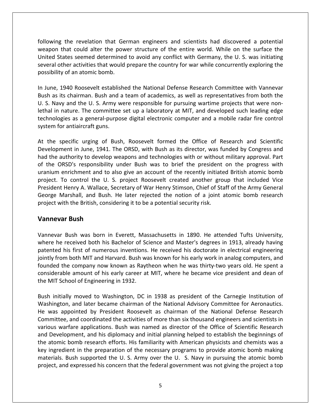the revelation that German engineers and scientists had discovered <sup>a</sup> potential that could alter the power structure of the entire world. While on the surface the In the revelation that German engineers and scientists had discovered a potential<br>I that could alter the power structure of the entire world. While on the surface the<br>States seemed determined to avoid any conflict with Ger If the revelation that German engineers and scientists had discovered a potential<br>
I that could alter the power structure of the entire world. While on the surface the<br>
States seemed determined to avoid any conflict with G the revelation that Ge<br>
hat could alter the pow<br>
tes seemed determined<br>
her activities that would<br>
of an atomic bomb. following the revelation that German engineers and scientists had discovered a potential Iowing the revelation that German engineers and scientists had discovered a potential<br>apon that could alter the power structure of the entire world. While on the surface the<br>ited States seemed determined to avoid any confl ۔<br>۱۸*۱*۵۵۲ on that could alter the power structure of the entire world. While on the surface the<br>d States seemed determined to avoid any conflict with Germany, the U. S. was initiating<br>al other activities that would prepare the count United States seemed determined to avoid any conflict with Germany, the U.S. was initiating ited States seemed determined to avoid any conflict with Germany, the U. S. was initiating<br>veral other activities that would prepare the country for war while concurrently exploring the<br>ssibility of an atomic bomb.<br>June, 1 several other activities that would prepare the country for war while concurrently exploring the possibility of an atomic bomb. system

I other activities that would prepare the country for war while concurrently exploring the<br>ility of an atomic bomb.<br>e, 1940 Roosevelt established the National Defense Research Committee with Vannevar<br>is its chairman. Bush an atomic bomb.<br>
Roosevelt established the National Defense Research Committee with Vannevar<br>
nairman. Bush and a team of academics, as well as representatives from both the<br>
d the U. S. Army were responsible for pursuing In June, 1940 Roosevelt establis<br>Bush as its chairman. Bush and<br>U. S. Navy and the U. S. Army w<br>lethal in nature. The committee<br>technologies as a general-purpo<br>svstem for antiaircraft guns. the specific urging of Bush, Roosevelt formed the Office of Research and Scientific<br>the specific urging wart and a team of academics, as well as representatives from both the<br>i. Navy and the U.S. Army were responsible for U. S. Navy and the U. S. Army were responsible for pursuing wartime projects that were non-I the U. S. Army were responsible for pursuing wartime projects that were non-<br>The committee set up a laboratory at MIT, and developed such leading edge<br>is a general-purpose digital electronic computer and a mobile radar f lethal in nature. The committee set up a laboratory at MIT, and developed such leading edge al in nature. The committee set up a laboratory at MIT, and developed such leading edge<br>nologies as a general-purpose digital electronic computer and a mobile radar fire control<br>em for antiaircraft guns.<br>the specific urgin technologies as a general-purpose digital electronic computer and a mobile radar fire control uran<br>Urani project.

hnologies as a general-purpose digital electronic computer and a mobile radar fire control<br>tem for antiaircraft guns.<br>the specific urging of Bush, Roosevelt formed the Office of Research and Scientific<br>velopment in June, 1 enrichment and to also give an account of the recently initiated British atomic bomb<br>enrichment and to also give an account of the recently initiated by Congress and<br>enrichment and to also give an account of the recently i specific urging of Bush, Roosevelt formed the Office of Research and Scientific<br>ment in June, 1941. The ORSD, with Bush as its director, was funded by Congress and<br>authority to develop weapons and technologies with or with At the specific urging of Bush, Roosevelt formed the Office of Research and Scientific becific urging of Bush, Roosevelt formed the Office of Research and Scientific<br>ent in June, 1941. The ORSD, with Bush as its director, was funded by Congress and<br>uthority to develop weapons and technologies with or without Development in June, 1941. The ORSD, with Bush as its director, was funded by Congress and ment in June, 1941. The ORSD, with Bush as its director, was funded by Congress and authority to develop weapons and technologies with or without military approval. Part DRSD's responsibility under Bush was to brief the pr had the authority to develop weapons and technologies with or without military approval. Part had the authority to develop weapons and technologies with or without of the ORSD's responsibility under Bush was to brief the president uranium enrichment and to also give an account of the recently initiate project. To c D's responsibility<br>**Bushing** is responsibility<br>**Bush** and to a control the U.<br>**Bush** and Bush.<br>**Bush** President Henry A. Wallace, Secretary of War Henry Stimson, Chief of Staff of the Army General<br>George Marshall, and Bush. He later rejected the notion of a joint atomic bomb research<br>project with the British, considering i Marshall, and Bush. He later rejected the notion of a joint atomic bomb research<br>with the British, considering it to be a potential security risk.<br>**Evar Bush Master Bush**<br>war Bush was born in Everett, Massachusetts in 1890 project with the British, considering it to be a potential security risk.

#### **Vannevar Bush**

th the British, considering it to be a potential security risk.<br> **In Bush**<br> **Bush was born in Everett, Massachusetts in 1890. He attended Tufts University,<br>
received both his Bachelor of Science and Master's degrees in 191** From Bush<br>The Rush was born in Everett, Massachusetts in 1890. He attended Tufts University,<br>The received both his Bachelor of Science and Master's degrees in 1913, already having<br>Eventhis first of numerous inventions. He **ar Bush**<br>
Eush was born in Everett, Massachusetts in 1890. He attended Tufts University,<br>
Perceived both his Bachelor of Science and Master's degrees in 1913, already having<br>
his first of numerous inventions. He received sh was born in Everett, Massachusetts in 1890. He attended Tufts University,<br>eived both his Bachelor of Science and Master's degrees in 1913, already having<br>first of numerous inventions. He received his doctorate in electr Vannevar Bush was born in Everett, Massachusetts in 1890. He attended Tufts University, where he received both his Bachelor of Science and Master's degrees in 1913, already having<br>patented his first of numerous inventions. He received his doctorate in electrical engineering<br>jointly from both MIT and Harvard. Initially moved to Washington, DC in 1938 as president of the Carnegie Institution of the Carnegie Institution of this early work in analog computers, and ed the company now known as Raytheon when he was thirty-two years o jointly from both MIT and Harvard. Bush was known for his early work in analog computers, and is jointly from both MIT and Harvard. Bush was known for his early work in analog computers, and<br>founded the company now known as Raytheon when he was thirty-two years old. He spent a<br>considerable amount of his early caree anded the company now known as Raytheon when he was thirty-two years old. He spent a siderable amount of his early career at MIT, where he became vice president and dean of MIT School of Engineering in 1932.<br>A initially mo considerable amount of his early career at MIT, where he became vice president and dean of the MIT School of Engineering in 1932. and

the atomic bomb research efforts. His familiarity with American physicists and chemists was a and coordinated the activities of more than six thousand engineers and scientists in<br>and later became chairman of the National Advisory Committee for Aeronautics.<br>And later became chairman of the National Advisory Committe School of Engineering in 1932.<br>
itially moved to Washington, DC in 1938 as president of the Carnegie Institution of<br>
ston, and later became chairman of the National Advisory Committee for Aeronautics.<br>
appointed by Preside Development of the Carnegie Institution of<br>
hington, and later became chairman of the National Advisory Committee for Aeronautics.<br>
Mas appointed by President Roosevelt as chairman of the National Defense Research<br>
mittee, Bush initially moved to Washington, DC in 1938 as president of the Carnegie Institution of n initially moved to Washington, DC in 1938 as president of the Carnegie Institution of<br>hington, and later became chairman of the National Advisory Committee for Aeronautics.<br>was appointed by President Roosevelt as chairma Washington, and later became chairman of the National Advisory Committee for Aeronautics. hington, and later became chairman of the National Advisory Committee for Aeronautics.<br>
was appointed by President Roosevelt as chairman of the National Defense Research<br>
mittee, and coordinated the activities of more than He was appointed by President Roosevelt as chairman of the National Defense Research pointed by President Roosevelt as chairman of the National Defense Research<br>
e, and coordinated the activities of more than six thousand engineers and scientists in<br>
rrfare applications. Bush was named as director of the O Committee, and coordinated the activities of more than six thousand engineers and scientists in Free, and coordinated the activities of more than six thousand engineers and scientists in warfare applications. Bush was named as director of the Office of Scientific Research elopment, and his diplomacy and initial plann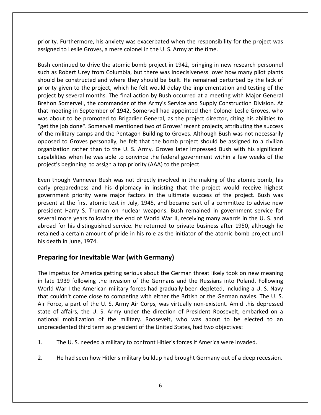Furthermore, his anxiety was exacerbated when the responsibility for the project was priority. Furthermore, his anxiety was exacerbated when the responsibility<br>assigned to Leslie Groves, a mere colonel in the U. S. Army at the time. ty. Furthermore, his anxiety was exacerbated when the responsibility for the project was<br>the atomic bomb project in 1942, bringing in new research personnel<br>continued to drive the atomic bomb project in 1942, bringing in n ty. Furthermore, his anxiety was exacerbated when the responsibility for the project was<br>hed to Leslie Groves, a mere colonel in the U.S. Army at the time.<br>continued to drive the atomic bomb project in 1942, bringing in ne priority. Furthermore, his anxiety was exacerbated when the responsibility for the project was r<br>accione  $\mathbf{B}$ 

Furthermore, his anxiety was exacerbated when the responsibility for the project was<br>d to Leslie Groves, a mere colonel in the U.S. Army at the time.<br>butinued to drive the atomic bomb project in 1942, bringing in new resea Furthermore, his anxiety was exacerbated when the responsibility for the project was<br>I to Leslie Groves, a mere colonel in the U.S. Army at the time.<br>Intinued to drive the atomic bomb project in 1942, bringing in new resea by several months. The final action by Bush occurred at a meeting with Major General<br>by several months. The final action by Bush occurred at a meeting with Major General<br>by several months. The final action by Bush occurred The community of the commission of the Army's Service and Supply Construction Division. At<br>Some constructed and where they should be built. He remained perturbed by the lack of<br>given to the project, which he felt would del Bush continued to drive the atomic bomb project in 1942, bringing in new research personnel continued to drive the atomic bomb project in 1942, bringing in new research personnel<br>as Robert Urey from Columbia, but there was indecisiveness over how many pilot plants<br>ld be constructed and where they should be built. such as Robert Urey from Columbia, but there was indecisiveness over how many pilot plants as Robert Urey from Columbia, but there was indecisiveness over how many pilot plants<br>Id be constructed and where they should be built. He remained perturbed by the lack of<br>ity given to the project, which he felt would del should be constructed and where they should be built. He remained perturbed by the lack of Id be constructed and where they should be built. He remained perturbed by the lack of<br>ity given to the project, which he felt would delay the implementation and testing of the<br>ect by several months. The final action by Bu priority given to the project, which he felt would delay the implementation and testing of the ority given to the project, which he felt would delay the implementation and testing of the bject by several months. The final action by Bush occurred at a meeting with Major General ehon Somervell, the commander of the Ar project by several months. The final action by Bush occurred at a meeting with Major General y several months. The final action by Bush occurred at a meeting with Major General<br>omervell, the commander of the Army's Service and Supply Construction Division. At<br>ting in September of 1942, Somervell had appointed then Brehon Somervell, the commander of the Army's Service and Supply Construction Division. At rivell, the commander of the Army's Service and Supply Construction Division. At<br>in September of 1942, Somervell had appointed then Colonel Leslie Groves, who<br>be promoted to Brigadier General, as the project director, citi that meeting in September of 1942, Somervell had appointed then Colonel Leslie Groves, who g in September of 1942, Somervell had appointed then Colonel Leslie Groves, who<br>co be promoted to Brigadier General, as the project director, citing his abilities to<br>done". Somervell mentioned two of Groves' recent project was about to be promoted to Brigadier General, as the project dir<br>"get the job done". Somervell mentioned two of Groves' recent project<br>of the military camps and the Pentagon Building to Groves. Althoug<br>opposed to Groves p though Vannevar Bush was not directly involved in the making of the atomic bomb, his shared vanish was not necessarily ised to Groves personally, he felt that the bomb project should be assigned to a civilian ization rathe of the military camps and the Pentagon Building to Groves. Although Bush was not necessarily opposed to Groves personally, he felt that the bomb project should be assigned to a civilian ed to Groves personally, he felt that the bomb project should be assigned to a civilian<br>in the U.S. Army. Groves later impressed Bush with his significant<br>ilities when he was able to convince the federal government within organization rather than to the U.S. Army. Groves later impressed Bush with his significant rather than to the U. S. Army. Groves later impressed Bush with his significant<br>when he was able to convince the federal government within a few weeks of the<br>nning to assign a top priority (AAA) to the project.<br>Vannevar Bu capabilities when he was able to convince the federal government within a few weeks of the project's beginning to assign a top priority (AAA) to the project. several

ies when he was able to convince the federal government within a few weeks of the<br>beginning to assign a top priority (AAA) to the project.<br>bugh Vannevar Bush was not directly involved in the making of the atomic bomb, his<br> eginning to assign a top priority (AAA) to the project.<br>
gh Vannevar Bush was not directly involved in the making of the atomic bomb, his<br>
aredness and his diplomacy in insisting that the project would receive highest<br>
nt ough Vannevar Bush was not directly involved in the making of the atomic bomb, his<br>reparedness and his diplomacy in insisting that the project would receive highest<br>nent priority were major factors in the ultimate success Even though Vannevar Bush was not directly involved in the making of the atomic bomb, his ough Vannevar Bush was not directly involved in the making of the atomic bomb, his<br>reparedness and his diplomacy in insisting that the project would receive highest<br>nent priority were major factors in the ultimate success early preparedness and his diplomacy in insisting that the project would receive highest<br>government priority were major factors in the ultimate success of the project. Bush was<br>present at the first atomic test in July, 194 government priority were major factors in the ultimate success of the project. Bush was present at the first atomic test in July, 1945, and became part of a committee to advise new president Harry S. Truman on nuclear weapons. Bush remained in government service for several more years following the end of Wor **for Internal Controller Internal Controller Internal Controller Scheme**<br> **In the first atomic test in July, 1945, and became**<br> **arry S. Truman on nuclear weapons. Bush re**<br> **e years following the end of World War II, rece** abroad for his distinguished service. He returned to private business after 1950, although he impetus for his distinguished service. He returned to private business after 1950, although he<br>ined a certain amount of pride in his role as the initiator of the atomic bomb project until<br>leath in June, 1974.<br>**paring for I** retained a certain amount of pride in his role as the initiator of the atomic bomb project until in a certain amount of pride in his role as the initiator of the atomic bomb project until<br>
death in June, 1974.<br> **eparing for Inevitable War (with Germany)**<br>
e impetus for America getting serious about the German threat l his death in June, 1974.

### state

th in June, 1974.<br> **ring for Inevitable War (with Germany)**<br>
petus for America getting serious about the German threat likely took on new meaning<br>
1939 following the invasion of the Germans and the Russians into Poland. Fo **Preparing for Inevitable War (with Germany)**<br>The impetus for America getting serious about the German threat likely took on new meaning<br>in late 1939 following the invasion of the Germans and the Russians into Poland. Foll **paring for Inevitable War (with Germany)**<br>
impetus for America getting serious about the German threat likely took on new meaning<br>
ate 1939 following the invasion of the Germans and the Russians into Poland. Following<br>
ri of affairs, the U. S. Army under the direction of President Roosevelt, embarked on a<br>the U. S. Army and the U. S. Army forces had gradually been depleted, including a U. S. Navy<br>ouldn't come close to competing with either The impetus for America getting serious about the German threat likely took on new meaning tus for America getting serious about the German threat likely took on new meaning<br>39 following the invasion of the Germans and the Russians into Poland. Following<br>ar I the American military forces had gradually been deple in late 1939 following the invasion of the Germans and the Russians into Poland. Following lowing the invasion of the Germans and the Russians into Poland.<br>
Le American military forces had gradually been depleted, including a<br>
me close to competing with either the British or the German navies<br>
t of the U. S. Arm that couldn't come close to competing with either the British or the German navies. The<br>Air Force, a part of the U. S. Army Air Corps, was virtually non-existent. Amid this depr<br>state of affairs, the U. S. Army under the d Air Force, a part of the U.S. Army Air Corps, was virtually non-existent. Amid this depressed<br>state of affairs, the U.S. Army under the direction of President Roosevelt, embarked on a<br>national mobilization of the military.

- The U.S. needed a military to confront Hitler's forces if America were invaded.
- $2.$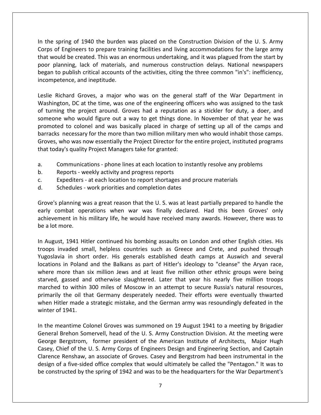the spring of <sup>1940</sup> the burden was placed on the Construction Division of the U. S. Army spring of 1940 the burden was placed on the Construction Division of the U.S. Army<br>of Engineers to prepare training facilities and living accommodations for the large army e spring of 1940 the burden was placed on the Construction Division of the U.S. Army<br>Sof Engineers to prepare training facilities and living accommodations for the large army<br>Would be created. This was an enormous undertak planning, of 1940 the burden was placed on the Construction Division of the U.S. Army<br>of Engineers to prepare training facilities and living accommodations for the large army<br>vould be created. This was an enormous undertak spring of 1940 the burden was placed on the Construction Division of the U. S. Army<br>of Engineers to prepare training facilities and living accommodations for the large army<br>puld be created. This was an enormous undertaking In the spring of 1940 the burden<br>Corps of Engineers to prepare train<br>that would be created. This was an<br>poor planning, lack of materials,<br>began to publish critical accounts c<br>incompetence, and ineptitude. of Engineers to prepare training facilities and living accommodations for the large army<br>buld be created. This was an enormous undertaking, and it was plagued from the start by<br>planning, lack of materials, and numerous con س<br>Hhat would h e created. This was an enormous undertaking, and it was plagued from the start by g, lack of materials, and numerous construction delays. National newspapers lish critical accounts of the activities, citing the three commo poor planning, lack of materials, and numerous construction delays. National newspapers or planning, lack of materials, and numerous construction delays. National newspapers<br>gan to publish critical accounts of the activities, citing the three common "in's": inefficiency,<br>ompetence, and ineptitude.<br>lie Richard began to publish critical accounts of the activities, citing the three common "in's": inefficiency, incompetence, and ineptitude. barracks

bublish critical accounts of the activities, citing the three common "in's": inefficiency,<br>ence, and ineptitude.<br>nard Groves, a major who was on the general staff of the War Department in<br>on, DC at the time, was one of the The colonel and ineptitude.<br>
And Groves, a major who was on the general staff of the War Department in<br>
In, DC at the time, was one of the engineering officers who was assigned to the task<br>
the project around. Groves had a Leslie Richard Groves, a major who was on the general staff of the War Department in<br>Washington, DC at the time, was one of the engineering officers who was assigned to the task<br>of turning the project around. Groves had a ichard Groves, a major who was on the general staff of the War Department in<br>ton, DC at the time, was one of the engineering officers who was assigned to the task<br>ng the project around. Groves had a reputation as a stickle Washington, DC at the time, was one of the engineering of<br>of turning the project around. Groves had a reputation<br>someone who would figure out a way to get things done<br>promoted to colonel and was basically placed in charge<br> of turning the project around. Groves had a reputation as a stickler for duty, a doer, and<br>someone who would figure out a way to get things done. In November of that year he was one who would figure out a way to get things done. In November of that year he was ted to colonel and was basically placed in charge of setting up all of the camps and was necessary for the more than two million military m promoted to colonel and was basically placed in charge obarracks necessary for the more than two million military m<br>Groves, who was now essentially the Project Director for the<br>that today's quality Project Managers take fo barracks necessary for the more than two million military men who would inhabit those camps. Expediters - at each location to report shortages and procure materials<br>
Expeditions - at each location to instantly resolve any problem<br>
Reports - weekly activity and progress reports<br>
Expediters - at each location to rep Groves, who was now essentially the Project Director for the entire project, instituted programs S, who was now essentially the Project Director for the er<br>day's quality Project Managers take for granted:<br>Communications - phone lines at each location to instan<br>Reports - weekly activity and progress reports<br>Expediters

- planning was a great reason that the U. S. was at least partially prepared to handle the<br>planning was a great reason that the U. S. was at least partially prepared to handle the<br>planning was a great reason that the U. S. w a. a. Communications - phone lines at each location to instantly resolve any problems<br>b. Reports - weekly activity and progress reports
- 
- a.<br>b.<br>c.<br>Groub c.
- 

Communications - phone lines at each location to instantly resolve any problems<br>Reports - weekly activity and progress reports<br>Expediters - at each location to report shortages and procure materials<br>Schedules - work priori is - weekly activity and progress reports<br>iters - at each location to report shortages and procure materials<br>ules - work priorities and completion dates<br>ing was a great reason that the U.S. was at least partially prepared Expediters<br>
Schedules -<br>
bye's planning w<br>
ly combat op<br>
ievement in his<br>
a lot more. ove's planning was a great reason that the U.S. was at least partially prepared to handle the<br>rly combat operations when war was finally declared. Had this been Groves' only<br>nievement in his military life, he would have re Grove's planning was a great reason that the U.S. was at least partially prepared to handle the planning was a great reason that the U.S. was at least partially prepared to handle the<br>ombat operations when war was finally declared. Had this been Groves' only<br>ment in his military life, he would have received many awar ya ya Tiri<br>Matu wa in short order. His generals established death camps at Auswich and several<br>in short order. His generals established death camps at Auswich and several<br>in short order. His generals established death camps at Auswich and se achievement in his military life, he would have received many awards. However, there was to starved,

achievement in his military life, he would have received many awards. However, there was to<br>be a lot more.<br>In August, 1941 Hitler continued his bombing assaults on London and other English cities. His<br>troops invaded small, more.<br>
ust, 1941 Hitler continued his bombing assaults on London and other English cities. His<br>
invaded small, helpless countries such as Greece and Crete, and pushed through<br>
via in short order. His generals established d gassed and otherwise slaughtered. Later that year his nearly five million troops and state and the Balkans as part of Hitler's ideology to "cleanse" the Aryan race, ore than six million Jews and at least five million other In August, 1941 Hitler continued his bombing assaults on London and other English cities. His In August, 1941 Hitler continued his bombing assaults on London and other English cities. His<br>troops invaded small, helpless countries such as Greece and Crete, and pushed through<br>Yugoslavia in short order. His generals es In the oil that Germany desperately needed. Their efforts were eventually thwarted with Germany and at least five million other ethnic groups were being assed and otherwise slaughtered. Later that year his nearly five mill Yugoslavia in short order. His generals established death camps at Auswich and several<br>locations in Poland and the Balkans as part of Hitler's ideology to "cleanse" the Aryan race,<br>where more than six million Jews and at l locations in Poland and the Balkans as part of Hitler's ideology to "cleanse" the Aryan race, ns in Poland<br>more than s<br>l, gassed an<br>ed to within<br>ly the oil th<br>litler made a<br>of 1941. <sub>c</sub> Internal and otherwise slaughtered. Later that year his nearly five million troops arched to within 300 miles of Moscow in an attempt to secure Russia's natural resources, marily the oil that Germany desperately needed. Th marched to within 300 miles of Moscow in an attempt to secure Russia's natural resources, It to within 300 miles of Moscow in an attempt to secure Russia's natural resources,<br>
It the oil that Germany desperately needed. Their efforts were eventually thwarted<br>
Itler made a strategic mistake, and the German army primarily the oil that Germany desperately needed. Their efforts were eventually thwarted the oil that Germany desperately needed. Their efforts were eventually thwarted<br>tler made a strategic mistake, and the German army was resoundingly defeated in the<br>f 1941.<br>eantime Colonel Groves was summoned on 19 August 1 when Hitler made a strategic mistake, and the German army was resoundingly defeated in the winter of 1941. design

George Bergstrom, former president of the American Institute of Architects, Major Hugh Fitler made a strategic mistake, and the German army was resoundingly defeated in the<br>of 1941.<br>meantime Colonel Groves was summoned on 19 August 1941 to a meeting by Brigadier<br>I Brehon Somervell, head of the U. S. Army Con 1941.<br>
Rentime Colonel Groves was summoned on 19 August 1941 to a meeting by Brigadier<br>
Renshaw, former president of the American Institute of Architects, Major Hugh<br>
Renshaw, an associate of Groves. Casey and Bergstrom ha meantime Colonel Groves was summoned on 19 August 1941 to a meeting by Brigadier<br>I Brehon Somervell, head of the U.S. Army Construction Division. At the meeting were<br>Bergstrom, former president of the American Institute of In the meantime Colonel Groves was summoned on 19 August 1941 to a meeting by Brigadier<br>General Brehon Somervell, head of the U.S. Army Construction Division. At the meeting were<br>George Bergstrom, former president of the A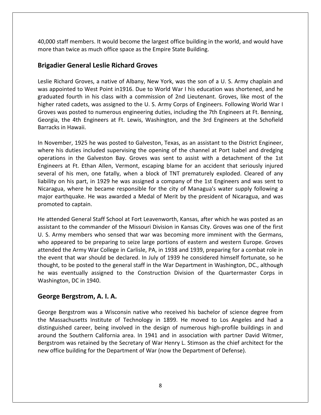staff members. It would become the largest office building in the world, and would have than twice as than twice as the disperted.<br>A than twice as much office space as the Empire State Building.<br>Brigadiera as much office space as the Empire State Building. **Example 1 Set 10 Algency**<br> **General Leslie Richard Groves**<br> **General Leslie Richard Groves** ) staff members. It would become the largest office building in the world, and would have<br>than twice as much office space as the Empire State Building.<br>**dier General Leslie Richard Groves**<br>Richard Groves. a native of Alban 40,000 staff members. It would become the largest office building in the world, and would have 00 staff members. It would become the largest office building in the world, and would have<br>
e than twice as much office space as the Empire State Building.<br> **adier General Leslie Richard Groves**<br>
e Richard Groves, a native more than twice as much office space as the Empire State Building.

#### **Brigadier General Leslie Richard Groves**

Fourtanan State Building.<br> **General Leslie Richard Groves**<br>
And Groves, a native of Albany, New York, was the son of a U. S. Army chaplain and<br>
ted to West Point in 1916. Due to World War I his education was shortened, and **lier General Leslie Richard Groves**<br>Richard Groves, a native of Albany, New York, was the son of a U. S. Army chaplain and<br>pointed to West Point in1916. Due to World War I his education was shortened, and he<br>ted fourth in **Brigadier General Leslie Richard Groves**<br>Leslie Richard Groves, a native of Albany, New York, was the son of a U. S. Army chaplain and<br>was appointed to West Point in 1916. Due to World War I his education was shortened, a hard Groves, a native of Albany, New York, was the son of a U. S. Army chaplain and<br>inted to West Point in1916. Due to World War I his education was shortened, and he<br>d fourth in his class with a commission of 2nd Lieutena Leslie Richard Groves, a native of Albany, New York, was the son of a U.S. Army chaplain and hard Groves, a<br>binted to West<br>d fourth in his<br>ted cadets, was<br>as posted to r<br>the 4th Engin<br>in Hawaii. graduated fourth in his class with a commission of 2nd Lieutenant. Groves, like most of the graduated fourth in his class with a commission of 2nd Lieutenant. Groves, like most of the higher rated cadets, was assigned to the U.S. Army Corps of Engineers. Following World War I Groves was posted to numerous enginee rated cadets, was assigned to the U.S. Army Corps of Engineers. Following World War I<br>was posted to numerous engineering duties, including the 7th Engineers at Ft. Benning,<br>a, the 4th Engineers at Ft. Lewis, Washington, an higher rated cadets, was assigned to the U.S. Army Corps of Engineers. Following World War I<br>Groves was posted to numerous engineering duties, including the 7th Engineers at Ft. Benning, posted to numerous engineering duties, including the 7th Engineers at Ft. Benning,<br>
a 4th Engineers at Ft. Lewis, Washington, and the 3rd Engineers at the Schofield<br>
Hawaii.<br>
I.r., 1925 he was posted to Galveston, Texas, a Georgia, the 4th Engineers at Ft. Lewis, Washington, and the 3rd Engineers at the Schofield Barracks in Hawaii.

The 4th Engineers at Ft. Lewis, Washington, and the 3rd Engineers at the Schofield<br>Hawaii.<br>Jer. 1925 he was posted to Galveston, Texas, as an assistant to the District Engineer,<br>duties included supervising the opening of t of his men, 1925 he was posted to Galveston, Texas, as an assistant to the District Engineer,<br>in the fatally, when a block of the channel at Port Isabel and dredging<br>ons in the Galveston Bay. Groves was sent to assist with mber, 1925 he was posted to Galveston, Texas, as an assistant to the District Engineer,<br>is duties included supervising the opening of the channel at Port Isabel and dredging<br>ons in the Galveston Bay. Groves was sent to ass In November, 1925 he was posted to Galveston, Texas, as an assistant to the District Engineer, er, 1925 he was posted to Galveston, Texas, as an assistant to the District Engineer,<br>Juties included supervising the opening of the channel at Port Isabel and dredging<br>in the Galveston Bay. Groves was sent to assist with where his duties included supervising the opening of the channel at Port Isabel and dredging<br>operations in the Galveston Bay. Groves was sent to assist with a detachment of the 1st<br>Engineers at Ft. Ethan Allen, Vermont, es operations in the Galveston Bay. Groves was sent to assist with a detachment of the 1st operations in the Galves<br>Engineers at Ft. Ethan Al<br>several of his men, one<br>liability on his part, in 19.<br>Nicaragua, where he bec<br>major earthquake. He wa<br>promoted to captain. attended General Staff School at Fort Leavenworth. Kansas, after which he was posted as an<br>attended General Staff School at Fort Leavenworth, Kansas, after which he was posted as an<br>attended General Staff School at Fort Le assistant to the ment, one came, the commander of the company of the 1st Engineers and was sent to Nicaragua, where he became responsible for the city of Managua's water supply following a major earthquake. He was awarded Nicaragua, where he became responsible for the city of Managua's water supply following a Solidary of the perty in 2022 the the designed a company of the 200 Engineers and the two senses Nicaragua, where he became responsible for the city of Managua's water supply following a major earthquake. He was awarded a attendedthe

r earthquake. He was awarded a Medal of Merit by the president of Nicaragua, and was<br>noted to captain.<br>tended General Staff School at Fort Leavenworth, Kansas, after which he was posted as an<br>ant to the commander of the Mi the Army War College in Carlisle, PA, in 1938 and 1939, preparing for a combat role in Army War College in Carlisle, PA, in 1938 and 1939, preparing for a combat role in event to deptement of the Missouri Division in Kansas, after which he was posted as an stant to the commander of the Missouri Division in Kansas City. Groves was one of the first . Army members who sensed that war was beco He attended General Staff School at Fort Leavenworth, Kansas, after which he was posted as an ded General Staff School at Fort Leavenworth, Kansas, after which he was posted as an<br>to the commander of the Missouri Division in Kansas City. Groves was one of the first<br>ny members who sensed that war was becoming more i assistant to the commander of the Missouri Division in Kansas City. Groves was one of the first stant to the commander of the Missouri Division in Kansas City. Groves was one of the first<br>i. Army members who sensed that war was becoming more imminent with the Germans,<br>o appeared to be preparing to seize large portion U. S. Army members who sensed that war was becoming more imminent with the Germans, U. S. Army members who se<br>who appeared to be prepariattended the Army War Colle<br>the event that war should be<br>thought, to be posted to the<br>he was eventually assigned<br>Washington, DC in 1940. **Bergstrom,** *Hermiensens* and sensed as<br>
who appeared to be preparing to set<br>
attended the Army War College in Ca<br>
the event that war should be declar<br>
thought, to be posted to the general<br>
he was eventually assigned to t to be posted to the general staff in the War Department in Washington, DC., although<br>eventually assigned to the Construction Division of the Quartermaster Corps in<br>gton, DC in 1940.<br>**Bergstrom, A. I. A.**<br>Bergstrom was a Wi he was eventually assigned to the Construction Division of the Quartermaster Corps in was eventually assigned to the Construction Division of the Quartermaster Corps in<br>hington, DC in 1940.<br>**The Bergstrom, A. I. A.**<br>The Bergstrom was a Wisconsin native who received his bachelor of science degree from<br>Massac Washington, DC in 1940.

Bergstrom was retained by the Secretary of War Henry L. Stimson as the chief architect for the oc in 1940.<br> **Strom, A. I. A.**<br>
Strom, A. I. A.<br>
Strom was a Wisconsin native who received his bachelor of science degree from<br>
setts Institute of Technology in 1899. He moved to Los Angeles and had a<br>
career, being involv **George Bergstrom, A. I. A.**<br>George Bergstrom was a Wisconsin native who received his bachelor of science degree from<br>the Massachusetts Institute of Technology in 1899. He moved to Los Angeles and had a<br>distinguished caree ergstrom, A. I. A.<br>
rgstrom was a Wisconsin native who received his bachelor of science degree from<br>
chusetts Institute of Technology in 1899. He moved to Los Angeles and had a<br>
ed career, being involved in the design of n ge Bergstrom was a Wisconsin native who received his bachelor of science<br>Massachusetts Institute of Technology in 1899. He moved to Los Angel<br>nguished career, being involved in the design of numerous high-profile bu<br>nd the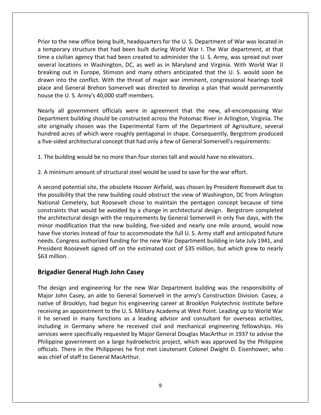to the new office being built, headquarters for the U. S. Department of War was located in tior to the new office being built, headquarters for the U.S. Department of War was located in<br>temporary structure that had been built during World War I. The War department, at that to the new office being built, headquarters for the U. S. Department of War was located in<br>Apporary structure that had been built during World War I. The War department, at that<br>a civilian agency that had been created to a the new office being built, headquarters for the U.S. Department of War was located in<br>prary structure that had been built during World War I. The War department, at that<br>ivilian agency that had been created to administer in the new office being built, headquarters for the U.S. Department of War was located in<br>ary structure that had been built during World War I. The War department, at that<br>ilian agency that had been created to administer t into the new office being built, headquarters for the U.S. Department of War was located in orary structure that had been built during World War I. The War department, at that civilian agency that had been created to admin Prior to the new office being built, headquarters for the U.S. Department of War was located in o the new office being built, headquarters for the U.S. Department of War was located in<br>porary structure that had been built during World War I. The War department, at that<br>civilian agency that had been created to adminis a temporary structure that had been built during World War I. The War department, at that time a civilian agency that had been created to administer the U.S. Army, was spread out over<br>several locations in Washington, DC, as well as in Maryland and Virginia. With World War II locations in Washington, DC, as well as in Maryland and Virginia. With World War II<br>g out in Europe, Stimson and many others anticipated that the U.S. would soon be<br>nto the conflict. With the threat of major war imminent, breaking out in Europe, Stimson and many others anticipated that the U.S. would soon be is in Europe, Stimson and many others anticipated that the U.S. would soon be the conflict. With the threat of major war imminent, congressional hearings took eneral Brehon Somervell was directed to develop a plan that wou drawn into the conflict. With the threat of major war imminent, congressional hearings took originally chosen was the Experimental Farm of the Department of Agriculture, several<br>originally chosen was the Experimental Farm of the U.S. Army's 40,000 staff members.<br>The Experiment officials were in agreement that the place and General Brehon Somervell was directed to develop a plan that would permanently house the U.S. Army's 40,000 staff members.

acres of which were roughly pentagonal in shape. Consequently, and that would permanently<br>acres of which were roughly different in same and the shape. The processing ware entirely different building should be constructed a Five-sided architectural concept that had only a few of General Somervell's requirements:<br>Five-sided architectural conceptions are provided at the some all encompassing Ware<br>partment building should be constructed across t Nearly all government officials were in agreement that the new, all-encompassin<br>Department building should be constructed across the Potomac River in Arlington, Virgin<br>site originally chosen was the Experimental Farm of th Department building should be constructed across the Potomac River in Arlington, Virginia. The site originally chosen was the Experimental Farm of the Department of Agriculture, several hundred acres of which were roughly second architectural concept that had only a few of General Somervell's requirements:<br>The building would be no more than four stories tall and would have no elevators.<br>A minimum amount of structural steel would be used to a five-sided architectural concept that had only a few of General Somervell's requirements:

1. The building would be no more than four stories tall and would have no elevators.  $\overline{\phantom{a}}$ construction  $\overline{\phantom{a}}$ 

2. A minimum amount of structural steel would be used to save for the war effort.

possibility that the new building could be no more than four stories tall and would have no elevators.<br>
minimum amount of structural steel would be used to save for the war effort.<br>
cond potential site, the obsolete Hoover ilding would be no more than four stories tall and would have no elevators.<br>
num amount of structural steel would be used to save for the war effort.<br>
potential site, the obsolete Hoover Airfield, was chosen by President R that would be avoided by <sup>a</sup> change in architectural design. Bergstrom completed minimum amount of structural steel would be used to save for the war effort.<br>
cond potential site, the obsolete Hoover Airfield, was chosen by President Roosevelt due to<br>
possibility that the new building could obstruct th modification that the new building, five-sided and nearly one mile around, would now assibility that the new building could obstruct the view of Washington, DC from Arlington al Cemetery, but Roosevelt chose to maintain th A second potential site, the obsolete Hoover Airfield, was chosen by President Roosevelt due to<br>the possibility that the new building could obstruct the view of Washington, DC from Arlington<br>National Cemetery, but Roosevel the possibility that the new building could obstruct the view of Washington, DC from Arlington Satis is the new building could obstruct the view of Washington, DC from Arlington<br>al Cemetery, but Roosevelt chose to maintain the pentagon concept because of time<br>ints that would be avoided by a change in architectural d National Cemetery, but Roosevelt chose to maintain the pentagon concept because of time Cemetery, but Roosevelt chose to maintain the pentagon concept because of time<br>s that would be avoided by a change in architectural design. Bergstrom completed<br>ectural design with the requirements by General Somervell in o constraints that<br>the architectura<br>minor modificat<br>have five stories<br>needs. Congress<br>President Roose<br>\$63 million. External design with the requirements by dification that the new building, five-side<br>
ories instead of four to accommodate the<br>
gress authorized funding for the new Wa<br>
oosevelt signed off on the estimated contractions<br> **G** needs. Congress authorized funding for the new War Department building in late July 1941, and Is. Congress authorized funding for the new War Department building in late July 1941, and<br>dent Roosevelt signed off on the estimated cost of \$35 million, but which grew to nearly<br>million.<br>**adier General Hugh John Casey**<br>d President Roosevelt signed off on the estimated cost of \$35 million, but which grew to nearly ent Roosevelt signed off on the estimated cost of \$35 million, but which grew to nearly<br>Ilion.<br>**John Ceneral Hugh John Casey**<br>John Casey, an aide to General Somervell in the army's Construction Division. Casey, a<br>John Case \$63 million.

#### **Brigadier General Hugh John Casey** including

Philippine government on a large hydroelectric project, which was approved by the Philippine llion.<br>**Softer General Hugh John Casey**<br>Sign and engineering for the new War Department building was the responsibility of<br>John Casey, an aide to General Somervell in the army's Construction Division. Casey, a<br>of Brooklyn, **and engineering for the new War Department building was the responsibility of** the Casey, an aide to General Somervell in the army's Construction Division. Casey, a Brooklyn, had begun his engineering career at Brooklyn P **Example 15 Example 19 Served in Many Figadier General Hugh John Casey**<br>
Fajor John Casey, an aide to General Somervell in the army's Construction Division. Casey, a<br>
tive of Brooklyn, had begun his engineering career at B in and engineering for the new War Department building was the responsibility of<br>in Casey, an aide to General Somervell in the army's Construction Division. Casey, a<br>Brooklyn, had begun his engineering career at Brooklyn P .<br>The des gn and engineering for the new War Department building was the responsibility of<br>hh Casey, an aide to General Somervell in the army's Construction Division. Casey, a<br>f Brooklyn, had begun his engineering career at Brooklyn Major John Casey, an aide to General Somervell in the army's Construction Division. Casey, a The Casey, an aide to General Somervell in the army's Construction Division. Casey, a<br>Brooklyn, had begun his engineering career at Brooklyn Polytechnic Institute before<br>n appointment to the U.S. Military Academy at West P native of Brooklyn, had begun his engineering career at Brooklyn Polytechnic Institute before There in the Philippines he first met Lieutenant Colonel Dwight D. Eisenhower, who<br>are in the Philippines as a leading advisor and consultant for overseas activities,<br>in Germany where he received civil and mechanical engin receiving an appointment to the U.S. Military Academy at West Point. Leading up to World War Experience, the stages were stated in<br>iving an appointment to the U.S.M<br>is served in many functions as a liding in Germany where he receivices<br>were specifically requested by p<br>ppine government on a large hydre<br>ials. There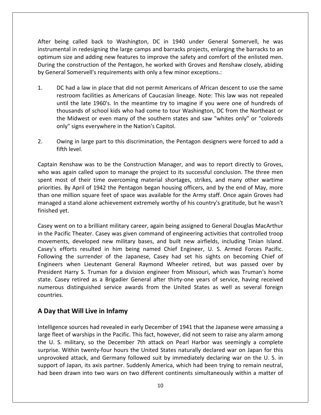being called back to Washington, DC in <sup>1940</sup> under General Somervell, he was in redesigning the large camps and barracks projects, enlarging the barracks to an and barracks projects, enlarging the barracks to an After being called back to Washington, DC in 1940 under General Somervell, he was<br>instrumental in redesigning the large camps and barracks projects, enlarging the barracks to an<br>optimum size and adding new features to impr being called back to Washington, DC in 1940 under General Somervell, he was<br>tental in redesigning the large camps and barracks projects, enlarging the barracks to an<br>m size and adding new features to improve the safety and er being called back to Washington, DC in 1940 under General S<br>trumental in redesigning the large camps and barracks projects, enlarging<br>timum size and adding new features to improve the safety and comfort o<br>ring the const  $\overline{\mathbf{A}}$ being called back to Washington, DC in 1940 under General Somervell, he was<br>mental in redesigning the large camps and barracks projects, enlarging the barracks to an<br>um size and adding new features to improve the safety an instrumental in redesigning the large camps and barracks projects, enlarging the barracks to an edesigning the large camps and barracks projects, enlarging the barracks to an<br>adding new features to improve the safety and comfort of the enlisted mention of the Pentagon, he worked with Groves and Renshaw closely, abidi optimum size and adding new features to improve the safety and comfort of the enlisted men. the and adding new features to improve the safety and comfort of the enlisted men.<br>
Substruction of the Pentagon, he worked with Groves and Renshaw closely, abiding<br>
Domervell's requirements with only a few minor exception During the construction of the Pentagon, he worked with Groves and Renshaw closely, abiding by General Somervell's requirements with only a few minor exceptions.:

- inction of the Pentagon, he worked with Groves and Renshaw closely, abiding<br>vell's requirements with only a few minor exceptions.:<br>we in place that did not permit Americans of African descent to use the same<br>acilities as A Somervell's requirements with only a few minor exceptions.:<br>
and a law in place that did not permit Americans of African descent to use the same<br>
room facilities as Americans of Caucasian lineage. Note: This law was not re Signs 1. DC had a law in place that did not permit American<br>restroom facilities as Americans of Caucasian lines<br>until the late 1960's. In the meantime try to imag<br>thousands of school kids who had come to tour W<br>the Midwest restroom facilities as Americans of Caucasian lineage. Note: This law was not repealed until the late 1960's. In the meantime try to imagine if you were one of hundreds of thousands of school kids who had come to tour Wash restroom facilities as Americans of Caucasian lineage. Note: This law was not repealed until the late 1960's. In the meantime try to imagine if you were one of hundreds of until the late is<br>thousands of s<br>the Midwest c<br>only" signs eve<br>2. Owing in large<br>fifth level. The Midwest or even many of the southern states and saw "whites only" or "coloreds<br>only" signs everywhere in the Nation's Capitol.<br>2. Owing in large part to this discrimination, the Pentagon designers were forced to add a<br>
- only" signs everywhere in the Nation's Capitol.<br>
Owing in large part to this discrimination, the Pentagon designers were forced to add a<br>
fifth level.<br>
ain Renshaw was to be the Construction Manager, and was to report dire 2. Owing in large part to this discrimination, the Pentagon designers were forced to add a

Owing in large part to this discrimination, the Pentagon designers were forced to add a<br>fifth level.<br>The Renshaw was to be the Construction Manager, and was to report directly to Groves,<br>as again called upon to manage the ring in large part to this discrimination, the Pentagon designers were forced to add a<br>h level.<br>enshaw was to be the Construction Manager, and was to report directly to Groves,<br>gaain called upon to manage the project to it fifth level.<br>
in Renshaw was to be the Construction Manager, and was to report directly to Groves,<br>
was again called upon to manage the project to its successful conclusion. The three men<br>
in most of their time overcoming enshaw was to be the Construction Manager, and was to report directly to Groves, again called upon to manage the project to its successful conclusion. The three men st of their time overcoming material shortages, strikes, Captain Renshaw was to be the Construction Manager, and was to report directly to Groves, Captain Renshaw<br>who was again ca<br>spent most of th<br>priorities. By Apri<br>than one million<br>managed a stand<br>finished vet. most of their time overcoming material shortages, strikes, and many other wartime<br>ies. By April of 1942 the Pentagon began housing officers, and by the end of May, more<br>ne million square feet of space was available for the priorities. By April of 1942 the Pentagon began housing officers, and by the end of May, more<br>than one million square feet of space was available for the Army staff. Once again Groves had<br>managed a stand alone achievement than one million square feet of space was available for the Army staff. Once again Groves had Engineers

developed new millionstand of engineering activities that contents had managed a stand alone achievement extremely worthy of his country's gratitude, but he wasn't finished yet.<br>
Casey went on to a brilliant military caree managed a stand alone achievement extremely worthy of his country's gratitude, but he wasn't<br>finished yet.<br>Casey went on to a brilliant military career, again being assigned to General Douglas MacArthur<br>in the Pacific Thea the surrender of the Japanese, Casey had set his sights on becoming Chief of the Surrender. Casey was given command of engineering activities that controlled troop s, developed new military bases, and built new airfields, en to a brilliant military career, again being assigned to General Douglas MacArthur<br>ic Theater. Casey was given command of engineering activities that controlled troop<br>s, developed new military bases, and built new airfie Casey went on to a brilliant military career, again being assigned to General Douglas MacArthur t on to a brilliant military career, again being assigned to General Douglas MacArthur<br>fic Theater. Casey was given command of engineering activities that controlled troop<br>is, developed new military bases, and built new ai in the Pacific Theater. Casey was given command of engineering activities that controlled troop Pacific Theater. Casey was given command of engineering activities that controlled troop<br>nents, developed new military bases, and built new airfields, including Tinian Island.<br>s efforts resulted in him being named Chief En movements, developed new military bases, and built new airfields, including Tinian Island. is, developed new military bases, and built new airfields, including Tinian Island.<br>
orts resulted in him being named Chief Engineer, U. S. Armed Forces Pacific.<br>
The surrender of the Japanese, Casey had set his sights on Casey's efforts resulted in him being named Chief Engineer, U. S. Armed Forces Pacific. Following the surrender of the Japanese, Casey had set his sights on becoming Chief of Engineers when Lieutenant General Raymond Wheeler retired, but was passed over by President Harry S. Truman for a division engineer fro **Day** the surface of the Japanese, gineers when Lieutenant General Raym esident Harry S. Truman for a division ente. Casey retired as a Brigadier General merous distinguished service awards frountries.<br>**Day that Will Live** state. Casey retired as a Brigadier General after thirty-one years of service, having received r retired as a Brigadier General after thirty-one years of service, having received<br>distinguished service awards from the United States as well as several foreign<br>t **Will Live in Infamy**<br>sources had revealed in early Decem numerous distinguished service awards from the United States as well as several foreign Fries.<br> **y that Will Live in Infamy**<br> **y that Will Live in Infamy**<br>
gence sources had revealed in early December of 1941 that the Japanese were amassing a<br>
fleet of warships in the Pacific. This fact, however, did not seem countries.

#### A Day that support

the U.S. military, so the December 7th attack on Pearl Harbor was seemingly a complete itries.<br> **ay that Will Live in Infamy**<br>
Iigence sources had revealed in early December of 1941 that the Japanese were amassing a<br>
Perflect of warships in the Pacific. This fact, however, did not seem to raise any alarm amo **at Will Live in Infamy**<br>ce sources had revealed in early December of 1941 that the Japanese were amassing a<br>t of warships in the Pacific. This fact, however, did not seem to raise any alarm among<br>military, so the December **Will Live in Infamy**<br>
sources had revealed in early December of 1941 that the Japanese were amassing a<br>
warships in the Pacific. This fact, however, did not seem to raise any alarm among<br>
litary, so the December 7th attac Intelligence sources had revealed in early December of 1941 that the Japanese were amassing a<br>large fleet of warships in the Pacific. This fact, however, did not seem to raise any alarm among<br>the U. S. military, so the Dec ligence sources had revealed in early December of 1941 that the Japanese were amassing a<br>
fleet of warships in the Pacific. This fact, however, did not seem to raise any alarm among<br>
U. S. military, so the December 7th att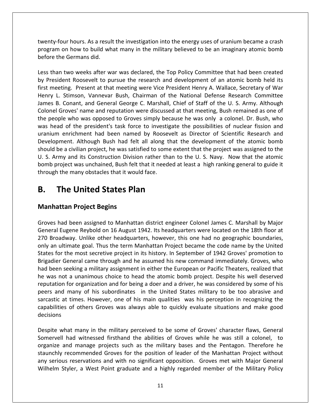hours. As <sup>a</sup> result the investigation into the energy uses of uranium became <sup>a</sup> crash our hours. As a result the investigation into the energy uses of uranium became a crash<br>on how to build what many in the military believed to be an imaginary atomic bomb <u>man and the Comman Comman Comman</u><br>twenty-four hours. As a resul<br>program on how to build wh<br>before the Germans did. ty-four hours. As a result the investigation into the energy uses of uranium became a crash<br>ram on how to build what many in the military believed to be an imaginary atomic bomb<br>re the Germans did.<br>than two weeks after war enty-four hours. As a result the investigation into the energy uses of uranium became a crash<br>gram on how to build what many in the military believed to be an imaginary atomic bomb<br>ore the Germans did.<br>s than two weeks aft .<br>http:/ nty-four hours. As a result the investigation into the energy uses of uranium became a crash<br>ram on how to build what many in the military believed to be an imaginary atomic bomb<br>re the Germans did.<br>than two weeks after wa program on how to build what many in the military believed to be an imaginary atomic bomb before the Germans did.

m on how to build what many in the military believed to be an imaginary atomic bomb<br>the Germans did.<br>an two weeks after war was declared, the Top Policy Committee that had been created<br>sident Roosevelt to pursue the resear the Germans did.<br>
an two weeks after war was declared, the Top Policy Committee that had been created<br>
sident Roosevelt to pursue the research and development of an atomic bomb held its<br>
eeting. Present at that meeting wer n two weeks after war was declared, the Top Policy Committee that had been created<br>dent Roosevelt to pursue the research and development of an atomic bomb held its<br>eting. Present at that meeting were Vice President Henry A Less than two weeks after war was declared, the Top Policy Committee that had been created than two weeks after war was declared, the Top Policy Committee that had been created<br>
President Roosevelt to pursue the research and development of an atomic bomb held its<br>
meeting. Present at that meeting were Vice Presi by President Roosevelt to pursue the research and development of an atomic bomb held its resident Roosevelt to pursue the research and development of an atomic bomb held its<br>meeting. Present at that meeting were Vice President Henry A. Wallace, Secretary of War<br>y L. Stimson, Vannevar Bush, Chairman of the Nati first meeting. Present at that meeting were Vice President Henry A. Wallace, Secretary of War ing. Present at that meeting were Vice President Henry A. Wallace, Secretary of War<br>Stimson, Vannevar Bush, Chairman of the National Defense Research Committee<br>Conant, and General George C. Marshall, Chief of Staff of the Henry L. Stimson, Vannevar Bush, Chairman of the National Defense Research Committee on, Vannevar Bush, Chairman of the National Defense Research Committee<br>
ht, and General George C. Marshall, Chief of Staff of the U. S. Army. Although<br>
I name and reputation were discussed at that meeting, Bush remained as James B. Conant, and General George C. Marshall, Chief of Staff of the U. S. Army. Although B. Conant, and General George C. Marshall, Chief of Staff of the U. S. Army. Although<br>I Groves' name and reputation were discussed at that meeting, Bush remained as one of<br>ople who was opposed to Groves simply because he w Colonel Groves' name and reputation were discussed at that meeting, Bush remained as one of onel Groves' name and reputation were discussed at that meeting, Bush remained as one of<br>
experience who was opposed to Groves simply because he was only a colonel. Dr. Bush, who<br>
s head of the president's task force to in the people who was opposed to Groves simply because he was only a colonel. Dr. Bush, who prople who was opposed to Groves simply because he was only a colonel. Dr. Bush, who ead of the president's task force to investigate the possibilities of nuclear fission and m enrichment had been named by Roosevelt as Dir was head of the president's task force to investigate the possibilities of nuclear fission and the people who was opposed to Groves simply be<br>was head of the president's task force to investi<br>uranium enrichment had been named by Roose<br>Development. Although Bush had felt all along t<br>should be a civilian project, he w Figures Halle and Tepatation Were also<br>sases at apple who was opposed to Groves simply because<br>ad of the president's task force to investigate<br>in enrichment had been named by Roosevelt a<br>been a civilian project, he was sat should be a civilian project, he was satisfied to some extent that the project was assigned to the *FREREFREER Solid its Construction Division Was unchained, Bush felt*<br>Allemay obstacles that it wou<br>**Proiect Begins** through the many obstacles that it would face.

### B.

### **Manhattan Project Begins**

the many obstacles that it would face.<br>**The United States Plan**<br>had been assigned to Manhattan district engineer Colonel James C. Marshall by Major **The United States Plan<br>Itan Project Begins<br>In the Manhattan district engineer Colonel James C. Marshall by Major<br>Eugene Revbold on 16 August 1942. Its headquarters were located on the 18th floor at B. The United States Plan**<br>Manhattan Project Begins<br>Groves had been assigned to Manhattan district engineer Colonel James C. Marshall by Major<br>General Eugene Reybold on 16 August 1942. Its headquarters were located on the **hattan Project Begins**<br>es had been assigned to Manhattan district engineer Colonel James C. Marshall by Major<br>ral Eugene Reybold on 16 August 1942. Its headquarters were located on the 18th floor at<br>Broadway. Unlike other **attan Project Begins**<br>
I had been assigned to Manhattan district engineer Colonel James C. Marshall by Major<br>
Il Eugene Reybold on 16 August 1942. Its headquarters were located on the 18th floor at<br>
Dadway. Unlike other h ad been assigned to Manhattan district engineer Colonel James C. Marshall by Major<br>ugene Reybold on 16 August 1942. Its headquarters were located on the 18th floor at<br>dway. Unlike other headquarters, however, this one had Groves had been assigned to Manhattan district engineer Colonel James C. Marshall by Major res had been assigned to Manhattan district engineer Colonel James C. Marshall by Major<br>eral Eugene Reybold on 16 August 1942. Its headquarters were located on the 18th floor at<br>Broadway. Unlike other headquarters, however General Eugene Reybold on 16 August 1942. Its headquarters were located on the 18th floor at<br>270 Broadway. Unlike other headquarters, however, this one had no geographic boundaries,<br>only an ultimate goal. Thus the term Man 270 Broadway. Unlike other headquarters, however, this one had no geographic boundaries, way. Unlike other headquarters, however, this one had no geographic boundaries, mate goal. Thus the term Manhattan Project became the code name by the United he most secretive project in its history. In September of 1942 G only an ultimate goal. Thus the term Manhattan Project became the code name by the United In ultimate goal. Thus the term Manhattan Project became the code name by the United<br>for the most secretive project in its history. In September of 1942 Groves' promotion to<br>ler General came through and he assumed his new States for the most secretive project in its history. In September of 1942 Groves' promotion to Brigadier General came through and he assumed his new command immediately. Groves, who had been seeking a military assignment Brigadier General came through and he assumed his new command immediately. Groves, who of others Groves was always able to quickly evaluate situations and make good others Groves was always able to quickly evaluate situation and for being a doer and a driver, he was considered by some of his many of his subo had been seeking a military assignment in either the European or Pacific Theaters, realized that he was not a unanimous choice to head the atomic bomb project. Despite his well deserved<br>reputation for organization and for being a doer and a driver, he was considered by some of his on for organization and for being a doer and a driver, he was considered by some of his<br>nd many of his subordinates in the United States military to be too abrasive and<br>at times. However, one of his main qualities was his peers and many of his subordinates in the United States military to be too abrasive and many of his subordinates in the United States military to be too abrasive and<br>t times. However, one of his main qualities was his perception in recognizing the<br>i of others Groves was always able to quickly evaluate situati sarcastic at times. However, one of his main qualities was his perception in recognizing the and times. However, one of his main qualities was his perception in recognizing the<br>es of others Groves was always able to quickly evaluate situations and make good<br>what many in the military perceived to be some of Groves' capabilities of others Groves was always able to quickly evaluate situations and make good decisions Wilhelm

:=<br>. of others Groves was always able to quickly evaluate situations and make good<br>hat many in the military perceived to be some of Groves' character flaws, General<br>had witnessed firsthand the abilities of Groves while he was s sions<br>bite what many in the military perceived to be some of Groves' character flaws, General<br>ervell had witnessed firsthand the abilities of Groves while he was still a colonel, to<br>nize and manage projects such as the mil What many in the military perceived to be some of Groves' character flaws, General<br>
I had witnessed firsthand the abilities of Groves while he was still a colonel, to<br>
and manage projects such as the military bases and the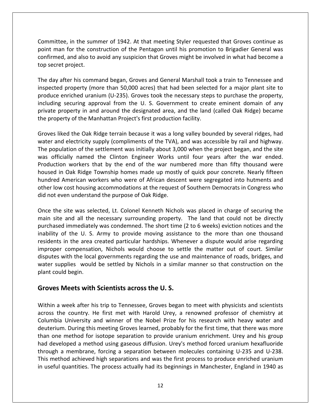in the summer of 1942. At that meeting Styler requested that Groves continue as man for the summer of 1942. At that meeting Styler requested that Groves continue as<br>man for the construction of the Pentagon until his promotion to Brigadier General was and also to avoid any suspice and also to avoid any suspice of the summer of 1942. At that meeting Styler requested that Groves continue as<br>and also to avoid any suspicion that Groves might be involved in what had become a Committee, in the sum<br>point man for the con<br>confirmed, and also to<br>top secret project. mittee, in the summer of 1942. At that meeting Styler requested that Groves continue as<br>t man for the construction of the Pentagon until his promotion to Brigadier General was<br>irmed, and also to avoid any suspicion that Gr Committe e, in the summer of 1942. At that meeting Styler requested that Groves continue as<br>for the construction of the Pentagon until his promotion to Brigadier General was<br>, and also to avoid any suspicion that Groves might be in point man for the construction of the Pentagon until his promotion to Brigadier General was In for the construction of the Pentagon until his promotion to Brigadier General was<br>d, and also to avoid any suspicion that Groves might be involved in what had become a<br>it project.<br>after his command began, Groves and Gen confirmed, and also to avoid any suspicion that Groves might be involved in what had become a top secret project. the

securing approval from the U. S. Government to create eminent domain of any securing approval from the U. S. Government to create eminent domain of any securing approval from the U. S. Government to create eminent domain et project.<br>
after his command began, Groves and General Marshall took a train to Tennessee and<br>
ed property (more than 50,000 acres) that had been selected for a major plant site to<br>
enriched uranium (U-235). Groves took The day after his command began, Groves and General Marshall took a train to Tennessee and inspected property (more than 50,000 acres) that had been selected for a major plant site to produce enriched uranium (U-235). Grov ed property (more than 50,000 acres) that had been selected for a major plant site to<br>
e enriched uranium (U-235). Groves took the necessary steps to purchase the property,<br>
g securing approval from the U. S. Government to produce enriched uranium (U-235). Groves took the necessary steps to purchase the property, produce enriched uranium (U-235). Groves took the necessary steps to purchase the property,<br>including securing approval from the U. S. Government to create eminent domain of any<br>private property in and around the designate population of the settlement was initially about 3,000 when the project began, and the site<br>property of the Manhattan Project's first production facility.<br>Socially about 3,000 when the project began, and the site<br>property private property in and around the designated area, and the land (called Oak Ridge) became housed

private property in and around the designated area, and the land (called Oak Ridge) became<br>the property of the Manhattan Project's first production facility.<br>Groves liked the Oak Ridge terrain because it was a long valley workers that by the end of the war numbered more than fifty thousand were<br>workers that by tempty (compliments of the TVA), and was accessible by rail and highway.<br>Ion of the settlement was initially about 3,000 when the pr iked the Oak Ridge terrain because it was a long valley bounded by several ridges, had<br>and electricity supply (compliments of the TVA), and was accessible by rail and highway.<br>ulation of the settlement was initially about Groves liked the Oak Ridge terrain because it was a long valley bounded by several ridges, had Red the Oak Ridge terrain because it was a long valley bounded by several ridges, had<br>d electricity supply (compliments of the TVA), and was accessible by rail and highway.<br>lation of the settlement was initially about 3,00 water and electricity supply (compliments of the TVA), and was accessible by rail and highway. and electricity supply (compliments of the TVA), and was accessible by rail and highway.<br>
opulation of the settlement was initially about 3,000 when the project began, and the site<br>
officially named the Clinton Engineer Wo The population of the settlement was initially about 3,000 when the project began, and the site was officially named the Clinton Engineer Works until four years after the war ended.<br>Production workers that by the end of the war numbered more than fifty thousand were tion workers that by the end of the war numbered more than fifty thousand were<br>d in Oak Ridge Township homes made up mostly of quick pour concrete. Nearly fifteen<br>ed American workers who were of African descent were segreg housed in Oak Ridge Township homes made up mostly of quick pour concrete. Nearly fifteen d in Oak Ridge Township homes made up mostly of quick pour concrete. Nearly fifteen<br>ed American workers who were of African descent were segregated into hutments and<br>low cost housing accommodations at the request of Southe hundred American workers who were of African descent were segregated into hutments and merican workers who were of African descent were segregated into hutments and<br>ost housing accommodations at the request of Southern Democrats in Congress who<br>n understand the purpose of Oak Ridge.<br>ite was selected, Lt. Col other low cost housing accommodations at the request of Southern Democrats in Congress who did not even understand the purpose of Oak Ridge. improper

of the U. S. Army to provide moving assistance to the more than one thousand<br>of the U. S. Army to provide moving assistance to the more than one thousand<br>of the U. S. Army to provide moving assistance to the more than one en understand the purpose of Oak Ridge.<br>
site was selected, Lt. Colonel Kenneth Nichols was placed in charge of securing the<br>
and all the necessary surrounding property. The land that could not be directly<br>
immediately was site was selected, Lt. Colonel Kenneth Nichols was placed in charge of securing the<br>and all the necessary surrounding property. The land that could not be directly<br>immediately was condemned. The short time (2 to 6 weeks) e Once the site was selected, Lt. Colonel Kenneth Nichols was placed in charge of securing the extistive was selected, Lt. Colonel Kenneth Nichols was placed in charge of securing the<br>
exaint all the necessary surrounding property. The land that could not be directly<br>
dimmediately was condemned. The short time (2 to main site and all the necessary surrounding property. The land that could not be directly ite and all the necessary surrounding property. The land that could not be directly sed immediately was condemned. The short time (2 to 6 weeks) eviction notices and the y of the U. S. Army to provide moving assistance to purchased immediately was condemned. The short time (2 to 6 weeks) eviction notices and the inability of the U.S. Army to provide moving assistance to the more than one thousand residents in the area created particular hardships. Whenever a dispute would arise regarding improper compensation, Nichols would choose Inability of the U. S. Army to provide moving assistancesidents in the area created particular hardships. When<br>
improper compensation, Nichols would choose to settle<br>
disputes with the local governments regarding the use a s with the local governments regarding the use and maintenance of roads, bridges, and<br>supplies would be settled by Nichols in a similar manner so that construction on the<br>puld begin.<br>**S Meets with Scientists across the U.S** water supplies would be settled by Nichols in a similar manner so that construction on the the country. He settled by Nichols in a similar manner so that construction on the<br>buld begin.<br>**S Meets with Scientists across the U.S.**<br>a week after his trip to Tennessee, Groves began to meet with physicists and scientis plant could begin.

#### Groves Meets with Scientists across the U.S.

than one method for isotope separation to provide uranium enrichment. Urey and his group had developed a method using gaseous diffusion. Urey's method forced uranium hexafluoride d begin.<br>**Meets with Scientists across the U.S.**<br>Veek after his trip to Tennessee, Groves began to meet with physicists and scientists<br>Country. He first met with Harold Urey, a renowned professor of chemistry at<br>University **Execute Solution Scientists across the U.S.**<br>During the sek after his trip to Tennessee, Groves began to meet with physicists and scientists<br>country. He first met with Harold Urey, a renowned professor of chemistry at<br>Ini **res Meets with Scientists across the U.S.**<br>
In a week after his trip to Tennessee, Groves began to meet with physicists and scientists<br>
s the country. He first met with Harold Urey, a renowned professor of chemistry at<br>
I in a week after his trip to Tennessee, Groves began to meet with physicists and scientists<br>ss the country. He first met with Harold Urey, a renowned professor of chemistry at<br>mbia University and winner of the Nobel Prize f Within a week after his trip to Tennessee, Groves began to meet with physicists and scientists Within a week after his trip to Tennessee, Groves began to meet with physicists and scientists<br>across the country. He first met with Harold Urey, a renowned professor of chemistry at<br>Columbia University and winner of the N ss the country. He first met with Harold Urey, a renowned professor of chemistry at<br>mbia University and winner of the Nobel Prize for his research with heavy water and<br>erium. During this meeting Groves learned, probably fo across the country. He first met with Harold Urey, a renowned professor of chemistry at Columbia University and winner of the Nobel Prize for his research with heavy water and lumbia University and winner of the Nobel Prize for his research with heavy water and<br>uterium. During this meeting Groves learned, probably for the first time, that there was more<br>an one method for isotope separation to pr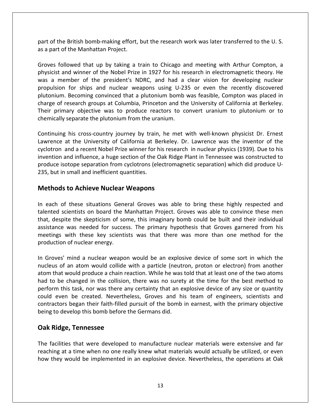$\blacksquare$ <br>
start of the British bomb-making effort, but the research work was later transferred to the U.S. part of the British bomb-making effort,<br>as a part of the Manhattan Project. Followed that up by taking a train to Chicago and meeting with Arthur Compton, and that up by taking a train to Chicago and meeting with Arthur Compton, and inder British bomb-making effort, but the research work was later transferred to the U.S.<br>of the Manhattan Project.<br>pllowed that up by taking a train to Chicago and meeting with Arthur Compton, a<br>and winner of the Nobel Pr part of the British bomb-making effort, but the research work was later transferred to the U.S. as a part of the Manhattan Project. charge

of the British bomb-making effort, but the research work was later transferred to the U.S.<br>Dart of the Manhattan Project.<br>The rest followed that up by taking a train to Chicago and meeting with Arthur Compton, a<br>cist and w British bomb-making effort, but the research work was later transferred to the U.S.<br>the Manhattan Project.<br>wwed that up by taking a train to Chicago and meeting with Arthur Compton, a<br>d winner of the Nobel Prize in 1927 fo the Manhattan Project.<br>
bwed that up by taking a train to Chicago and meeting with Arthur Compton, a<br>
d winner of the Nobel Prize in 1927 for his research in electromagnetic theory. He<br>
ther of the president's NDRC, and ha Groves followed that up by taking a train to Chicago and meeting with Arthur Compton, a<br>physicist and winner of the Nobel Prize in 1927 for his research in electromagnetic theory. He<br>was a member of the president's NDRC, a is followed that up by taking a train to Chicago and meeting with Arthur Compton, a<br>ist and winner of the Nobel Prize in 1927 for his research in electromagnetic theory. He<br>member of the president's NDRC, and had a clear v Groves followed that up by taking a train to Chicago and meeting with Arthur Compton, a physicist and winner of the Nobel Prize in 1927 for his research in electromagnetic theory. He physicist and winner of the Nobel Prize in 1927 for his re<br>was a member of the president's NDRC, and had a<br>propulsion for ships and nuclear weapons using U-23<br>plutonium. Becoming convinced that a plutonium bomb<br>charge of r for ships and nuclear weapons using U-235 or even the recently discovered<br>Becoming convinced that a plutonium bomb was feasible, Compton was placed in<br>search groups at Columbia, Princeton and the University of California a propulsion for ships and nuclear weapons using U-235 or even the recently discovered plutonium. Becoming convinced that a plutonium bomb was feasible, Compton was placed in Becoming convinced that a plutonium bomb was feasible, Compton was placed in<br>research groups at Columbia, Princeton and the University of California at Berkeley.<br>nary objective was to produce reactors to convert uranium to charge of research groups at Columbia, Princeton and the University of California at Berkeley. research groups at Columbia, Princeton and the University of California at Berkeley.<br>
hary objective was to produce reactors to convert uranium to plutonium or to<br>
separate the plutonium from the uranium.<br>
It his cross-cou Their primary objective was to produce reactors to convert uranium to plutonium or to chemically separate the plutonium from the uranium.

mary objective was to produce reactors to convert uranium to plutonium or to<br>v separate the plutonium from the uranium.<br>g his cross-country journey by train, he met with well-known physicist Dr. Ernest<br>at the University of chemically separate the plutonium from the uranium.<br>
Continuing his cross-country journey by train, he met with well-known physicist Dr. Ernest<br>
Lawrence at the University of California at Berkeley. Dr. Lawrence was the in Continuing his cross-country journey by train<br>Lawrence at the University of California at B<br>cyclotron and a recent Nobel Prize winner for l<br>invention and influence, a huge section of the (<br>produce isotope separation from c his cross-country journey by train, he m<br>at the University of California at Berkeley<br>and a recent Nobel Prize winner for his rese<br>and influence, a huge section of the Oak Rid<br>tope separation from cyclotrons (electrom<br>small in ention and influence, a huge section of the Oak Ridge Plant in Tennessee was constructed to<br>oduce isotope separation from cyclotrons (electromagnetic separation) which did produce U-<br>5, but in small and inefficient quantit produce isotope separation from cyclotrons (electromagnetic separation) which did produce Usotope separation from cyclotrons (electromagnetic separation) which did produce U-<br>
In small and inefficient quantities.<br>
Is **to Achieve Nuclear Weapons**<br>
of these situations General Groves was able to bring these highly 235, but in small and inefficient quantities.

#### **Methods to Achieve Nuclear Weapons**

out in small and inefficient quantities.<br> **nods to Achieve Nuclear Weapons**<br>
ch of these situations General Groves was able to bring these highly respected and<br>
red scientists on board the Manhattan Project. Groves was abl **to Achieve Nuclear Weapons**<br>these situations General Groves was able to bring these highly respected and<br>ientists on board the Manhattan Project. Groves was able to convince these men<br>te the skepticism of some, this imagi **to Achieve Nuclear Weapons**<br>f these situations General Groves was able to bring these highly respected and<br>cientists on board the Manhattan Project. Groves was able to convince these men<br>ite the skepticism of some, this i In each of these situations General Groves was able to bring these highly respected and talented scientists on board the Manhattan Project. Groves was able to convince these men ented scientists on board the Manhattan Project. Groves was able to convince these men<br>it, despite the skepticism of some, this imaginary bomb could be built and their individual<br>istance was needed for success. The primary that, despite the skepticism of some, this imaginary bomb could be built and their individual spite the skepticism of some, this imaginary bomb could be built and their individual<br>the was needed for success. The primary hypothesis that Groves garnered from his<br>s with these key scientists was that there was more tha assistance was needed for success. The primary hypothesis that Groves garnered from his ance was needed for success. The primary hypothesis that Groves garnered from his<br>ngs with these key scientists was that there was more than one method for the<br>ction of nuclear energy.<br>by the two atoms of an atom would col meetings with these key scientists was that there was more than one method for the production of nuclear energy. could

tings with these key scientists was that there was more than one method for the<br>uction of nuclear energy.<br>roves' mind a nuclear weapon would be an explosive device of some sort in which the<br>eus of an atom would collide wit there are any significant weapon would be an explosive device of some sort in which the<br>of an atom would collide with a particle (neutron, proton or electron) from another<br>t would produce a chain reaction. While he was tol bes' mind a nuclear weapon would be an explosive device of some sort in which the<br>s of an atom would collide with a particle (neutron, proton or electron) from another<br>hat would produce a chain reaction. While he was told In Groves' mind a nuclear weapon would be an explosive device of some sort in which the mind a nuclear weapon would be an explosive device of some sort in which the<br>the matom would collide with a particle (neutron, proton or electron) from another<br>ould produce a chain reaction. While he was told that at least nucleus of an atom would collide with a particle (neutron, proton or electron) from another atom that would produce a chain reaction. While he was told that at least one of the two atoms<br>had to be changed in the collision, there was no surety at the time for the best method to<br>perform this task, nor was there any **Ridge, Tennessee**<br> **Ridge, Tennessee**<br> **Ridge, Tennessee**<br> **Ridge, Tennessee**<br> **Ridge, Tennessee** could even be created. Nevertheless, Groves and his team of engineers, scientists and Facilities that were developed to manufacture nuclear materials were extensive and fare facilities that were developed to manufacture nuclear materials were extensive and fare facilities that were developed to manufacture contractors began their faith-filled pursuit of the bomb in earnest, with the primary objective inty began their faith-filled pursuit of the bomb in earnest, with the primary objective<br>develop this bomb before the Germans did.<br>**ge, Tennessee**<br>ties that were developed to manufacture nuclear materials were extensive an being to develop this bomb before the Germans did.

The facilities that were developed to manufacture nuclear materials were extensive and far **Oak Ridge, Tennessee**<br>The facilities that were developed to manufacture nuclear materials were extensive and far<br>reaching at a time when no one really knew what materials would actually be utilized, or even<br>how they would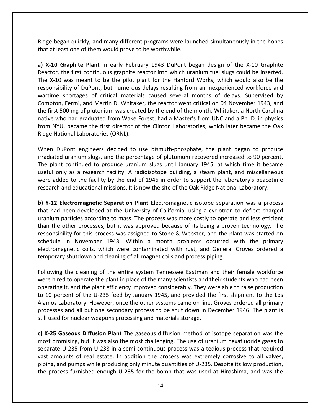began quickly, and many different programs were launched simultaneously in the hopes at least one of the match of the<br>Aidge began quickly, and many different programs were lau<br>**That at least one of them would prove to** be worthwhile. **EXECTS ADDE SERVE THE SERVE THE SERVE THE SERVE CORRECTS**<br> **X-10 Graphite** Plant In early February 1943 DuPont began design of the X-10 Graphite<br> **X-10 Graphite** Plant In early February 1943 DuPont began design of the X Ridge began quickly, and many different programs were launched simultaneously in the hopes<br>that at least one of them would prove to be worthwhile.<br>**a) X-10 Graphite Plant** In early February 1943 DuPont began design of the Ridge began quickly, and many different programs were launched simultaneously in the hopes that at least one of them would prove to be worthwhile. Compton,

e began quickly, and many different programs were launched simultaneously in the hopes<br>at least one of them would prove to be worthwhile.<br>10 Graphite Plant In early February 1943 DuPont began design of the X-10 Graphite<br>to quickly, and many different programs were launched simultaneously in the hopes<br>ne of them would prove to be worthwhile.<br>hite Plant In early February 1943 DuPont began design of the X-10 Graphite<br>irst continuous graphite re Shortages of critical materials caused several months of delays. Supervised by shortages of critical materials caused several months of delays. Supervised by shortages of critical materials caused several months of delays. **Examplite Plant** In early February 1943 DuPont began design of the X-10 Graphite<br>ne first continuous graphite reactor into which uranium fuel slugs could be inserted.<br>was meant to be the pilot plant for the Hanford Works, a) X-10 Graphite Plant In early February 1943 DuPont began design of the X-10 Graphite **4-10 Graphite Plant** In early February 1943 DuPont began design of the X-10 Graphite<br>ctor, the first continuous graphite reactor into which uranium fuel slugs could be inserted.<br>X-10 was meant to be the pilot plant for th Reactor, the first continuous graphite reactor into which uranium fuel slugs could be inserted. r, the first continuous graphite reactor into which uranium fuel slugs could be inserted.<br>10 was meant to be the pilot plant for the Hanford Works, which would also be the<br>sibility of DuPont, but numerous delays resulting The X-10 was meant to be the pilot plant for the Hanford Works, which would also be the (-10 was meant to be the pilot plant for the Hanford Works, which would also be the nsibility of DuPont, but numerous delays resulting from an inexperienced workforce and me shortages of critical materials caused several m responsibility of DuPont, but numerous<br>wartime shortages of critical material<br>Compton, Fermi, and Martin D. Whitake<br>the first 500 mg of plutonium was create<br>native who had graduated from Wake F<br>from NYU, became the first d buther pontify and Martin D. Whitaker, the reactor went critical on 04 November 1943, and<br>t 500 mg of plutonium was created by the end of the month. Whitaker, a North Carolina<br>who had graduated from Wake Forest, had a Mast Compton, Fermi, and Martin D. Whitaker, the reactor went critical on 04 November 1943, and the first 500 mg of plutonium was created by the end of the month. Whitaker, a North Carolina the first 500 mg of plutonium was created by the end of the month. Whitaker, a North Carolina<br>native who had graduated from Wake Forest, had a Master's from UNC and a Ph. D. in physics<br>from NYU, became the first director o plant continued to produce uranium slugs until January 1945, at which time it became<br>
plant continued to produce uranium slugs until January 1945, at which time it became<br>
plant continued to produce uranium slugs until Jan native who had graduated from Wake Forest, had a Master's from UNC and a Ph. D. in physics from NYU, became the first director of the Clinton Laboratories, which later became the Oak Ridge National Laboratories (ORNL). research<br>Freising

PU, became the first director of the Clinton Laboratories, which later became the Oak<br>Vational Laboratories (ORNL).<br>DuPont engineers decided to use bismuth-phosphate, the plant began to produce<br>ed uranium slugs, and the pe National Laboratories (ORNL).<br>
DuPont engineers decided to use bismuth-phosphate, the plant began to produce<br>
ated uranium slugs, and the percentage of plutonium recovered increased to 90 percent.<br>
lant continued to produc When DuPont engineers decided to use bismuth-phosphate, the plant began to produce irradiated uranium slugs, and the percentage of plutonium recovered increased to 90 percent. **Y-12 Electromagnetic Separation** Plant Electromagnetic isotope separation was a process of P142 **Electromagnetic Separation** Plant Electromagnetic isotope separation was a process **P142 P142 Electromagnetic Se** The plant continued to produce uranium slugs until January 1945, at which time it became plant continued to produce uranium slugs until January 1945, at which time it became<br>all only as a research facility. A radioisotope building, a steam plant, and miscellaneous<br>added to the facility by the end of 1946 in or useful only as a research facility. A radioisotope building, a steam plant, and miscellaneous particles according to mass. The process was more costly to operate and less efficient<br>particles according to mass. The process was more costly to provide the aboratory's peacetime<br>and educational missions. It is now the s were added to the facility by the end of 1946 in order to support the laboratory's peacetime research and educational missions. It is now the site of the Oak Ridge National Laboratory.

added to the facility by the end of 1946 in order to support the laboratory's peacetime<br>rch and educational missions. It is now the site of the Oak Ridge National Laboratory.<br>12 Electromagnetic Separation Plant Electromagn educational missions. It is now the site of the Oak Ridge National Laboratory.<br> **Commagnetic Separation Plant** Electromagnetic isotope separation was a process<br>
a developed at the University of California, using a cyclotro **Example 1943.** Within a month problems occurred with the primary in November 1943. Within a month problems occurred with the provement processes, but it was approved because of its being a proven technology. The ity for t b) Y-12 Electromagnetic Separation Plant Electromagnetic isotope separation was a process **agnetic Separation Plant** Electromagnetic isotope separation was a process<br>eveloped at the University of California, using a cyclotron to deflect charged<br>according to mass. The process was more costly to operate and less That had been developed at the University of California, using a cyclotron in uranium particles according to mass. The process was more costly to operate than the other processes, but it was approved because of its being a ther processes, but it was approved because of its being a proven technology. The lity for this process was assigned to Stone & Webster, and the plant was started on in November 1943. Within a month problems occurred with than the other processes, but it was approved because of its being a proven technology. The responsibility for this process was assigned to Stone & Webster, and the plant was started on maibility for this process was assigned to Stone & Webster, and the plant was started on<br>ule in November 1943. Within a month problems occurred with the primary<br>omagnetic coils, which were contaminated with rust, and Gener schedule in November 1943. Within a month problems occurred with the primary in November 1943. Within a month problems occurred with the primary<br>gnetic coils, which were contaminated with rust, and General Groves ordered a<br>vshutdown and cleaning of all magnet coils and process piping.<br>the cleaning electromagnetic coils, which were contaminated with rust, and General Groves ordered a temporary shutdown and cleaning of all magnet coils and process piping. processes

tromagnetic coils, which were contaminated with rust, and General Groves ordered a<br>nporary shutdown and cleaning of all magnet coils and process piping.<br>lowing the cleaning of the entire system Tennessee Eastman and their Intertal and of all magnet coils and process piping.<br>Later of the cleaning of the entire system Tennessee Eastman and their female workforce<br>The other and the plant in place of the many scientists and their students who ha the cleaning of the entire system Tennessee Eastman and their female workforce<br>I to operate the plant in place of the many scientists and their students who had been<br>it, and the plant efficiency improved considerably. They Following the cleaning of the entire system Tennessee Eastman and their female workforce were hired to operate the plant in place of the many scientists and their students who had been operating it, and the plant efficiency improved considerably. They were able to raise production to 10 percent of the U-235 fe **Example 1946 Considers and the plant efficiency improved considerably. They were able to raise production 10 percent of the U-235 feed by January 1945, and provided the first shipment to the Los amos Laboratory. However** to 10 percent of the U-235 feed by January 1945, and provided the first shipment to the Los percent of the U-235 feed by January 1945, and provided the first shipment to the Los<br>os Laboratory. However, once the other systems came on line, Groves ordered all primary<br>sses and all but one secondary process to be shu Alamos Laboratory. However, once the other systems came on line, Groves ordered all primary aboratory. However, once the other systems came on line, Groves ordered all primary<br>
i and all but one secondary process to be shut down in December 1946. The plant is<br>
for nuclear weapons processing and materials storage. processes and all but one secondary process to be shut down in December 1946. The plant is

most promising, but it was also the most challenging. The use of uranium hexafluoride gases to processes and all but one secondary process to be shut down in December 1946. The plant is<br>still used for nuclear weapons processing and materials storage.<br> **c) K-25 Gaseous Diffusion Plant** The gaseous diffusion method of **and is used for nuclear weapons processing and materials storage.**<br> **c) K-25 Gaseous Diffusion Plant** The gaseous diffusion method of isotope separation was the most promising, but it was also the most challenging. The us **25 Gaseous Diffusion Plant** The gaseous diffusion method of isotope separation was the t promising, but it was also the most challenging. The use of uranium hexafluoride gases to prate U-235 from U-238 in a semi-continuo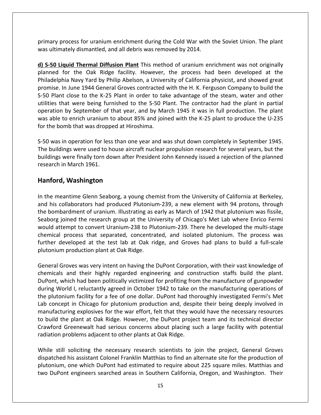process for uranium enrichment during the Cold War with the Soviet Union. The plant primary process for uranium enrichment during the Cold War with the unital system of the system of the system o<br>was ultimately dismantled, and all debris was removed by 2014. mary process for uranium enrichment during the Cold War with the Soviet Union. The plant<br>
s ultimately dismantled, and all debris was removed by 2014.<br>
S-50 Liquid Thermal Diffusion Plant This method of uranium enrichment For the Soviet Union. The plant<br>ately dismantled, and all debris was removed by 2014.<br>**quid Thermal Diffusion Plant** This method of uranium enrichment was not originally<br>for the Oak Ridge facility. However, the process had primary process for uranium enrichment during the Cold War with the Soviet Union. The plant was ultimately dismantled, and all debris was removed by 2014. utilities

ess for uranium enrichment during the Cold War with the Soviet Union. The plant<br>Iy dismantled, and all debris was removed by 2014.<br> **d Thermal Diffusion Plant** This method of uranium enrichment was not originally<br>
the Oak process for uranium enrichment during the Cold War with the Soviet Union. The plant<br>
in ately dismantled, and all debris was removed by 2014.<br> **In 1944 General Diffusion Plant** This method of uranium enrichment was not ori Iltimately dismantled, and all debris was removed by 2014.<br> **SO Liquid Thermal Diffusion Plant** This method of uranium enrichment was not originally<br>
led for the Oak Ridge facility. However, the process had been developed Liquid Thermal Diffusion Plant This method of uranium enrichment was not originally<br>for the Oak Ridge facility. However, the process had been developed at the<br>phia Navy Yard by Philip Abelson, a University of California ph **d) S-50 Liquid Thermal Diffusion Plant** This method of uranium enrichment was not originally planned for the Oak Ridge facility. However, the process had been developed at the Philadelphia Navy Yard by Philip Abelson, a U planned for the Oak Ridge facility. However, the process had been developed at the Philadelphia Navy Yard by Philip Abelson, a University of California physicist, and showed great promise. In June 1944 General Groves contr Philadelphia Navy Yard by Philip Abelson, a Unive<br>promise. In June 1944 General Groves contracted<br>S-50 Plant close to the K-25 Plant in order to ta<br>utilities that were being furnished to the S-50 P<br>operation by September o S-50 Plant close to the K-25 Plant in order to take advantage of the steam, water and other utilities that were being furnished to the S-50 Plant. The contractor had the plant in partial operation by September of that year ies that were being furnished to the S-50 Plant. The contractor had the plant in partial<br>ration by September of that year, and by March 1945 it was in full production. The plant<br>able to enrich uranium to about 85% and join utilities that were being furnished to the S-50 Plant. The contractor had the plant in partial operation by September of that year, and by March 1945 it was in full production. The plant were finally torn down after President John Kennedy issued a rejection of the plant<br>were finally to enrich uranium to about 85% and joined with the K-25 plant to produce the U-235<br>amb that was dropped at Hiroshima.<br>in oper

was able to enrich uranium to<br>for the bomb that was dropp<br>S-50 was in operation for less<br>The buildings were used to h<br>buildings were finally torn do<br>research in March 1961. **Washington Changin Control of the Union Changing System Changing System**<br>gs were used to house air<br>ere finally torn down afte<br>March 1961.<br>Washington The buildings were used to house aircraft nuclear propulsion research for several years, but the The buildings were used to house aircraft nuclear propulsion research for several years, but the<br>buildings were finally torn down after President John Kennedy issued a rejection of the planned<br>research in March 1961.<br>**Hanf** lings were finally torn down after President John Kennedy issued a rejection of the planned<br>arch in March 1961.<br>**ford, Washington**<br>e meantime Glenn Seaborg, a young chemist from the University of California at Berkeley,<br>hi research in March 1961.

### Hanford, Washington

research in March 1961.<br> **Hanford, Washington**<br>
In the meantime Glenn Seaborg, a young chemist from the University of California at Berkeley,<br>
and his collaborators had produced Plutonium-239, a new element with 94 protons **J, Washington**<br>eantime Glenn Seaborg, a young chemist from the University of California at Berkeley,<br>collaborators had produced Plutonium-239, a new element with 94 protons, through<br>bardment of uranium. Illustrating as ea **attempt on**<br>meantime Glenn Seaborg, a young chemist from the University of California at Berkeley,<br>s collaborators had produced Plutonium-239, a new element with 94 protons, through<br>mbardment of uranium. Illustrating as e antime Glenn Seaborg, a young chemist from the University of California at Berkeley,<br>
Illaborators had produced Plutonium-239, a new element with 94 protons, through<br>
ardment of uranium. Illustrating as early as March of 1 In the meantime Glenn Seaborg, a young chemist from the University of California at Berkeley, neantime Glenn Seaborg, a young chemist from the University of California at Berkeley,<br>collaborators had produced Plutonium-239, a new element with 94 protons, through<br>bardment of uranium. Illustrating as early as March of and his collaborators had produced Plutonium<br>the bombardment of uranium. Illustrating as  $s$ <br>Seaborg joined the research group at the Un<br>would attempt to convert Uranium-238 to Plu<br>chemical process that separated, concent joined the research group at the University of Chicago's Met Lab where Enrico Fermittempt to convert Uranium-238 to Plutonium-239. There he developed the multi-stage I process that separated, concentrated, and isolated plu Seaborg joined the research group at the University of Chicago's Met Lab where Enrico Fermi would attempt to convert Uranium-238 to Plutonium-239. There he developed the multi-stage would attempt to convert Uranium-238 to Plutonium-239. There he developed the multi-stage<br>chemical process that separated, concentrated, and isolated plutonium. The process was<br>further developed at the test lab at Oak ridg process that separated, concentrated, and isolated plutonium. The process was<br>developed at the test lab at Oak ridge, and Groves had plans to build a full-scale<br>m production plant at Oak Ridge.<br>Groves was very intent on ha chemical process that separated, concentrated, and isolated plutonium. The process was further developed at the test lab at Oak ridge, and Groves had plans to build a full-scale plutonium production plant at Oak Ridge. Lab

developed at the test lab at Oak ridge, and Groves had plans to build a full-scale<br>um production plant at Oak Ridge.<br>I Groves was very intent on having the DuPont Corporation, with their vast knowledge of<br>als and their hig plutonium production plant at Oak Ridge.<br>
Figure 2014 Corporation, with their vast knowledge of<br>
plutonicals and their highly regarded engineering and construction staffs build the plant.<br>
DuPont, which had been politicall eral Groves was very intent on having the DuPont Corporation, with their vast knowledge of<br>nicals and their highly regarded engineering and construction staffs build the plant.<br>ont, which had been politically victimized fo General Groves was very intent on having the DuPont Corporation, with their vast knowledge of was very intent on having the DuPont Corporation, with their vast knowledge of<br>their highly regarded engineering and construction staffs build the plant.<br>had been politically victimized for profiting from the manufacture o chemicals and their highly regarded engineering and construction staffs build the plant. emicals and their highly regarded engineering and construction staffs build the plant.<br>Pont, which had been politically victimized for profiting from the manufacture of gunpowder<br>ring World I, reluctantly agreed in October DuPont, which had been politically victimized for profiting from the manufacture of gunpowder Thich had been politically victimized for profiting from the manufacture of gunpowder<br>
First I, reluctantly agreed in October 1942 to take on the manufacturing operations of<br>
iium facility for a fee of one dollar. DuPont h during World I, reluctantly agreed in October 1942 to take on the manufacturing operations of the plutonium facility for a fee of one dollar. DuPont had thoroughly investigated Fermi's Met<br>Lab concept in Chicago for plutonium production and, despite their being deeply involved in<br>manufacturing explosives for the wa ncept in Chicago for plutonium production and, despite their being deeply involved in<br>acturing explosives for the war effort, felt that they would have the necessary resources<br>d the plant at Oak Ridge. However, the DuPont manufacturing explosives for the war effort, felt that they would have the necessary resources ing explosives for the war effort, felt that they would have the necessary resources<br> **Example 18 and An Example 18 and Example 18 and Example 18 and Example 18 and Example 18 and Serious Concernsity and Serious concerns a** to build the plant at Oak Ridge. However, the DuPont project team and its technical director exteed that Oak Ridge. However, the DuPont project team and its technical director<br>reenewalt had serious concerns about placing such a large facility with potential<br>oblems adjacent to other plants at Oak Ridge.<br>soliciting

Crawford Greenewalt had serious concerns about placing such a large facility with potential<br>radiation problems adjacent to other plants at Oak Ridge.<br>While still soliciting the necessary research scientists to join the pro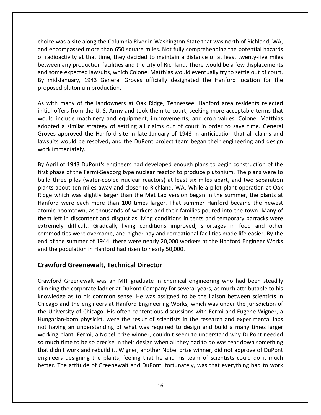was a site along the Columbia River in Washington State that was north of Richland, WA, and it is an outh of Richland, WA, and it is an analyzed with  $\alpha$ ce was a site along the Columbia River in Washington State that was north of Richland, WA,<br>encompassed more than 650 square miles. Not fully comprehending the potential hazards ice was a site along the Columbia River in Washington State that was north of Richland, WA,<br>and encompassed more than 650 square miles. Not fully comprehending the potential hazards<br>andioactivity at that time, they decided Interaction facilities and the Columbia River in Washington State that was north of Richland, WA,<br>Alter than 650 square miles. Not fully comprehending the potential hazards<br>Crivity at that time, they decided to maintain a choice was a site along the Columbia River in Washington State that was north of Richland, WA,<br>and encompassed more than 650 square miles. Not fully comprehending the potential hazards<br>of radioactivity at that time, they d ice was a site along the Columbia River in Washington State that was north of Richland, WA,<br>encompassed more than 650 square miles. Not fully comprehending the potential hazards<br>adioactivity at that time, they decided to m choice was a site along the Columbia River in Washington State that was north of Richland, WA, and encompassed more than 650 square miles. Not fully comprehending the potential hazards of radioactivity at that time, they decided to maintain a distance of at least twenty-five miles radioactivity at that time, they decided to maintain a distance of at least twenty-five miles<br>ween any production facilities and the city of Richland. There would be a few displacements<br>I some expected lawsuits, which Colo between any production facilities and the city of Richland. There would be a few displacements en any production facilities and the city of Richland. There would be a few displacements<br>or expected lawsuits, which Colonel Matthias would eventually try to settle out of court.<br>d-January, 1943 General Groves officially and some expected lawsuits, which Colonel Matthias would eventually try to settle out of court. me expected lawsuits, which Colonel Matthias would eventually try to settle out of court.<br>I-January, 1943 General Groves officially designated the Hanford location for the<br>ed plutonium production.<br>I many of the landowners By mid-January, 1943 General Groves officially designated the Hanford location for the proposed plutonium production. lawasuitsi kuning kalendari.<br>Kabupatèn Kabupatèn Kabupatèn Kabupatèn Kabupatèn Kabupatèn Kabupatèn Kabupatèn Kabupatèn Kabupatèn Kabupatèn

anuary, 1943 General Groves officially designated the Hanford location for the<br>plutonium production.<br>many of the landowners at Oak Ridge, Tennessee, Hanford area residents rejected<br>ers from the U. S. Army and took them to many of the landowners at Oak Ridge, Tennessee, Hanford area residents rejected<br>ffers from the U.S. Army and took them to court, seeking more acceptable terms that<br>nclude machinery and equipment, improvements, and crop val many of the landowners at Oak Ridge, Tennessee, Hanford area residents rejected<br>ers from the U.S. Army and took them to court, seeking more acceptable terms that<br>clude machinery and equipment, improvements, and crop values As with many of the I<br>initial offers from the U<br>would include machine<br>adopted a similar stra:<br>Groves approved the H<br>lawsuits would be reso<br>work immediately. uld include machinery and equipment, improvements, and crop values. Colonel Matthias<br>opted a similar strategy of settling all claims out of court in order to save time. General<br>oves approved the Hanford site in late Januar would include machinery and equipment, improvements, and crop values. Colonel Matthias adopted a similar strategy of settling all claims out of court in order to save time. General bted a similar strategy of settling all claims out of court in order to save time. General<br>es approved the Hanford site in late January of 1943 in anticipation that all claims and<br>uits would be resolved, and the DuPont pro Groves approved the Hanford site in late January of 1943 in anticipation that all claims and is approved the Hanford site in late January of 1943 in anticipation that all claims and<br>its would be resolved, and the DuPont project team began their engineering and design<br>immediately.<br>The separation of the Fermi-Seabor lawsuits would be resolved, and the DuPont project team began their engineering and design work immediately. Hanford

Is would be resolved, and the DuPont project team began their engineering and design<br>nmediately.<br>il of 1943 DuPont's engineers had developed enough plans to begin construction of the<br>nase of the Fermi-Seaborg type nuclear mmediately.<br>
The 1943 DuPont's engineers had developed enough plans to begin construction of the<br>
nase of the Fermi-Seaborg type nuclear reactor to produce plutonium. The plans were to<br>
three piles (water-cooled nuclear re of 1943 DuPont's engineers had developed enough plans to begin construction of the<br>e of the Fermi-Seaborg type nuclear reactor to produce plutonium. The plans were to<br>ee piles (water-cooled nuclear reactors) at least six m By April of 1943 DuPont's engineers had developed enough plans to begin construction of the I of 1943 DuPont's engineers had developed enough plans to begin construction of the<br>see of the Fermi-Seaborg type nuclear reactor to produce plutonium. The plans were to<br>rree piles (water-cooled nuclear reactors) at least first phase of the Fermi-Seaborg type nuclear reactor to produce plutonium. The plans were to hase of the Fermi-Seaborg type nuclear reactor to produce plutonium. The plans were to three piles (water-cooled nuclear reactors) at least six miles apart, and two separation about ten miles away and closer to Richland, W build three piles (water-cooled nuclear reactors) at least six miles apart, and two separation piles (water-cooled nuclear reactors) at least six miles apart, and two separation<br>t ten miles away and closer to Richland, WA. While a pilot plant operation at Oak<br>i was slightly larger than the Met Lab version began in t commodities<br>mlants about ten miles away and closer to Richland, WA. While a pilot plant operation at Oak<br>was slightly larger than the Met Lab version began in the summer, the plants at<br>e each more than 100 times larger. That summer Hanford became Ridge which was slightly larger than the Met Lab version began in the summer, the plants at e which was slightly larger than the Met Lab version began in the summer, the plants at<br>ford were each more than 100 times larger. That summer Hanford became the newest<br>nic boomtown, as thousands of workers and their famil Hanford were each more than 100 times larger. That summer Hanford became the newest Hanford were each more than 100 times larger. That sumn<br>atomic boomtown, as thousands of workers and their familie<br>them left in discontent and disgust as living conditions in ter<br>extremely difficult. Gradually living condi Free each more than 100 times larger mate<br>
In discontent and disgust as living conditions<br>
difficult. Gradually living conditions imping<br>
In the sweet overcome, and higher pay and recreasummer of 1944, there were nearly 20 commodities were overcome, and higher pay and recreational facilities made life easier. By the<br>end of the summer of 1944, there were nearly 20,000 workers at the Hanford Engineer Works<br>and the population in Hanford had ris end of the summer of 1944, there were nearly 20,000 workers at the Hanford Engineer Works ie summer of 1944, there were nearly 20,000 workers at the Hanford Engineer Works<br>opulation in Hanford had risen to nearly 50,000.<br>The Greenewalt, Technical Director<br>I Greenewalt was an MIT graduate in chemical engineering and the population in Hanford had risen to nearly 50,000.

#### **Crawford Greenewalt, Technical Director**

so much time to be so precise in their design when all they had to do was tear down something Sulation in Hanford had risen to nearly 50,000.<br> **Greenewalt, Technical Director**<br>
reenewalt was an MIT graduate in chemical engineering who had been steadily<br>
reproperate ladder at DuPont Company for several years, as muc **rd Greenewalt, Technical Director**<br>and Greenewalt was an MIT graduate in chemical engineering who had been steadily<br>the corporate ladder at DuPont Company for several years, as much attributable to his<br>ge as to his common **wford Greenewalt, Technical Director**<br>wford Greenewalt was an MIT graduate in chemical engineering who had been steadily<br>bing the corporate ladder at DuPont Company for several years, as much attributable to his<br>wledge as ewalt was an MIT graduate in chemical engineering who had been steadily<br>porate ladder at DuPont Company for several years, as much attributable to his<br>his common sense. He was assigned to be the liaison between scientists Crawford Greenewalt was an MIT graduate in chemical engineering who had been steadily wford Greenewalt was an MIT graduate in chemical engineering who had been steadily<br>bing the corporate ladder at DuPont Company for several years, as much attributable to his<br>wledge as to his common sense. He was assigned t climbing the corporate ladder at DuPont Company for several years, as much attributable to his the corporate ladder at DuPont Company for several years, as much attributable to his<br>ge as to his common sense. He was assigned to be the liaison between scientists in<br>and the engineers at Hanford Engineering Works, which knowledge as to his common sense. He was assigned to be the liaison between scientists in by by we dige as to his common sense. He was assigned to be the liaison between scientists in cago and the engineers at Hanford Engineering Works, which was under the jurisdiction of all University of Chicago. His often co Chicago and the engineers at Hanford Engineering Works, which was under the jurisdiction of and the engineers at Hanford Engineering Works, which was under the jurisdiction of University of Chicago. His often contentious discussions with Fermi and Eugene Wigner, a garian-born physicist, were the result of scienti the University of Chicago. His often contentious discussions with Fermi and Eugene Wigner, a sity of Chicago. His often contentious discussions with Fermi and Eugene Wigner, a<br>born physicist, were the result of scientists in the research and experimental labs<br>an understanding of what was required to design and bui Hungarian-born physicist, were the result of scientists in the research and experimental labs ian-born physicist, were the result of scientists in the research and experimental labs<br>ing an understanding of what was required to design and build a many times larger<br>g plant. Fermi, a Nobel prize winner, couldn't seem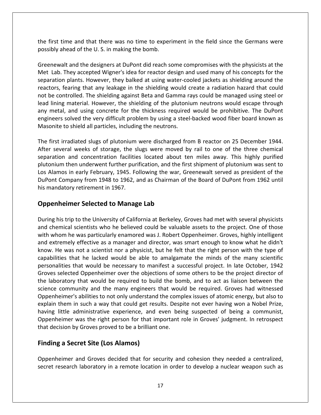first time and that there was no time to experiment in the field since the Germans were a<br>the first time and that there was no time to exper<br>possibly ahead of the U. S. in making the bomb. e and that there was no time to experiment in the field since the Germans were<br>ad of the U.S. in making the bomb.<br>and the designers at DuPont did reach some compromises with the physicists at the Interpretice and that there was no time to experiment in the field since the Germans were<br>bly ahead of the U.S. in making the bomb.<br>They accepted Wigner's idea for reactor design and used many of his concepts for the the first time and that there was no time to experiment in the field since the Germans were ້<br>n∩ເ lead

me and that there was no time to experiment in the field since the Germans were<br>ead of the U.S. in making the bomb.<br>I and the designers at DuPont did reach some compromises with the physicists at the<br>hey accepted Wigner's ime and that there was no time to experiment in the field since the Germans were<br>head of the U.S. in making the bomb.<br>alt and the designers at DuPont did reach some compromises with the physicists at the<br>They accepted Wign be controlled. The shielding against Beta and Gamma rays could be managed using steel or<br>the controlled. They accepted Wigner's idea for reactor design and used many of his concepts for the<br>aration plants. However, they ba Inity mewalt and the designers at DuPont did reach some compromises with the physicists at the<br>Lab. They accepted Wigner's idea for reactor design and used many of his concepts for the<br>ration plants. However, they balked a Greenewalt and the designers at DuPont did reach some compromises with the physicists at the extingurant and the designers at DuPont did reach some compromises with the physicists at the Lab. They accepted Wigner's idea for reactor design and used many of his concepts for the ration plants. However, they balked at Met Lab. They accepted Wigner's idea for reactor design and used many of his concepts for the They accepted Wigner's idea for reactor design and used many of his concepts for the plants. However, they balked at using water-cooled jackets as shielding around the earing that any leakage in the shielding would create separation plants. However, they balked at using water-cooled jackets as shielding around the separation plants. However, they balked at using water-co<br>reactors, fearing that any leakage in the shielding would of<br>not be controlled. The shielding against Beta and Gamma r<br>lead lining material. However, the shielding first irradiated slugs of plutonium were discharged from B reactor on 25 December 1944.<br>The first irradiated slugs of plutonium is a steel-backed wood fiber board known as<br>Masonite to shield all particles, including the ne ning material. However, the shielding of the plutonium neutrons would escape through letal, and using concrete for the thickness required would be prohibitive. The DuPont eers solved the very difficult problem by using a s lead lining material. However, the shielding of the plutonium neutrons would escape through any metal, and using concrete for the thickness required would be prohibitive. The DuPont and using concrete for the thickness required would be prohibitive. The DuPont<br>blved the very difficult problem by using a steel-backed wood fiber board known as<br>shield all particles, including the neutrons.<br>adiated slugs ے<br>Na DuPont

engineers solved the very difficult problem by using a steel-backed wood fiber board known as<br>Masonite to shield all particles, including the neutrons.<br>The first irradiated slugs of plutonium were discharged from B reactor First irradiated slugs of plutonium were discharged from B reactor on 25 December 1944.<br>
Alamos in early February, the slugs were moved by rail to one of the three chemical<br>
Alamos in early February, 1945. Following the wa Company from 1948 to 1962, and as Chairman of the Board of DuPont from 1962 until<br>
to and concentration facilities located about ten miles away. This highly purified<br>
in then underwent further purification, and the first s The first irradiated slugs of plutonium were discharged from B reactor on 25 December 1944. The first irradiated slugs of plutonium<br>After several weeks of storage, the s<br>separation and concentration facilitie<br>plutonium then underwent further pur<br>Los Alamos in early February, 1945. Fo<br>DuPont Company from 1948 to 1 **Example 3 Fynce Many Trees are also they**<br>eks of storage, the slugs were moved<br>concentration facilities located about<br>inderwent further purification, and the f<br>rly February, 1945. Following the war,<br>from 1948 to 1962, and Los Alamos in early February, 1945. Following the war, Greenewalt served as president of the mos in early February, 1945. Following the war, Greenewalt served as president of the<br>
Ecompany from 1948 to 1962, and as Chairman of the Board of DuPont from 1962 until<br>
datory retirement in 1967.<br> **hheimer Selected to Ma** DuPont Company from 1948 to 1962, and as Chairman of the Board of DuPont from 1962 until ont Company from 1948 to 1962, and as Chairman of the Board of DuPont from 1962 until<br> **Scientists who he scientists who he believed could be valuable assets to the project. One of those**<br> **Chairmical scientists who he bel** his mandatory retirement in 1967.

#### **Oppenheimer Selected to Manage Lab** capabilities

andatory retirement in 1967.<br> **enheimer Selected to Manage Lab**<br>
Ing his trip to the University of California at Berkeley, Groves had met with several physicists<br>
shemical scientists who he believed could be valuable asset **Summer Selected to Manage Lab**<br>Imp his trip to the University of California at Berkeley, Groves had met with several physicists<br>chemical scientists who he believed could be valuable assets to the project. One of those<br>who **nheimer Selected to Manage Lab**<br>his trip to the University of California at Berkeley, Groves had met with several physicists<br>emical scientists who he believed could be valuable assets to the project. One of those<br>hom he w ip to the University of California at Berkeley, Groves had met with several physicists<br>al scientists who he believed could be valuable assets to the project. One of those<br>ne was particularly enamored was J. Robert Oppenhei During his trip to the University of California at Berkeley, Groves had met with several physicists to the University of California at Berkeley, Groves had met with several physicists<br>scientists who he believed could be valuable assets to the project. One of those<br>e was particularly enamored was J. Robert Oppenheimer. Gr and chemical scientists who he believed could be valuable assets to the project. One of those imical scientists who he believed could be valuable assets to the project. One of those<br>nom he was particularly enamored was J. Robert Oppenheimer. Groves, highly intelligent<br>remely effective as a manager and director, was with whom he was particularly enamored was J. Robert Oppenheimer. Groves, highly intelligent whom he was particularly enamored was J. Robert Oppenheimer. Groves, highly intelligent extremely effective as a manager and director, was smart enough to know what he didn't w. He was not a scientist nor a physicist, but and extremely effective as a manager and director, was smart enough to know what he didn't emely effective as a manager and director, was smart enough to know what he didn't<br>e was not a scientist nor a physicist, but he felt that the right person with the type of<br>ies that he lacked would be able to amalgamate th know. He was not a scientist nor a physicist, but he felt that the right person with the type of capabilities that he lacked would be able to amalgamate the minds of the many scientific personalities that would be necessar a scientist nor a physicist, but he felt that the right person with the type of<br>t he lacked would be able to amalgamate the minds of the many scientific<br>at would be necessary to manifest a successful project. In late Octob capabilities that he lacked would be able to amalgamate the minds of the many scientific capabilities that he lacked would be able to amalgamate the minds of the many scientific<br>personalities that would be necessary to manifest a successful project. In late October, 1942<br>Groves selected Oppenheimer over the ob personalities that would be necessary to manifest a successful project. In late October, 1942<br>Groves selected Oppenheimer over the objections of some others to be the project director of<br>the laboratory that would be requir d Oppenheimer over the objections of some others to be the project director of that would be required to build the bomb, and to act as liaison between the unity and the many engineers that would be required. Groves had wit the laboratory that would be required to build the bomb, and to act as liaison between the Oppenheimer's abilities to not only understand the complex issues of atomic energy, but also to explain them in such a way that could get results. Despite not ever having won a Nobel Prize, having little administrative exp **<sup>a</sup> Secret Site (Los Alamos)** having little administrative experience, and even being suspected of being a communist, having little administrative experience, and even being suspected of being a communist,<br>Oppenheimer was the right person for that important role in Groves' judgment. In retrospect<br>that decision by Groves proved to be a bri heimer was the right person for that important role in Groves' judgment. In retrospect<br>cision by Groves proved to be a brilliant one.<br>**In a Secret Site (Los Alamos)**<br>heimer and Groves decided that for security and cohesion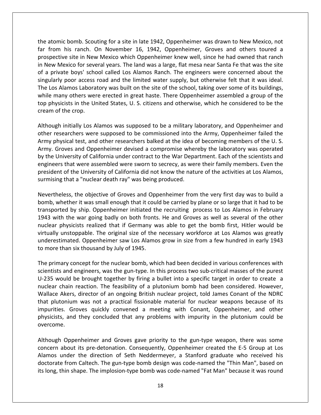atomic bomb. Scouting for a site in late 1942. Oppenheimer was drawn to New Mexico, not From his ranch. On November 16, 1942, Oppenheimer was drawn to New Mexico, not<br>from his ranch. On November 16, 1942. Oppenheimer. Groves and others toured a site in New Mexico which one of the New Mexico, not<br>site in New Mexico, not since the had owned that ranch.<br>Site in New Mexico which Oppenheimer knew well, since he had owned that ranch<br>Site in New Mexico which Oppenheimer New Theorem Commission and the text of several years of a steel in late 1942, Oppenheimer was drawn to New Mexico, not<br>Theorem his ranch. On November 16, 1942, Oppenheimer, Groves and others toured a<br>Spective site in New M a private bomb. Scouting for a site in late 1942, Oppenheimer was drawn to New Mexico, not<br>from his ranch. On November 16, 1942, Oppenheimer, Groves and others toured a<br>spective site in New Mexico which Oppenheimer knew we the atomic bomb. Scouting for a site in late 1942, Oppenheimer was drawn to New Mexico, not<br>far from his ranch. On November 16, 1942, Oppenheimer, Groves and others toured a<br>prospective site in New Mexico which Oppenheimer the atomic bomb. Scouting for a site in late 1942, Oppenheimer was drawn to New Mexico, not<br>far from his ranch. On November 16, 1942, Oppenheimer, Groves and others toured a<br>prospective site in New Mexico which Oppenheimer om his ranch. On November 16, 1942, Oppenheimer, Groves and others toured a ective site in New Mexico which Oppenheimer knew well, since he had owned that ranch v Mexico for several years. The land was a large, flat mesa n far from his ranch. On November 16, 1942, Oppenheimer, Groves and others toured a prospective site in New Mexico which Oppenheimer knew well, since he had owned that ranch spective site in New Mexico which Oppenheimer knew well, since he had owned that ranch<br>ew Mexico for several years. The land was a large, flat mesa near Santa Fe that was the site<br>private boys' school called Los Alamos Ran in New Mexico for several years. The land was a large, flat mesa near Santa Fe that was the site in New Mexico for seve<br>of a private boys' scho<br>singularly poor access<br>The Los Alamos Labora<br>while many others wer<br>top physicists in the Ur<br>cream of the crop. is a set of the limited water supply, but otherwise felt that it was ideal.<br>
Ilamos Laboratory was built on the site of the school, taking over some of its buildings,<br>
iny others were erected in great haste. There Oppenhei on.<br>Tha L researchers were erected in great haste. There Oppenheimer assembled a group of the spisels were erected in great haste. There Oppenheimer assembled a group of the spisicists in the United States, U. S. citizens and otherw while many others were erected in great haste. There Oppenheimer assembled a group of the physical test, and other researchers balked at the idea of becoming members of the U. S.<br>Although initially Los Alamos was supposed to be a military laboratory, and Oppenheimer and<br>other researchers were supposed to be a m  $\frac{1}{2}$ engineers

The United States, U. S. citizens and otherwise, which he considered to be the<br>of the crop.<br>gh initially Los Alamos was supposed to be a military laboratory, and Oppenheimer and<br>researchers were supposed to be commissioned am of the crop.<br>
Anough initially Los Alamos was supposed to be a military laboratory, and Oppenheimer and<br>
ner researchers were supposed to be commissioned into the Army, Oppenheimer failed the<br>
my physical test, and othe It is the step.<br>
Initially Los Alamos was supposed to be a military laboratory, and Oppenheimer and<br>
archers were supposed to be commissioned into the Army, Oppenheimer failed the<br>
ical test, and other researchers balked a Although initially Los Alamos was supposed to be a military laboratory, and Oppenheimer and Although initially Los Alamos was supposed to be a military laboratory, and Oppenheimer and<br>other researchers were supposed to be commissioned into the Army, Oppenheimer failed the<br>Army physical test, and other researchers other researchers were supposed to be commissioned into the Army, Oppenheimer failed the Army physical test, and other researchers balked at the idea of becoming members of the U.S.<br>Army. Groves and Oppenheimer devised a c The objective of Groves and Oppenheimer from the very first day was operated<br>ity of California under contract to the War Department. Each of the scientists and<br>were assembled were sworn to secrecy, as were their family mem by the University of California under contract to the War Department. Each of the scientists and University of California under contract to the War Department. Each of the scientists and<br>ers that were assembled were sworn to secrecy, as were their family members. Even the<br>ent of the University of California did not kn engineers that were assembled were sworn to secrecy, as were their family members. Even the by ship. Oppenheimer initiated the recruiting process to Los Alamos,<br>at a "nuclear death ray" was being produced.<br>So the activities at Los Alamos,<br>at a "nuclear death ray" was being produced.<br>So the objective of Groves and president of the University of California did not know the nature of the activities at Los Alamos, produce<br>curmicii verturen.<br>L

When the War going that the war going of California did not know the nature of the activities at Los Alamos,<br>sing that a "nuclear death ray" was being produced.<br>theless, the objective of Groves and Oppenheimer from the ver physicists realized that if Germany was able to get the bomb first. Hitler would a<br>phether it was small enough that it could be carried by plane or so large that it had to be<br>ted by ship. Oppenheimer initiated the recruiti eless, the objective of Groves and Oppenheimer from the very first day was to build a<br>hether it was small enough that it could be carried by plane or so large that it had to be<br>ted by ship. Oppenheimer initiated the recrui Nevertheless, the objective of Groves and Oppenheimer from the very first day was to build a exercive of Groves and Oppenheimer from the very first day was to build a<br>was small enough that it could be carried by plane or so large that it had to be<br>nip. Oppenheimer initiated the recruiting process to Los Alamos in bomb, whether it was small enough that it coul<br>transported by ship. Oppenheimer initiated th<br>1943 with the war going badly on both fronts<br>nuclear physicists realized that if Germany w<br>virtually unstoppable. The original si primary concept for the nuclear bomb, which had been decided in various conferences with<br>primary concept for the original size of the necessary workforce at Los Alamos was greatly<br>erestimated. Oppenheimer saw Los Alamos gr 1943 with the war going badly on both fronts. He and Groves as well as several of the other nuclear physicists realized that if Germany was able to get the bomb first, Hitler would be hysicists realized that if Germany was able to get the bomb first, Hitler would be<br>instoppable. The original size of the necessary workforce at Los Alamos was greatly<br>mated. Oppenheimer saw Los Alamos grow in size from a f virtually unstoppable. The original size of the necessary workforce at Los Alamos was greatly would be brought together by firing a bullet into a specific target in order to create a<br>would be brought together by first and engineers with the specific target in early 1943<br>mary concept for the nuclear bomb, which had underestimated. Oppenheimer saw Los Alamos grow in size from a few hundred in early 1943 to more than six thousand by July of 1945.

chain reaction. The primary concept for the nuclear saw Los Alamos grow in size from a few hundred in early 1943<br>to more than six thousand by July of 1945.<br>The primary concept for the nuclear bomb, which had been decided i Than six thousand by July of 1945.<br>
Akers, director of an ongoing British nuclear project, told James Conferences with<br>
Sand engineers, was the gun-type. In this process two sub-critical masses of the purest<br>
could be brou plutonium was not a practical fissionable material for nuclear weapons because of the purest<br>plutonium was not a pun-type. In this process two sub-critical masses of the purest<br>a provide be brought together by firing a bul The primary concept for the nuclear bomb, which had been decided in various conferences with concept for the nuclear bomb, which had been decided in various conferences with<br>d engineers, was the gun-type. In this process two sub-critical masses of the purest<br>d be brought together by firing a bullet into a specific scientists and engineers, was the gun-type. In this process two sub-critical masses of the purest and engineers, was the gun-type. In this process two sub-critical masses of the purest<br>Id be brought together by firing a bullet into a specific target in order to create a<br>ain reaction. The feasibility of a plutonium bomb U-235 would be brought together by firing a bullet into a specific target in order to create a Wallace Akers, director of an ongoing British nuclear project, told James Conant of the NDRC<br>that plutonium was not a practical fissionable material for nuclear weapons because of its<br>impurities. Groves quickly convened a Wallace Akers, director of an ongoing British nuclear project, told James Conant of the NDRC that plutonium was not a practical fissionable material for nuclear weapons because of its conium was not a practical fissionable material for nuclear weapons because of its<br>s. Groves quickly convened a meeting with Conant, Oppenheimer, and other<br>s, and they concluded that any problems with impurity in the pluto impurities. Groves quickly convened a meeting with Conant, Oppenheimer, and other<br>physicists, and they concluded that any problems with impurity in the plutonium could be<br>overcome.<br>Although Oppenheimer and Groves gave prio physicists, and they concluded that any problems with impurity in the plutonium could be overcome.

pri and they concluded that any problems with impurity in the plutonium could be<br>Oppenheimer and Groves gave priority to the gun-type weapon, there was some<br>bout its pre-detonation. Consequently, Oppenheimer created the E-5 Gr Frome.<br>
hough Oppenheimer and Groves gave priority to the gun-type weapon, there was some<br>
ncern about its pre-detonation. Consequently, Oppenheimer created the E-5 Group at Los<br>
mos under the direction of Seth Neddermeyer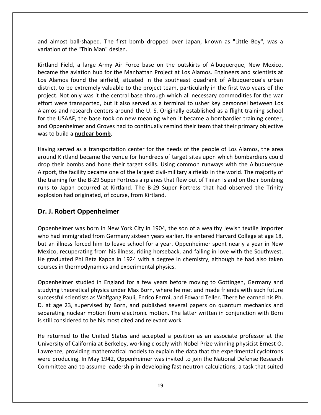almost ball-shaped. The first bomb dropped over Japan, known as "Little Boy", was <sup>a</sup> and almost ball-shaped. The first bom<br>Thin Man Man" design.<br>Thin Man" design. and almost ball-shaped. The first bomb dropped over Japan, known as "Little Boy", was a<br>variation of the "Thin Man" design.<br>Kirtland Field, a large Army Air Force base on the outskirts of Albuquerque, New Mexico. ost ball-shaped. The first bomb dropped over Japan, known as "Little Boy", was a<br>i of the "Thin Man" design.<br>Field, a large Army Air Force base on the outskirts of Albuquerque, New Mexico,<br>the aviation hub for the Manhatta die hae variation of the "Thin Man" design. effort

almost ball-shaped. The first bomb dropped over Japan, known as "Little Boy", was a<br>ation of the "Thin Man" design.<br>and Field, a large Army Air Force base on the outskirts of Albuquerque, New Mexico,<br>ime the aviation hub f I ost ball-shaped. The first bomb dropped over Japan, known as "Little Boy", was a<br>
1 of the "Thin Man" design.<br>
Field, a large Army Air Force base on the outskirts of Albuquerque, New Mexico,<br>
the aviation hub for the Man Not the "Thin Man" design.<br>
Field, a large Army Air Force base on the outskirts of Albuquerque, New Mexico,<br>
the aviation hub for the Manhattan Project at Los Alamos. Engineers and scientists at<br>
mos found the airfield, si d Field, a large Army Air Force base on the outskirts of Albuquerque, New Mexico,<br>e the aviation hub for the Manhattan Project at Los Alamos. Engineers and scientists at<br>amos found the airfield, situated in the southeast q Kirtland Field, a large Army Air Force base on the outskirts of Albuguergue, New Mexico, Field, a large Army Air Force base on the outskirts of Albuquerque, New Mexico, the aviation hub for the Manhattan Project at Los Alamos. Engineers and scientists at mos found the airfield, situated in the southeast quadra became the aviation hub for the Manhattan Project at Los Alamos. Engineers and scientists at became the aviation hub for the Manhattan Project at Los Alamos. Engineers and scientists at Los Alamos found the airfield, situated in the southeast quadrant of Albuquerque's urban district, to be extremely valuable to th Alamos found the airfield, situated in the southeast quadrant of Albuquerque's urban<br>ict, to be extremely valuable to the project team, particularly in the first two years of the<br>ect. Not only was it the central base throu district, to be extremely valuable<br>project. Not only was it the centr<br>effort were transported, but it al<br>Alamos and research centers aro<br>for the USAAF, the base took on<br>and Oppenheimer and Groves had<br>was to build a **nuclea** served as a transportation center for the needs of the people of Los Alamos, the area are a transportation centers around the U. S. Originally established as a flight training school USAAF, the base took on new meaning whe effort were transported, but it also served as a terminal to usher key personnel between Los<br>Alamos and research centers around the U. S. Originally established as a flight training school and research centers around the U. S. Originally established as a flight training school<br>USAAF, the base took on new meaning when it became a bombardier training center,<br>benheimer and Groves had to continually remind their for the USAAF, the base took on new meaning when it became a bombardier training center, the USAAF, the base took on new meaning when it became a bombardier training center,<br>pppenheimer and Groves had to continually remind their team that their primary objective<br>o build a **nuclear bomb**.<br>g served as a transpor and Oppenheimer and Groves had to continually remind their team that their primary objective was to build a nuclear bomb. runs

the facility became one of the largest civil-military airfields in the world. The majority of the people of the people of tos Alamos, the area Kirtland became the venue for hundreds of target sites upon which bombardiers c to build a **nuclear bomb**.<br>
ing served as a transportation center for the needs of the people of Los Alamos, the area<br>
und Kirtland became the venue for hundreds of target sites upon which bombardiers could<br>
by their bombs g served as a transportation center for the needs of the people of Los Alamos, the area<br>and Kirtland became the venue for hundreds of target sites upon which bombardiers could<br>their bombs and hone their target skills. Usin Having served as a transportation center for the needs of the people of Los Alamos, the area around Kirtland became the venue for hundreds of target sites upon which bombardiers could<br>drop their bombs and hone their target skills. Using common runways with the Albuquerque<br>Airport, the facility became one of the la Ind Kirtland became the venue for<br>their bombs and hone their targe<br>ort, the facility became one of the l<br>training for the B-29 Super Fortress<br>to Japan occurred at Kirtland. T<br>osion had originated, of course, fro<br>**J. Robert** the training for the B-29 Super Fortress airplanes that flew out of Tinian Island on their bombing r the B-29 Super Fortress airplanes that flew out of Tinian Island on their bombing<br>occurred at Kirtland. The B-29 Super Fortress that had observed the Trinity<br>originated, of course, from Kirtland.<br> runs to Japan occurred at Kirtland. The B-29 Super Fortress that had observed the Trinity runs to Japan occurred at Kirtland. The B-29 Super Fortress that had observed the Trinity<br>explosion had originated, of course, from Kirtland.<br>**Dr. J. Robert Oppenheimer**<br>Oppenheimer was born in New York City in 1904, the s

osion had originated, of course, from Kirtland.<br> **J. Robert Oppenheimer**<br>
enheimer was born in New York City in 1904, the son of a wealthy Jewish textile importer<br>
had immigrated from Germany sixteen years earlier. He ente **Dr. J. Robert Oppenheimer**<br>Oppenheimer was born in New York City in 1904, the son of a wealthy Jewish textile importer<br>who had immigrated from Germany sixteen years earlier. He entered Harvard College at age 18,<br>but an il **J. Robert Oppenheimer**<br>
benheimer was born in New York City in 1904, the son of a wealthy Jewish textile importer<br>
b had immigrated from Germany sixteen years earlier. He entered Harvard College at age 18,<br>
an illness for Oppenheimer was born in New York City in 1904, the son<br>who had immigrated from Germany sixteen years earlier. H<br>but an illness forced him to leave school for a year. Oppe<br>Mexico, recuperating from his illness, riding horse grated from Germany sixteen years earlier. He entered Harvard College at age 18, forced him to leave school for a year. Oppenheimer spent nearly a year in New erating from his illness, riding horseback, and falling in love who had immigrated from Germany sixteen years earlier. He entered Harvard College at age 18, but an illness forced him to leave school for a year. Oppenheimer spent nearly a year in New ness forced him to leave school for a year. Oppenheimer spent nearly a year in New<br>recuperating from his illness, riding horseback, and falling in love with the Southwest.<br>ated Phi Beta Kappa in 1924 with a degree in chemi Mexico, recuperating from his illness, riding horseback, and falling in love with the Southwest. Mexico, recuperating from his illness, riding horseback, and falling in love with the Southwest.<br>He graduated Phi Beta Kappa in 1924 with a degree in chemistry, although he had also taken<br>courses in thermodynamics and expe separation<br>Courses in is

graduated Phi Beta Kappa in 1924 with a degree in chemistry, although he had also taken<br>urses in thermodynamics and experimental physics.<br>penheimer studied in England for a few years before moving to Gottingen, Germany and ner studied in England for a few years before moving to Gottingen, Germany and<br>ner studied in England for a few years before moving to Gottingen, Germany and<br>eoretical physics under Max Born, where he met and made friends Oppenheimer studied in England for a few years before moving to Gottingen, Germany and studying theoretical physics under Max Born, where he met and made friends with such future successful scientists as Wolfgang Pauli, En dying theoretical physics under Max Born, where he met and made friends with such future<br>cessful scientists as Wolfgang Pauli, Enrico Fermi, and Edward Teller. There he earned his Ph.<br>at age 23, supervised by Born, and pub successful scientists as Wolfgang Pauli, Enrico Fermi, and Edward Teller. There he earned his Ph. successful scientists as Wolfgang Pauli, Enrico Fermi, and Edward Teller. There he earned his Ph.<br>D. at age 23, supervised by Born, and published several papers on quantum mechanics and<br>separating nuclear motion from elect 23, supervised by Born, and published several papers on quantum mechanics and<br>nuclear motion from electronic motion. The latter written in conjunction with Born<br>idered to be his most cited and relevant work.<br>ed to the Unit separating nuclear motion from electronic motion. The latter written in conjunction with Born is still considered to be his most cited and relevant work.

 $\frac{1}{2}$ producing nuclear motion from electronic motion. The latter written in conjunction with Born<br>considered to be his most cited and relevant work.<br>turned to the United States and accepted a position as an associate professor dered to be his most cited and relevant work.<br>
A to the United States and accepted a position as an associate professor at the<br>
f California at Berkeley, working closely with Nobel Prize winning physicist Ernest O.<br>
provid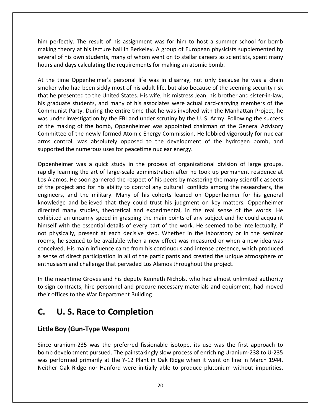perfectly. The result of his assignment was for him to host a summer school for bomb theory at his lecture hall in Berkeley. A group of European physicists supplemented by<br>theory at his lecture hall in Berkeley. A group of European physicists supplemented by of fectly. The result of his assignment was for him to host a summer school for bomb<br>theory at his lecture hall in Berkeley. A group of European physicists supplemented by<br>of his own students, many of whom went on to stell him perfectly. The result of his assignment was for him to host a summer<br>making theory at his lecture hall in Berkeley. A group of European physicists<br>several of his own students, many of whom went on to stellar careers as the perfectly. The result of his assignment was for him to host a summer school for bomb<br>king theory at his lecture hall in Berkeley. A group of European physicists supplemented by<br>eral of his own students, many of whom we him perfectly. The result of his assignment was for him to host a summer school for bomb fectly. The result of his assignment was for him to host a summer school for bomb<br>theory at his lecture hall in Berkeley. A group of European physicists supplemented by<br>of his own students, many of whom went on to stellar mak<br>Me making theory at his lecture hall in Berkeley. A group of European physicists supplemented by<br>several of his own students, many of whom went on to stellar careers as scientists, spent many<br>hours and days calculating the re several of his own students, many of whom went on to stellar careers as scientists, spent many hours and days calculating the requirements for making an atomic bomb. was

graduate students, many of whom went on to stellar careers as scientists, spent many<br>in and days calculating the requirements for making an atomic bomb.<br>the time Oppenheimer's personal life was in disarray, not only becaus Salculating the requirements for making an atomic bomb.<br>
Oppenheimer's personal life was in disarray, not only because he was a chain<br>
had been sickly most of his adult life, but also because of the seeming security risk<br> The time Oppenheimer's personal life was in disarray, not only because he was a chain<br>the who had been sickly most of his adult life, but also because of the seeming security risk<br>the presented to the United States. His wi At the time Oppenheimer's personal life was in disarray, not only because he was a chain the time Oppenheimer's personal life was in disarray, not only because he was a chain<br>oker who had been sickly most of his adult life, but also because of the seeming security risk<br>it he presented to the United States. His smoker who had been sickly most of his adult life, but also because of the seeming security risk b had been sickly most of his adult life, but also because of the seeming security risk<br>eented to the United States. His wife, his mistress Jean, his brother and sister-in-law,<br>e students, and many of his associates were a that he presented to the United States. His wife, his mistress Jean, his brother and sister-in-law, e presented to the United States. His wife, his mistress Jean, his brother and sister-in-law,<br>aduate students, and many of his associates were actual card-carrying members of the<br>unist Party. During the entire time that he his graduate students, and many of his associates were actual<br>Communist Party. During the entire time that he was involved w<br>was under investigation by the FBI and under scrutiny by the U.<br>of the making of the bomb, Oppenh Framment Party, Parting the Pinne ander scrutiny by the U.S. Army. Following the success<br>of the making of the bomb, Oppenheimer was appointed chairman of the General Advisory<br>Committee of the newly formed Atomic Energy Com Internating of the bomb, Oppenheimer was appointed chairman of the General Advisory<br>tee of the newly formed Atomic Energy Commission. He lobbied vigorously for nuclear<br>ontrol, was absolutely opposed to the development of t of the making of the bomb, Oppenheimer was appointed chairman of the General Advisory<br>Committee of the newly formed Atomic Energy Commission. He lobbied vigorously for nuclear Alamos. He soon garnered the respect of his peers by mastering the many scientific aspects<br>Alamos. He soon garnered the respective opposed to the development of the hydrogen bomb, and<br>ported the numerous uses for peacetime arms control, was absolutely opposed to the development of the hydrogen bomb, and enne een,<br>supportod sepperise

the project and for his ability to control any cultural conflicts among the researchers, the protect and for his ability to control any cultural conflicts among the researchers, the project and for his ability to control a and the military. Many of his cohorts leaned on Oppenheimer for his general<br>and the military. Many of his peers by mastering the many scientific aspects<br>and for his ability to control any cultural conflicts among the resea From the trust access of creational division of large groups,<br>aing the art of large-scale administration after he took up permanent residence at<br>He soon garnered the respect of his peers by mastering the many scientific as Oppenheimer was a quick study in the process of organizational division of large groups, imer was a quick study in the process of organizational division of large groups,<br>arning the art of large-scale administration after he took up permanent residence at<br>bs. He soon garnered the respect of his peers by master rapidly learning the art of large-scale administration after he took up permanent residence at arning the art of large-scale administration after he took up permanent residence at s. He soon garnered the respect of his peers by mastering the many scientific aspects bject and for his ability to control any cultural c Los Alamos. He soon garnered the respect of his peers by mastering the many scientific aspects nos. He soon garnered the respect of his peers by mastering the many scientific aspects<br>roject and for his ability to control any cultural conflicts among the researchers, the<br>rs, and the military. Many of his cohorts lean  $\overline{f}$ he project and for his ability to control any cultural conflicts among the researchers, the meers, and the military. Many of his cohorts leaned on Oppenheimer for his general vledge and believed that they could trust his j engineers, and the military. Many of his cohorts leaned on Oppenheimer for his general ers, and the military. Many of his cohorts leaned on Oppenheimer for his general<br>edge and believed that they could trust his judgment on key matters. Oppenheimer<br>ed many studies, theoretical and experimental, in the real s knowledge and believed that they could trust his judgment on key matters. Oppenheimer e and believed that they could trust his judgment on key matters. Oppenheimer<br>many studies, theoretical and experimental, in the real sense of the words. He<br>an uncanny speed in grasping the main points of any subject and h directed many studies, theoretical and experimental, in the real sense of the words. He exhibited an uncanny speed in grasping the main points of any subject and he could acquaint himself with the essential details of ever exhibited an uncanny speed in grasping the main points of any subject and he could acquaint It uncanny speed in grasping the main points of any subject and he<br>It the essential details of every part of the work. He seemed to be if<br>Ily, present at each decisive step. Whether in the laboratory or if<br>eemed to be avai himself with the essential details of every part of the work. He seemed to be intellectually, if not physically, present at each decisive step. Whether in the laboratory or in the seminar The meantime Several and decisive step. Whether in the Jaboratory or in the seminar<br>the mess, he seemed to be available when a new effect was measured or when a new idea was<br>nceived. His main influence came from his contin to**C.**shipped and to be available when a new effect was measured or when a new idea was neeived. His main influence came from his continuous and intense presence, which produced ense of direct participation in all of the partici conceived. His main influence came from his continuous and intense presence, which produced betweed. His main influence came from his continuse of direct participation in all of the participar<br>usiasm and challenge that pervaded Los Alamos<br>are meantime Groves and his deputy Kenneth Night contracts, hire personnel **Example 5 and the seemed to be available when a new effect was<br>
red. His main influence came from his continuous an<br>
condition of direct participation in all of the participants and<br>
asm and challenge that pervaded Los Al** 

In the meantime Groves and his deputy Kenneth Nichols, who had almost unlimited authority<br>to sign contracts, hire personnel and procure necessary materials and equipment, had moved<br>their offices to the War Department Build their offices to the War Department Building

### $\mathsf{C}$ .

Since uranium-235 was the preferred fissionable isotope, its use was the first approach to U. S. Race to Completion<br>
Boy (Gun-Type Weapon)<br>
uranium-235 was the preferred fissionable isotope, its use was the first approach to **U. S. Race to Completion**<br>**Boy (Gun-Type Weapon)**<br>uranium-235 was the preferred fissionable isotope, its use was the first approach to<br>development pursued. The painstakingly slow process of enriching Uranium-238 to U-235 **C. U.S. Race to Completion**<br>Little Boy (Gun-Type Weapon)<br>Since uranium-235 was the preferred fissionable isotope, its use was the first approach to<br>bomb development pursued. The painstakingly slow process of enriching Ura bomb development pursued. The painstakingly slow process of enriching Uranium-238 to U-235 was performed primarily at the Y-12 Plant in Oak Ridge when it went on line in March 1944. Neither Oak Ridge nor Hanford were initi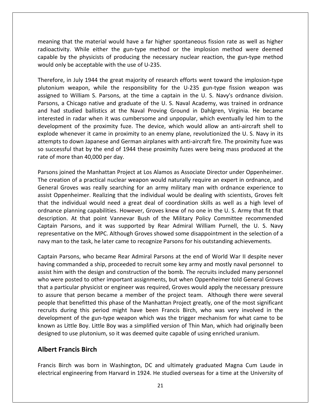that the material would have <sup>a</sup> far higher spontaneous fission rate as well as higher Model is a mean and the material would have a far higher spontaneous fission rate as well as higher<br>While either the gun-type method or the implosion method were deemed that the material would have a far higher spontaneous fission rate as well as higher<br>vity. While either the gun-type method or the implosion method were deemed<br>by the physicists of producing the necessary nuclear reaction, meaning that the material would have a far higher<br>radioactivity. While either the gun-type method<br>capable by the physicists of producing the necessa<br>would only be acceptable with the use of U-235. in July 1944 the great majority of research efforts went toward the implosion were deemed<br>in July 1944 the great majority of research efforts went toward the implosion-type<br>in July 1944 the great majority of research effor meaning that the material would have a far higher spontaneous fission rate as well as higher at the material would have a far higher spontaneous fission rate as well as higher<br>
y. While either the gun-type method or the implosion method were deemed<br>
the physicists of producing the necessary nuclear reaction, the g u<br>itacoiher radioactivity. While either the gun-type method or the implosion method were deemed<br>capable by the physicists of producing the necessary nuclear reaction, the gun-type method<br>would only be acceptable with the use of U-235. capable by the physicists of producing the necessary nuclear reaction, the gun-type method would only be acceptable with the use of U-235. interested

by the physicists of producing the necessary nuclear reaction, the gun-type method<br>ly be acceptable with the use of U-235.<br>e, in July 1944 the great majority of research efforts went toward the implosion-type<br>m weapon, wh d only be acceptable with the use of U-235.<br>
efore, in July 1944 the great majority of research efforts went toward the implosion-type<br>
inium weapon, while the responsibility for the U-235 gun-type fission weapon was<br>
ned in July 1944 the great majority of research efforts went toward the implosion-type<br>weapon, while the responsibility for the U-235 gun-type fission weapon was<br>b William S. Parsons, at the time a captain in the U. S. Navy's Therefore, in July 1944 the great majority of research efforts went toward the implosion-type Iuly 1944 the great majority of research efforts went toward the implosion-type<br>
reapon, while the responsibility for the U-235 gun-type fission weapon was<br>
Iilliam S. Parsons, at the time a captain in the U. S. Navy's ord plutonium weapon, while the responsibility for the U-235 gun-type fission weapon was m weapon, while the responsibility for the U-235 gun-type fission weapon was<br>to William S. Parsons, at the time a captain in the U. S. Navy's ordnance division.<br>a Chicago native and graduate of the U. S. Naval Academy, was assigned to William S. Parsons, at the time a captain in the U. S. Navy's ordnance division. to William S. Parsons, at the time a captain in the U. S. Navy's ordnance division.<br>
a Chicago native and graduate of the U. S. Naval Academy, was trained in ordnance<br>
studied ballistics at the Naval Proving Ground in Dahl Parsons, a Chicago native and graduate of the U.S. Naval Academy, was trained in ordnance sons, a Chicago native and graduate of the U. S. Naval Academy, was trained in ordnance<br>I had studied ballistics at the Naval Proving Ground in Dahlgren, Virginia. He became<br>erested in radar when it was cumbersome and unpo and had studied ballistics at the Nation<br>interested in radar when it was cumb<br>development of the proximity fuze.<br>explode whenever it came in proximit<br>attempts to down Japanese and Germa<br>so successful that by the end of 194 development of the proximity fuze. The device, which would allow an anti-aircraft shell to explode whenever it came in proximity to an enemy plane, revolutionized the U. S. Navy in its attempts to down Japanese and German ode whenever it came in proximity to an enemy plane, revolutionized the U. S. Navy in its<br>mpts to down Japanese and German airplanes with anti-aircraft fire. The proximity fuze was<br>uccessful that by the end of 1944 these p explode whenever it came in proximity to an enemy plane, revolutionized the U. S. Navy in its attempts to down Japanese and German airplanes with anti-aircraft fire. The proximity fuze was It is to down Japanese and German airplanes with anti-aircraft fire. The proximity fuze was<br>ssful that by the end of 1944 these proximity fuzes were being mass produced at the<br>ore than 40,000 per day.<br>ioined the Manhattan so successful that by the end of 1944 these proximity fuzes were being mass produced at the rate of more than 40,000 per day. ordnance

The more than 40,000 per day.<br>
In the end of 1944 these proximity fuzes were being mass produced at the<br>
In the more than 40,000 per day.<br>
In spined the Manhattan Project at Los Alamos as Associate Director under Oppenheim of more than 40,000 per day.<br>
In spined the Manhattan Project at Los Alamos as Associate Director under Oppenheimer.<br>
Interaction of a practical nuclear weapon would naturally require an expert in ordnance, and<br>
Interactio ined the Manhattan Project at Los Alamos as Associate Director under Oppenheimer.<br>
on of a practical nuclear weapon would naturally require an expert in ordnance, and<br>
iroves was really searching for an army military man w Parsons joined the Manhattan Project at Los Alamos as Associate Director under Oppenheimer. ed the Manhattan Project at Los Alamos as Associate Director under Oppenheimer.<br>
of a practical nuclear weapon would naturally require an expert in ordnance, and<br>
ves was really searching for an army military man with ordn The creation of a practical nuclear weapon would naturally require an expert in ordnance, and tion of a practical nuclear weapon would naturally require an expert in ordnance, and<br>Groves was really searching for an army military man with ordnance experience to<br>penheimer. Realizing that the individual would be deali General Groves was really searching for an army military man with ordnance experience to s was really searching for an army military man with ordnance experience to imer. Realizing that the individual would be dealing with scientists, Groves felt dual would need a great deal of coordination skills as well as a assist Oppenheimer. Realizing that the individual would be dealing with scientists, Groves felt that the individual would need a great deal of coordination skills as well as a high level of ordnance planning capabilities. However, Groves knew of no one in the U. S. Army that fit that e planning capabilities. However, Groves knew of no one in the U.S. Army that fit that<br>ion. At that point Vannevar Bush of the Military Policy Committee recommended<br>Parsons, and it was supported by Rear Admiral William Pur description. At that point Vannevar Bush of the Military Policy Committee recommended tion. At that point Vannevar Bush of the Military Policy Committee recommended<br>
I Parsons, and it was supported by Rear Admiral William Purnell, the U. S. Navy<br>
entative on the MPC. Although Groves showed some disappointme Captain Parsons, and it was supported by Rear Admiral William Purnell, the U. S. Navy in Parsons, and it was supported by Rear Admiral William Purnell, the U. S. Navy<br>eentative on the MPC. Although Groves showed some disappointment in the selection of a<br>man to the task, he later came to recognize Parsons fo representative on the MPC. Although Groves showed some disappointment in the selection of a nav<br>nav to

esentative on the MPC. Although Groves showed some disappointment in the selection of a<br>man to the task, he later came to recognize Parsons for his outstanding achievements.<br>ain Parsons, who became Rear Admiral Parsons at man to the task, he later came to recognize Parsons for his outstanding achievements.<br>
ain Parsons, who became Rear Admiral Parsons at the end of World War II despite never<br>
ng commanded a ship, proceeded to recruit some k Assume Parsons, who became Rear Admiral Parsons at the end of World War II despite never<br>
ing commanded a ship, proceeded to recruit some key army and mostly naval personnel to<br>
ist him with the design and construction of Captain Parsons, who became Rear Admiral Parsons at the end of World War II despite never Parsons, who became Rear Admiral Parsons at the end of World War II despite never<br>commanded a ship, proceeded to recruit some key army and mostly naval personnel to<br>im with the design and construction of the bomb. The recr having commanded a ship, proceeded to recruit some key army and mostly naval personnel to by proceeded to recruit some key army and mostly naval personnel to<br>the might have design and construction of the bomb. The recruits included many personnel<br>e posted to other important assignments, but when Oppenheimer tol assist him with the design and construction of the bomb. The recruits included many personnel In the design and construction of the bomb. The recruits included many personnel<br>ted to other important assignments, but when Oppenheimer told General Groves<br>ar physicist or engineer was required, Groves would apply the ne who were posted to other important assignments, but when Oppenheimer told General Groves ere posted to other important assignments, but when Oppenheimer told General Groves<br>articular physicist or engineer was required, Groves would apply the necessary pressure<br>re that person became a member of the project team that a particular physicist or engineer was required, Groves would apply the necessary pressure that a particular physicist or engineer was required, Groves would apply the necessary pres<br>to assure that person became a member of the project team. Although there were see<br>people that benefitted this phase of the Manhat **Francis Proposes of angles**<br> **Francis Example 2**<br> **Francis Birch**<br> **Francis Birch**<br> **Francis Birch** development of the gun-type weapon which was the trigger mechanism for what came to be ment of the gun-type weapon which was the trigger mechanism for what came to be<br>as Little Boy. Little Boy was a simplified version of Thin Man, which had originally been<br>d to use plutonium, so it was deemed quite capable o known as Little Boy. Little Boy was a simplified version of Thin Man, which had originally been<br>designed to use plutonium, so it was deemed quite capable of using enriched uranium.<br>**Albert Francis Birch**<br>Francis Birch was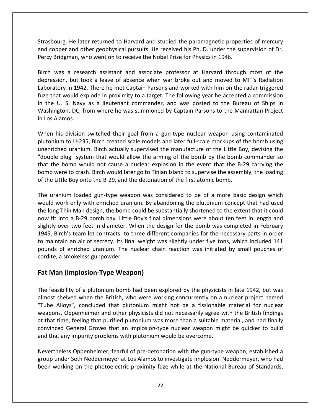He later returned to Harvard and studied the paramagnetic properties of mercury Competent and other and other and studied the paramagnetic properties of mercury<br>Copper and other geophysical pursuits. He received his Ph. D. under the supervision of Dr. Strasbourg. He later returned to Harvard and studied the paramagnetic proper<br>and copper and other geophysical pursuits. He received his Ph. D. under the sup<br>Percv Bridgman, who went on to receive the Nobel Prize for Physic ourg. He later returned to Harvard and studied the paramagnetic properties of mercury<br>ppper and other geophysical pursuits. He received his Ph. D. under the supervision of Dr.<br>Bridgman, who went on to receive the Nobel Pri He later returned to Harvard and studied the paramagnetic properties of mercury<br>and other geophysical pursuits. He received his Ph. D. under the supervision of Dr.<br>han, who went on to receive the Nobel Prize for Physics in Strasbourg. He later returned to Harvard and studied the paramagnetic properties of mercury He later returned to Harvard and studied the paramagnetic properties of mercury<br>and other geophysical pursuits. He received his Ph. D. under the supervision of Dr.<br>man, who went on to receive the Nobel Prize for Physics in and copper and other geophysical pursuits. He received his Ph. D. under the supervision of Dr. Percy Bridgman, who went on to receive the Nobel Prize for Physics in 1946. washington, and the contract of the contract of the contract of the contract of the contract of the contract of the contract of the contract of the contract of the contract of the contract of the contract of the contract o

that would explode in proximity to a target. The following vear he accepted a commission<br>that would explode in proximity to a target. The following years of the<br>that would explode in proximity to a target. The following ye the U. S. Navy as a lieutenant commander, and was posted to the Bureau of Ships in<br>the U. S. Navy as a lieutenant commander, and worked with him on the radar-triggered<br>e that would explode in proximity to a target. The fol The vector assistant and associate professor at Harvard through most of the<br>put took a leave of absence when war broke out and moved to MIT's Radiation<br>1942. There he met Captain Parsons and worked with him on the radar-tr Birch was a resea<br>depression, but to<br>Laboratory in 1942<br>fuze that would ex<br>in the U. S. Navy<br>Washington, DC, fr<br>in Los Alamos. tory in 1942. There he met Captain Parsons and worked with him on the radar-triggered<br>at would explode in proximity to a target. The following year he accepted a commission<br>U. S. Navy as a lieutenant commander, and was pos Laboratory in 1942. There he met Captain Parsons and worked with him on the radar-triggered fuze that would explode in proximity to a target. The following year he accepted a commission ould explode in proximity to a target. The following year he accepted a commission<br>S. Navy as a lieutenant commander, and was posted to the Bureau of Ships in<br>n, DC, from where he was summoned by Captain Parsons to the Man in the U.S. Navy as a lieutenant commander, and was posted to the Bureau of Ships in uranium. Birch actually supervised the manufacture of the Little Boy, devising the Washington, DC, from where he was summoned by Captain Parsons to the Manhattan Project in Los Alamos. bomb

ton, DC, from where he was summoned by Captain Parsons to the Manhattan Project<br>amos.<br>s division switched their goal from a gun-type nuclear weapon using contaminated<br>m to U-235, Birch created scale models and later full-s the bomb.<br>
This division switched their goal from a gun-type nuclear weapon using contaminated<br>
inium to U-235, Birch created scale models and later full-scale mockups of the bomb using<br>
riched uranium. Birch actually supe his division switched their goal from a gun-type nuclear weapon using contaminated<br>ium to U-235, Birch created scale models and later full-scale mockups of the bomb using<br>ched uranium. Birch actually supervised the manufac When his division switched their goal from a gun-type nuclear weapon using contaminated When his division switched their goal from a gun-type nuclear weapon using<br>plutonium to U-235, Birch created scale models and later full-scale mockups of t<br>unenriched uranium. Birch actually supervised the manufacture of t inched uranium. Birch actually supervised the manufacture of the Little Boy, devising the<br>ble plug" system that would allow the arming of the bomb by the bomb commander so<br>the bomb would not cause a nuclear explosion in th unenriched uranium. Birch actually supervised the manufacture of the Little Boy, devising the unenricle union<br>"double plug" system that would allow the arming of the bomb by the bomb commander so e plug" system that would allow the arming of the bomb by the bomb commander so<br>e bomb would not cause a nuclear explosion in the event that the B-29 carrying the<br>were to crash. Birch would later go to Tinian Island to sup that the bomb would not cause a nuclear explosion in the event that the B-29 carrying the long Thin Man design, the bomb could be substantially shortened to the extent that it could long Thin Man design, the bomb could be substantially shortened to the extent that it could long Thin Man design, the bomb could b .<br>hom of the Little Boy onto the B-29, and the detonation of the first atomic bomb. 1945,

by were to crash. Birch would later go to Tinian Island to supervise the assembly, the loading<br>e Little Boy onto the B-29, and the detonation of the first atomic bomb.<br>uranium loaded gun-type weapon was considered to be of ittle Boy onto the B-29, and the detonation of the first atomic bomb.<br>
inium loaded gun-type weapon was considered to be of a more basic design which<br>
york only with enriched uranium. By abandoning the plutonium concept th Franchilland and the steam let contracts to three different companies for the necessary parts in order that had used<br>Birlin Man design, the bomb could be substantially shortened to the extent that it could<br>t into a B-29 bo The uranium loaded gun-type weapon was considered to be of a more basic design which e uranium loaded gun-type weapon was considered to be of a more basic design which<br>uld work only with enriched uranium. By abandoning the plutonium concept that had used<br>elong Thin Man design, the bomb could be substantial would work only with enriched uranium. By abandoning the plutonium concept that had used ork only with enriched uranium. By abandoning the plutonium concept that had used<br>Thin Man design, the bomb could be substantially shortened to the extent that it could<br>nto a B-29 bomb bay. Little Boy's final dimensions we the long Thin Man design, the bomb on now fit into a B-29 bomb bay. Little slightly over two feet in diameter. W<br>1945, Birch's team let contracts to to maintain an air of secrecy. Its fina pounds of enriched uranium. The n *Man* (*Man* **Consultant Consultant Consultant Consults** fit into a B-29 bomb bay. Little Boy's final tly over two feet in diameter. When the differ aintain an air of secrecy. Its final weight what of enriched uranium. The to maintain an air of secrecy. Its final weight was slightly under five tons, which included 141 iaintain an air of secrecy. Its final weight was slightly under five tons, which included 141<br>nds of enriched uranium. The nuclear chain reaction was initiated by small pouches of<br>ite, a smokeless gunpowder.<br>**Man (Implosio** pounds of enriched uranium. The nuclear chain reaction was initiated by small pouches of of enriched uranium. The nuclear chain reaction was initiated by small pouches of<br>a smokeless gunpowder.<br>**an (Implosion-Type Weapon)**<br>sibility of a plutonium bomb had been explored by the physicists in late 1942, but was<br>s cordite, a smokeless gunpowder.

#### **Fat Man (Implosion-Type Weapon)**

Allows", a smokeless gunpowder.<br> **Alloys Transmith (Implosion-Type Weapon)**<br>
Alloys and plutonium bomb had been explored by the physicists in late 1942, but was<br>
shelved when the British, who were working concurrently on a (Implosion-Type Weapon)<br>ility of a plutonium bomb had been explored by the physicists in late 1942, but was<br>elved when the British, who were working concurrently on a nuclear project named<br>oys", concluded that plutonium mi **t Man (Implosion-Type Weapon)**<br>e feasibility of a plutonium bomb had been explored by the physicists in late 1942, but was<br>most shelved when the British, who were working concurrently on a nuclear project named<br>ube Alloys lity of a plutonium bomb had been explored by the physicists in late 1942, but was<br>lved when the British, who were working concurrently on a nuclear project named<br>ys", concluded that plutonium might not be a fissionable ma The feasibility of a plutonium bomb had been explored by the physicists in late 1942, but was The feasibility of a plutonium bomb had been explored by the physicists<br>almost shelved when the British, who were working concurrently on a<br>"Tube Alloys", concluded that plutonium might not be a fissionable<br>weapons. Oppenh beyonded that plutonium might not be a fissionable material for nuclear<br>oenheimer and other physicists did not necessarily agree with the British findings<br>feeling that purified plutonium was more than a suitable material, "Tube Alloys", concluded that plutonium might not be a fissionable material for nuclear<br>weapons. Oppenheimer and other physicists did not necessarily agree with the British findings ins. Oppenheimer and other physicists did not necessarily agree with the British findings<br>
is time, feeling that purified plutonium was more than a suitable material, and had finally<br>
ced General Groves that an implosion-t at that time, feeling that purified plutonium was more than a suitable material, and had finally<br>convinced General Groves that an implosion-type nuclear weapon might be quicker to build<br>and that any impurity problems with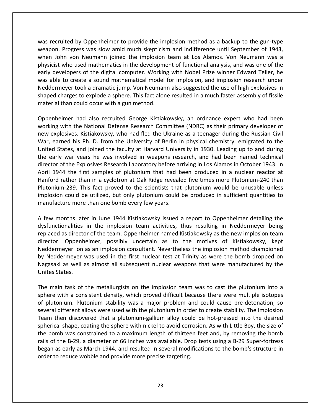recruited by Oppenheimer to provide the implosion method as <sup>a</sup> backup to the gun-type Progress was recruited by Oppenheimer to provide the implosion method as a backup to the gun-type<br>Progress was slow amid much skepticism and indifference until September of 1943, when Figure 2.1 September 10 and the implosion method as a backup to the gun-type<br>The progress was slow amid much skepticism and indifference until September of 1943,<br>John von Neumann joined the implosion team at Los Alamos. Vo ited by Oppenheimer to provide the implosion method as a backup to the gun-type<br>Progress was slow amid much skepticism and indifference until September of 1943,<br>nn von Neumann joined the implosion team at Los Alamos. Von N ecruited by Oppenheimer to provide the implosion method as a backup to the gun-type<br>on. Progress was slow amid much skepticism and indifference until September of 1943,<br>John von Neumann joined the implosion team at Los Ala recruited by Oppenheimer to provide the implosion method as a backup to the gun-type<br>Don. Progress was slow amid much skepticism and indifference until September of 1943,<br>The John von Neumann joined the implosion team at L was recruited by Oppenheimer to provide the implosion method as a backup to the gun-type by Oppenheimer to provide the implosion method as a backup to the gun-type<br>ress was slow amid much skepticism and indifference until September of 1943,<br>on Neumann joined the implosion team at Los Alamos. Von Neumann was a<br> weapon. Progress was slow amid much skepticism and indifference until September of 1943, charges was slow amid much skepticism and indifference until September of 1943, bhn von Neumann joined the implosion team at Los Alamos. Von Neumann was a t who used mathematics in the development of functional analysis, a when John von Neumann joined the implosion<br>physicist who used mathematics in the developme<br>early developers of the digital computer. Workin<br>was able to create a sound mathematical model<br>Neddermeyer took a dramatic jump. Vo rs of the digital computer. Working with Nobel Prize winner Edward Teller, he<br>eate a sound mathematical model for implosion, and implosion research under<br>cook a dramatic jump. Von Neumann also suggested the use of high exp early developers of the digital computer. Working with Nobel Prize winner Edward Teller, he was able to create a sound mathematical model for implosion, and implosion research under to create a sound mathematical model for implosion, and implosion research under<br>neyer took a dramatic jump. Von Neumann also suggested the use of high explosives in<br>harges to explode a sphere. This fact alone resulted in Neddermeyer took a dramatic jump. Von Neumann also suggested the use of high explosives in explore took a dramatic jump. Von Neumann also suggested the use of high explosives in<br>ed charges to explode a sphere. This fact alone resulted in a much faster assembly of fissile<br>rial than could occur with a gun method.<br> shaped charges to explode a sphere. This fact alone resulted in a much faster assembly of fissile material than could occur with a gun method. the

d charges to explode a sphere. This fact alone resulted in a much faster assembly of fissile<br>
ial than could occur with a gun method.<br>
Inheimer had also recruited George Kistiakowsky, an ordnance expert who had been<br>
Ing w I than could occur with a gun method.<br>
Heimer had also recruited George Kistiakowsky, an ordnance expert who had been<br>
I with the National Defense Research Committee (NDRC) as their primary developer of<br>
plosives. Kistiako enheimer had also recruited George Kistiakowsky, an ordnance expert who had been<br>sing with the National Defense Research Committee (NDRC) as their primary developer of<br>explosives. Kistiakowsky, who had fled the Ukraine as Oppenheimer had also recruited George Kistiakowsky, an ordnance expert who had been eimer had also recruited George Kistiakowsky, an ordnance expert who had been<br>with the National Defense Research Committee (NDRC) as their primary developer of<br>losives. Kistiakowsky, who had fled the Ukraine as a teenager working with the National Defense Research Committee (NDRC) as their primary developer of mg with the National Defense Research Committee (NDRC) as their primary developer of explosives. Kistiakowsky, who had fled the Ukraine as a teenager during the Russian Civil earned his Ph. D. from the University of Berlin new explosives. Kistiakowsky, who had fled the Ukraine as a teenager during the Russian Civil losives. Kistiakowsky, who had fled the Ukraine as a teenager during the Russian Civil<br>ned his Ph. D. from the University of Berlin in physical chemistry, emigrated to the<br>tates, and joined the faculty at Harvard Universit War, earned his Ph. D. from the University of Berlin in physical chemistry, emigrated to the Ph. D. from the University of Berlin in physical chemistry, emigrated to the<br>nd joined the faculty at Harvard University in 1930. Leading up to and during<br>ears he was involved in weapons research, and had been named techni United States, and joined the faculty at Harvard University in 1930. Leading up to and during tes, and joined the faculty at Harvard University in 1930. Leading up to and during<br>war years he was involved in weapons research, and had been named technical<br>the Explosives Research Laboratory before arriving in Los Alam the early war years he was involved in weapons research, and had been named technical the early war years he was involved in weapons researdirector of the Explosives Research Laboratory before arrivapril 1944 the first samples of plutonium that had bet Hanford rather than in a cyclotron at Oak Ridge reveale Internal 1944 the first samples of plutonium that had been produced in a nuclear reactor at unford rather than in a cyclotron at Oak Ridge revealed five times more Plutonium-240 than atonium-239. This fact proved to the sc April 1944 the first samples of plutonium that had been produced in a nuclear reactor at Hanford rather than in a cyclotron at Oak Ridge revealed five times more Plutonium-240 than In in a cyclotron at Oak Ridge revealed five times more Plutonium-240 than<br>is fact proved to the scientists that plutonium would be unusable unless<br>e utilized, but only plutonium could be produced in sufficient quantities plutonius m-239. This fact proved to the scientists that plutonium would be unusable unless<br>
a could be utilized, but only plutonium could be produced in sufficient quantities to<br>
cure more than one bomb every few years.<br>
onths late implosion could be utilized, but only plutonium could be produced in sufficient quantities to manufacture more than one bomb every few years.

could be utilized, but only plutonium could be produced in sufficient quantities to<br>re more than one bomb every few years.<br>this later in June 1944 Kistiakowsky issued a report to Oppenheimer detailing the<br>nalities in the i ore than one bomb every few years.<br>
later in June 1944 Kistiakowsky issued a report to Oppenheimer detailing the<br>
les in the implosion team activities, thus resulting in Neddermeyer being<br>
ector of the team. Oppenheimer na ew months later in June 1944 Kistiakowsky issued a report to Oppenheimer detailing the<br>functionalities in the implosion team activities, thus resulting in Neddermeyer being<br>laced as director of the team. Oppenheimer named A few months later in June 1944 Kistiakowsky issued a report to Oppenheimer detailing the<br>dysfunctionalities in the implosion team activities, thus resulting in Neddermeyer being<br>replaced as director of the team. Oppenheim dysfunctionalities in the implosion team activities, thus resulting in Neddermeyer being replaced as director of the team. Oppenheimer named Kistiakowsky as the new implosion team<br>director. Oppenheimer, possibly uncertain as to the motives of Kistiakowsky, kept tor. Oppenheimer, possibly uncertain as to the motives of Kistiakowsky, kept<br>dermeyer on as an implosion consultant. Nevertheless the implosion method championed<br>leddermeyer was used in the first nuclear test at Trinity as Neddermeyer on as an implosion consultant. Nevertheless the implosion method championed meyer on as an implosion consultant. Nevertheless the implosion method championed<br>dermeyer was used in the first nuclear test at Trinity as were the bomb dropped on<br>ki as well as almost all subsequent nuclear weapons that by Neddermeyer was used in the first nuclear test at Trinity as were the bomb dropped on Neddermeyer was used in the first nuclear test at Trinity as were the bomb dropped on<br>gasaki as well as almost all subsequent nuclear weapons that were manufactured by the<br>ites States.<br>Parain task of the metallurgists on t Nagasaki as well as almost all subsequent nuclear weapons that were manufactured by the Unites States. spherical

rails of the B-29, a diameter of 66 inches was available. Drop tests using a B-29 Super-fortress is as well as almost all subsequent nuclear weapons that were manufactured by the<br>different allows were used with the implosion team was to cast the plutonium into a<br>with a consistent density, which proved difficult becaus States.<br>
ain task of the metallurgists on the implosion team was to cast the plutonium into a<br>
twith a consistent density, which proved difficult because there were multiple isotopes<br>
stonium. Plutonium stability was a maj task of the metallurgists on the implosion team was to cast the plutonium into a<br>ith a consistent density, which proved difficult because there were multiple isotopes<br>ium. Plutonium stability was a major problem and could The main task of the metallurgists on the implosion team was to cast the plutonium into a main task of the metallurgists on the implosion team was to cast the plutonium into a<br>ere with a consistent density, which proved difficult because there were multiple isotopes<br>lutonium. Plutonium stability was a major pro sphere with a consistent density, which proved difficult because there were multiple isotopes re with a consistent density, which proved difficult because there were multiple isotopes<br>utonium. Plutonium stability was a major problem and could cause pre-detonation, so<br>ral different alloys were used with the plutoniu of plutonium. Plutonium stability was a major problem and could cause pre-detonation, so conium. Plutonium stability was a major problem and could cause pre-detonation, so<br>I different alloys were used with the plutonium in order to create stability. The Implosion<br>then discovered that a plutonium-gallium alloy several different alloys were used with the plutonium in order to create stability. The Implosion al different alloys were used with the plutonium in ord<br>then discovered that a plutonium-gallium alloy cou<br>cal shape, coating the sphere with nickel to avoid corr<br>omb was constrained to a maximum length of thirted<br>f the B-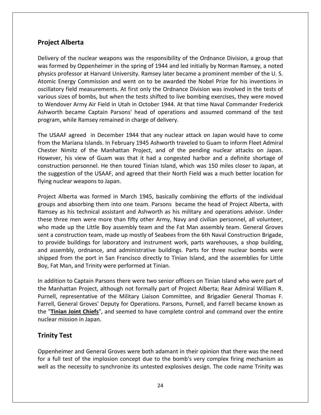## **Alberta Project Alberta** various

Delivery

Alberta<br>
Softhe nuclear weapons was the responsibility of the Ordnance Division, a group that<br>
Alberta Fiamed Alberta<br>Formed by Oppenheimer in the spring of 1944 and led initially by Norman Ramsey, a noted formed by Oppenheimer in the spring of 1944 and led initially by Norman Ramsey, a noted **Project Alberta**<br>Delivery of the nuclear weapons was the responsibility of the Ordnance Division, a group that<br>was formed by Oppenheimer in the spring of 1944 and led initially by Norman Ramsey, a noted<br>physics professor Example of the nuclear weapons was the responsibility of the Ordnance Division, a group that<br>the dividence of the vergion and went on to be awarded initially by Norman Ramsey, a noted<br>professor at Harvard University. Ramse **Iberta**<br>the nuclear weapons was the responsibility of the Ordnance Division, a group that<br>d by Oppenheimer in the spring of 1944 and led initially by Norman Ramsey, a noted<br>fessor at Harvard University. Ramsey later becam of the nuclear weapons was the responsibility of the Ordnance Division, a group that<br>med by Oppenheimer in the spring of 1944 and led initially by Norman Ramsey, a noted<br>professor at Harvard University. Ramsey later became Delivery of the nuclear weapons was the responsibility of the Ordnance Division, a group that livery of the nuclear weapons was the responsibility of the Ordnance Division, a group that<br>s formed by Oppenheimer in the spring of 1944 and led initially by Norman Ramsey, a noted<br>ysics professor at Harvard University. R was formed by Oppenheimer in the spring of 1944 and led initially by Norman Ramsey, a noted<br>physics professor at Harvard University. Ramsey later became a prominent member of the U. S.<br>Atomic Energy Commission and went on physics professor at Harvard University. Ramsey later became a prominent member of the U.S. Atomic Energy Commission and went on to be awarded the Nobel Prize for his inventions in oscillatory field measurements. At first only the Ordnance Division was involved in the tests of various sizes of bombs, but when the latory field measurements. At first only the Ordnance Division was involved in the tests of<br>ous sizes of bombs, but when the tests shifted to live bombing exercises, they were moved<br>Vendover Army Air Field in Utah in Octob various sizes of bombs, but when the tests shifted to live bombing exercises, they were moved In the Mariana Islands. In February 1945 Ashworth traveled to Guam to inform Fleet Admiral<br>the Mariana Islands. In February 1944 At that time Naval Commander Frederick<br>orth became Captain Parsons' head of operations and as to Wendover Army Air Field in Utah in October 1944. At that time Naval Commander Frederick to Wendover Army Air Field in Utah in October 1944. At that time Naval Commander Frederick<br>Ashworth became Captain Parsons' head of operations and assumed command of the test<br>program, while Ramsey remained in charge of del program, while Ramsey remained in charge of delivery. the

became Captain Parsons' head of operations and assumed command of the test<br>
while Ramsey remained in charge of delivery.<br>
Fare agreed in December 1944 that any nuclear attack on Japan would have to come<br>
Mariana Islands. I le Ramsey remained in charge of delivery.<br>
greed in December 1944 that any nuclear attack on Japan would have to come<br>
iana Islands. In February 1945 Ashworth traveled to Guam to inform Fleet Admiral<br>
itz of the Manhattan USAAF agreed in December 1944 that any nuclear attack on Japan would have to come<br>
In the Mariana Islands. In February 1945 Ashworth traveled to Guam to inform Fleet Admiral<br>
ster Nimitz of the Manhattan Project, and of th The USAAF agreed in December 1944 that any nuclear attack on Japan would have to come from the Mariana Islands. In February 1945 Ashworth traveled to Guam to inform Fleet Admiral Chester Nimitz of the Manhattan Project, and of the pending nuclear attacks on Japan. Nimitz of the Manhattan Project, and of the pending nuclear attacks on Japan.<br>
r, his view of Guam was that it had a congested harbor and a definite shortage of<br>
ction personnel. He then toured Tinian Island, which was 150 However, his view of Guam was that it had a congested harbor and a definite shortage of er, his view of Guam was that it had a congested harbor and a definite shortage of<br>ction personnel. He then toured Tinian Island, which was 150 miles closer to Japan, at<br>gestion of the USAAF, and agreed that their North Fi construction personnel. He then toured Tinian Island, which was 150 miles closer to Japan, at ion personnel. He then toured Tinian Island, which was 150 miles closer to Japan, at<br>estion of the USAAF, and agreed that their North Field was a much better location for<br>clear weapons to Japan.<br>Alberta was formed in March the suggestion of the USAAF, and agreed that their North Field was a much better location for flying nuclear weapons to Japan.

the suggestion of the USAAF, and agreed that their North Field was a much better location for<br>flying nuclear weapons to Japan.<br>Project Alberta was formed in March 1945, basically combining the efforts of the individual<br>gro r nuclear weapons to Japan.<br>
ct Alberta was formed in March 1945, basically combining the efforts of the individual<br>
bs and absorbing them into one team. Parsons became the head of Project Alberta, with<br>
ey as his technica Project Alberta was formed in March 1945, basically combining the efforts of the individual<br>groups and absorbing them into one team. Parsons became the head of Project Alberta, with<br>Ramsey as his technical assistant and As Project Alberta was formed in March 1945, basically combining the efforts of the individual<br>groups and absorbing them into one team. Parsons became the head of Project Alberta, with<br>Ramsey as his technical assistant and As ps and absorbing them into one team. Parsons became the head of Project Alberta, with<br>sey as his technical assistant and Ashworth as his military and operations advisor. Under<br>e three men were more than fifty other Army, N groups and absorbing them into one team. Parsons became the head of Project Alberta, with Ramsey as his technical assistant and Ashworth as his military and operations advisor. Under as his technical assistant and Ashworth as his military and operations advisor. Under<br>ree men were more than fifty other Army, Navy and civilian personnel, all volunteer,<br>de up the Little Boy assembly team and the Fat Man these three men were more than fifty other Army, Navy and civilian personnel, all volunteer, who made up the Little Boy assembly team and the Fat Man assembly team. General Groves sent a construction team, made up mostly of Seabees from the 6th Naval Construction Brigade, to provide buildings for laboratory and in sent a construction team, made up mostly of Seabees from the 6th Naval Construction Brigade, addition to Captain Parsons there were two senior officers on Tinian Island who were part of addition to Captain Parsons there were two senior officers on Tinian Island, who were part of addition to Captain Parsons there w to provide buildings for laboratory and instrument work, parts warehouses, a shop building, to provide buildings for laboratory and instrument work, parts warehouses, a shop building,<br>and assembly, ordnance, and administrative buildings. Parts for three nuclear bombs were<br>shipped from the port in San Francisco di and assembly, ordnance, and administrative buildings. Parts for three nuclear bombs were<br>shipped from the port in San Francisco directly to Tinian Island, and the assemblies for Little<br>Boy, Fat Man, and Trinity were perfor Boy, Fat Man, and Trinity were performed at Tinian. nuclear control of the control of the control of the control of the control of the control of the control of the control of the control of the control of the control of the control of the control of the control of the cont

I from the port in San Francisco directly to Tinian Island, and the assemblies for Little<br>
E. Man, and Trinity were performed at Tinian.<br>
ion to Captain Parsons there were two senior officers on Tinian Island who were part Fat Man, and Trinity were performed at Tinian.<br> **Chain of Captain Parsons there were two senior officers on Tinian Island who were part of<br>
Manhattan Project, although not formally part of Project Alberta; Rear Admiral Wil** In addition to Captain Parsons there were two senior officers on Tinian Island who were part of the Manhattan Project, although not formally part of Project Alberta; Rear Admiral William R.<br>Purnell, representative of the M on to Captai<br>hattan Proje<br>representat<br><del>Seneral Grov</del><br>**Test**<br>**Test** Farrell, General Groves' Deputy for Operations. Parsons, Purnell, and Farrell became known as al Groves' Deputy for Operations. Parsons, Purnell, and Farrell became known as<br>
int Chiefs", and seemed to have complete control and command over the entire<br>
in Japan.<br>
and General Groves were both adamant in their opinio the "Tinian Joint Chiefs", and seemed to have complete control and command over the entire **Tinian Joint Chiefs**", and seemed to have complete control and command over the entire<br>
lear mission in Japan.<br> **hity Test**<br>
benheimer and General Groves were both adamant in their opinion that there was the need<br>
a full nuclear mission in Japan.

ear mission in Japan.<br> **ity Test**<br>
enheimer and General Groves were both adamant in their opinion that there was the need<br>
full test of the implosion concept due to the bomb's very complex firing mechanism as<br>
as the neces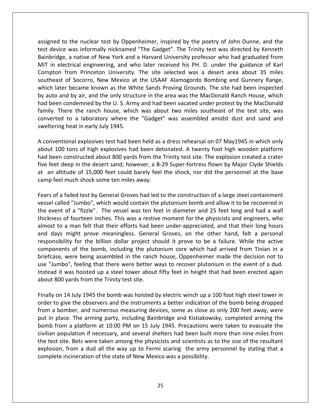to the nuclear test by Oppenheimer, inspired by the poetry of John Dunne, and the med to the nuclear test by Oppenheimer, inspired by the poetry of John Dunne, and the<br>device was informally nicknamed "The Gadget". The Trinity test was directed by Kenneth The nuclear test by Oppenheimer, inspired by the poetry of John Dunne, and the<br>A native of New York and a Harvard University professor who had graduated from in electrical engineering. The Sadget The Trinity test was directed by Kenneth<br>device was informally nicknamed "The Gadget". The Trinity test was directed by Kenneth<br>pridge, a native of New York and a Harvard University pr o the nuclear test by Oppenheimer, inspired by the poetry of John Dunne, and the<br>e was informally nicknamed "The Gadget". The Trinity test was directed by Kenneth<br>e, a native of New York and a Harvard University professor assigned to the nuclear test by Oppenheimer, inspired by the poetry of John Dunne, and the<br>test device was informally nicknamed "The Gadget". The Trinity test was directed by Kenneth<br>Bainbridge, a native of New York and a ed to the nuclear test by Oppenheimer, inspired by the poetry of John Dunne, and the evice was informally nicknamed "The Gadget". The Trinity test was directed by Kenneth idge, a native of New York and a Harvard University assigned to the nuclear test by Oppenheimer, inspired by the poetry of John Dunne, and the test device was informally nicknamed "The Gadget". The Trinity test was directed by Kenneth auto and by air, and the only structure in the area was the MacDonald Ranch House, which and by air, and the only structure in the area was the MacDonald Ranch House, which are a about 35 miles and the MacHon University. T Bainbridge, a native of New York and a Harvard University professor who had graduated from bridge, a native of New York and a Harvard University professor who had graduated from<br>in electrical engineering, and who later received his PH. D. under the guidance of Karl<br>pton from Princeton University. The site select MIT in electrical engineering, and who later received his PH. D. under the guidance of Karl<br>Compton from Princeton University. The site selected was a desert area about 35 miles<br>southeast of Socorro, New Mexico at the USAA Compton from Princeton University. The site selected was a desert area about 35 miles rom Princeton University. The site selected was a desert area about 35 miles<br>of Socorro, New Mexico at the USAAF Alamogordo Bombing and Gunnery Range,<br>became known as the White Sands Proving Grounds. The site had been insp southeast of Socorro, New Mexico at the USAAF Alamogordo Bombing and Gunnery Range, southeast of Socorro, New Mexico at<br>which later became known as the Wh<br>by auto and by air, and the only struce<br>had been condemned by the U.S. Arm<br>family. There the ranch house, whicl<br>converted to a laboratory where the<br>swe r auto and by air, and the only structure in the area was the MacDonald Ranch House, which<br>ad been condemned by the U.S. Army and had been vacated under protest by the MacDonald<br>mily. There the ranch house, which was about by auto and by air, and the only structure in the area was the MacDonald Ranch House, which<br>had been condemned by the U.S. Army and had been vacated under protest by the MacDonald en condemned by the U.S. Army and had been vacated under protest by the MacDonald<br>There the ranch house, which was about two miles southeast of the test site, was<br>ted to a laboratory where the "Gadget" was assembled amidst family. There the ranch house, which was about two miles southeast of the test site, was ly. There the ranch house, which was about two miles southeast of the test site, was<br>verted to a laboratory where the "Gadget" was assembled amidst dust and sand and<br>tering heat in early July 1945.<br>nventional explosives te ت<br>مرج camp

for the desert sand; however, a B-29 Super-fortress flown by Major Clyde Shields<br>five feet deep in the desert sand; however, a B-29 Super-fortress flown by Major Clyde Shields<br>five feet deep in the desert sand; however, a Itering heat in early July 1945.<br>
Subseminate of high explosives test had been held as a dress rehearsal on 07 May1945 in which only<br>
ut 100 tons of high explosives had been detonated. A twenty foot high wooden platform<br>
b A conventional explosives test had been held as a<br>about 100 tons of high explosives had been det<br>had been constructed about 800 yards from the<br>five feet deep in the desert sand; however, a B-2<br>at an altitude of 15,000 feet 100 tons of high explosives had been detonated. A twenty foot high wooden platform<br>een constructed about 800 yards from the Trinity test site. The explosion created a crater<br>eet deep in the desert sand; however, a B-29 Su about 100 tons of high explosives had been detonated. A twenty foot high wooden platform had been constructed about 800 yards from the Trinity test site. The explosion created a crater en constructed about 800 yards from the Trinity test site. The explosion created a crater<br>et deep in the desert sand; however, a B-29 Super-fortress flown by Major Clyde Shields<br>altitude of 15,000 feet could barely feel th five feet deep in the desert sand; however, a B-29 Super-fortress flown by Major Clyde Shields<br>at an altitude of 15,000 feet could barely feel the shock, nor did the personnel at the base<br>camp feel much shock some ten mile at an altitude of 15,000 feet could barely feel the shock, nor did the personnel at the base camp feel much shock some ten miles away. and

The fourteen inches. This was a restive moment for the physicists and engineers, who<br>different inches. This was a restive moment for the physicists and had a wall<br>of fourteen inches. This was a restive moment for the physi their much shock some ten miles away.<br>
In a failed test by General Groves had led to the construction of a large steel containment<br>
alled "Jumbo", which would contain the plutonium bomb and allow it to be recovered in<br>
Int of a failed test by General Groves had led to the construction of a large steel containment<br>
I called "Jumbo", which would contain the plutonium bomb and allow it to be recovered in<br>
vent of a "fizzle". The vessel was ten Fears of a failed test by General Groves had led to the construction of a large steel containment d test by General Groves had led to the construction of a large steel containment<br>lumbo", which would contain the plutonium bomb and allow it to be recovered in<br>l'fizzle". The vessel was ten feet in diameter and 25 feet lo vessel called "Jumbo", which would contain the plutonium bomb and allow it to be recovered in 'Jumbo", which would contain the plutonium bomb and allow it to be recovered in<br>a "fizzle". The vessel was ten feet in diameter and 25 feet long and had a wall<br>ourteen inches. This was a restive moment for the physicists a the event of a "fizzle". The vessel was ten feet in diameter and 25 feet long and had a wall of a "fizzle". The vessel was ten feet in diameter and 25 feet long and had a wall<br>of fourteen inches. This was a restive moment for the physicists and engineers, who<br>a man felt that their efforts had been under-appreciate thickness of fourteen inches. This was a restive moment for the physicists and engineers, who kness of fourteen inches. This was a restive moment for the physicists and engineers, who<br>ost to a man felt that their efforts had been under-appreciated, and that their long hours<br>days might prove meaningless. General Gro almost to a man felt that their efforts had been under-appreciated, and that their long hours it was hoisted up a steel tower about fifty feet in height that had been erected again it was hoisted up a steel tower about fifty feet in height that had arrived from Tinian in a le, were being assembled in the ranch hous and days might prove meaningless. General Groves, on the other hand, felt a personal and days might prove meaningless. Generant responsibility for the billion dollar project sl components of the bomb, including the plut briefcase, were being assembled in the ranch use "Jumbo", feeling that there were bette nents of the bomb, including the plutonium core which had arrived from Tinian in a<br>se, were being assembled in the ranch house, Oppenheimer made the decision not to<br>imbo", feeling that there were better ways to recover plu briefcase, were being assembled in the ranch house, Oppenheimer made the decision not to<br>use "Jumbo", feeling that there were better ways to recover plutonium in the event of a dud.<br>Instead it was hoisted up a steel tower use "Jumbo", feeling that there were better ways to recover plutonium in the event of a dud. lumbo", feeling that there were better ways to recover plutonium in the event of a dud.<br>
Id it was hoisted up a steel tower about fifty feet in height that had been erected again<br>
I 800 yards from the Trinity test site.<br>
I Instead it was hoisted up a steel tower about fifty feet in height that had been erected again about 800 yards from the Trinity test site. civilian

the test site. Bets were taken among the physicists and scientists as to the size of the resultant in place. The arming party, including Bainbridge and Kistiakowsky, completed arming the place. The arming party, including Bainbridge and Kistiakowsky, completed arming the place. The arming party, including Bainbridge and From a platform at 10:00 PM on 15 July 1945. Precautions were taken to evacuate the<br>form a platform at 10:00 PM on 15 July 1945. Precautions were taken to evacuate the<br>from a platform at 10:00 PM on 15 July 1945. Precautio population if necessary, and several shelters had been built more than nine miles from<br>population if necessary, and numerous measuring devices, some as close as only 200 feet away, were<br>place. The arming party, including B Finally on 14 July 1945 the bomb was hoisted by electric winch up a 100 foot high steel tower in Ily on 14 July 1945 the bomb was hoisted by electric winch up a 100 foot high steel tower in<br>er to give the observers and the instruments a better indication of the bomb being dropped<br>n a bomber, and numerous measuring dev order to give the observers and the instruments a better indication of the bomb being dropped In the observers and the instruments a better indication of the bomb being dropped<br>nber, and numerous measuring devices, some as close as only 200 feet away, were<br>e. The arming party, including Bainbridge and Kistiakowsky, from a bomber, and numerous measuring devices, some as close as only 200 feet away, were mber, and numerous measuring devices, some as close<br>ce. The arming party, including Bainbridge and Kistiako<br>m a platform at 10:00 PM on 15 July 1945. Precautions<br>pulation if necessary, and several shelters had been buil<br>te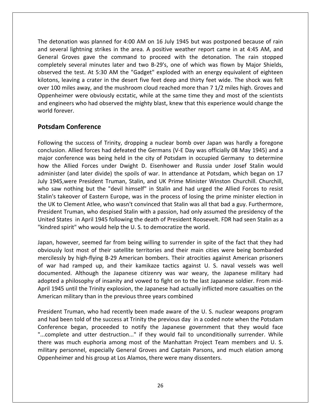detonation was planned for 4:00 AM on <sup>16</sup> July <sup>1945</sup> but was postponed because of rain set and the section of the detonation was planned for 4:00 AM on 16 July 1945 but was postponed because of rain<br>Several lightning strikes in the area. A positive weather report came in at 4:45 AM, and mation was planned for 4:00 AM on 16 July 1945 but was postponed because of rain<br>The command to provide weather report came in at 4:45 AM, and<br>Groves gave the command to proceed with the detonation. The rain stopped The detonation was planned for 4:00 AM on 16 July 1945 but was postponed because of rain<br>and several lightning strikes in the area. A positive weather report came in at 4:45 AM, and<br>General Groves gave the command to proce ation was planned for 4:00 AM on 16 July 1945 but was postponed because of rain<br>al lightning strikes in the area. A positive weather report came in at 4:45 AM, and<br>Groves gave the command to proceed with the detonation. Th nation was planned for 4:00 AM on 16 July 1945 but was postponed because of rain<br>ral lightning strikes in the area. A positive weather report came in at 4:45 AM, and<br>Groves gave the command to proceed with the detonation. The detonation was planned for 4:00 AM on 16 July 1945 but was postponed because of rain detonation was planned for 4:00 AM on 16 July 1945 but was postponed because of rain<br>several lightning strikes in the area. A positive weather report came in at 4:45 AM, and<br>ral Groves gave the command to proceed with the and several lightning strikes in the area. A positive weather report came in at 4:45 AM, and the strikes in the area. A positive weather report came in at 4:45 AM, and<br>the same the command to proceed with the detonation. The rain stopped<br>veral minutes later and two B-29's, one of which was flown by Major Shields,<br> General Groves gave the command to proceed with the detonation. The rain stopped eral Groves gave the command to proceed with the detonation. The rain stopped<br>pletely several minutes later and two B-29's, one of which was flown by Major Shields,<br>erved the test. At 5:30 AM the "Gadget" exploded with an completely several minutes later and two B-29's, one of which was flown by Major Shields, completely several<br>observed the test.<br>kilotons, leaving a<br>over 100 miles awa<br>Oppenheimer were<br>and engineers who<br>world forever. **Conference**<br>
the test. At 5:30 AM the<br>
aving a crater in the de<br>
iles away, and the mush<br>
ner were obviously ecsta<br>
ers who had observed there.<br> **Conference** Oppenheimer were obviously ecstatic, while at the same time they and most of the scientists the success of Trinity, dropping a nuclear bomb over Japan was hardly a foregone<br>the success of Trinity, dropping a nuclear bomb over Japan was hardly a foregone and engineers who had observed the mighty blast, knew that this experience would change the ers who had observed the mighty blast, knew that this experience would change the<br> **Conference**<br>
The success of Trinity, dropping a nuclear bomb over Japan was hardly a foregone<br>
Allied forces had defeated the Germans (V-E world forever.

#### Potsdam Conference

Forever.<br> **am Conference**<br>
ing the success of Trinity, dropping a nuclear bomb over Japan was hardly a foregone<br>
sion. Allied forces had defeated the Germans (V-E Day was officially 08 May 1945) and a<br>
conference was being **dam Conference**<br>ving the success of Trinity, dropping a nuclear bomb over Japan was hardly a foregone<br>usion. Allied forces had defeated the Germans (V-E Day was officially 08 May 1945) and a<br>conference was being held in t **Conference**<br>
he success of Trinity, dropping a nuclear bomb over Japan was hardly a foregone<br>
Allied forces had defeated the Germans (V-E Day was officially 08 May 1945) and a<br>
erence was being held in the city of Potsdam Following the success of Trinity, dropping a nuclear bomb over Japan was hardly a foregone<br>conclusion. Allied forces had defeated the Germans (V-E Day was officially 08 May 1945) and a<br>major conference was being held in th wing the success of Trinity, dropping a nuclear bomb over Japan was hardly a foregone<br>usion. Allied forces had defeated the Germans (V-E Day was officially 08 May 1945) and a<br>r conference was being held in the city of Pots conclus<br>
major<br>
how the<br>
dominis<br>
July 19<br>
who sa ion. Allied forces had defeated the Germans (V-E Day was officially 08 May 1945) and a onference was being held in the city of Potsdam in occupied Germany to determine e Allied Forces under Dwight D. Eisenhower and Russia ...<br>ma major conference was being held in the city of Potsdam in occupied Germany to determine<br>how the Allied Forces under Dwight D. Eisenhower and Russia under Josef Stalin would<br>administer (and later divide) the spoils of war. Allied Forces under Dwight D. Eisenhower and Russia under Josef Stalin would<br>
r (and later divide) the spoils of war. In attendance at Potsdam, which began on 17<br>
were President Truman, Stalin, and UK Prime Minister Winsto how the Allied Forces under Dwight D. Eisenhower and Russia under Josef Stalin would administer (and later divide) the spoils of war. In attendance at Potsdam, which began on 17 ster (and later divide) the spoils of war. In attendance at Potsdam, which began on 17<br>45, were President Truman, Stalin, and UK Prime Minister Winston Churchill. Churchill,<br>w nothing but the "devil himself" in Stalin and July 1945, were President Truman, Stalin, and UK Prime Minister Wins<br>who saw nothing but the "devil himself" in Stalin and had urged the<br>Stalin's takeover of Eastern Europe, was in the process of losing the pr<br>the UK to Cl who saw nothing but the "devil himself" in Stalin and had urged the Allied Forces to resist Stalin's takeover of Eastern Europe, was in the process of losing the prime minister election in takeover of Eastern Europe, was in the process of losing the prime minister election in<br>to Clement Atlee, who wasn't convinced that Stalin was all that bad a guy. Furthermore,<br>ent Truman, who despised Stalin with a passion the UK to Clement Atlee, who wasn't convinced that Stalin was all that bad a guy. Furthermore, Clement Atlee, who wasn't convinced that Stalin was all that bad a guy. Furthermore,<br>Truman, who despised Stalin with a passion, had only assumed the presidency of the<br>tes in April 1945 following the death of President Roo President Truman, who despised Stalin with a passion, had only assumed the presidency of the ruman, who despised Stalin with a passion, had only assumed the presidency of the<br>es in April 1945 following the death of President Roosevelt. FDR had seen Stalin as a<br>irit" who would help the U. S. to democratize the worl United States in April 1945 following the death of President Roosevelt. FDR had seen Stalin as a "kindred spirit" who would help the U.S. to democratize the world. adopted

ted States in April 1945 following the death of President Roosevelt. FDR had seen Stalin as a<br>ndred spirit" who would help the U. S. to democratize the world.<br>an, however, seemed far from being willing to surrender in spit Who would help the U.S. to democratize the world.<br>
Alter world.<br>
Alter the fact that they had<br>
most of their satellite territories and their main cities were being bombarded<br>
high-flying B-29 American bombers. Their atroci Japan, however, seemed far from being willing to surrender in spite of the fact that they had<br>obviously lost most of their satellite territories and their main cities were being bombarded<br>mercilessly by high-flying B-29 Am It is the Trinity explosion, the Japanese had actually inflicted more casualties on the Trinity explosively by high-flying B-29 American bombers. Their atrocities against American prisoners ar had ramped up, and their kami obviously lost most of their satellite territories and their main cities<br>mercilessly by high-flying B-29 American bombers. Their atrocities ag<br>of war had ramped up, and their kamikaze tactics against U. S.<br>documented. Alth mercilessly by high-flying B-29 American bombers. Their atrocities against American prisoners of war had ramped up, and their kamikaze tactics against U. S. naval vessels was well In a ramped up, and their kamikaze tactics against U. S. naval vessels was well<br>ed. Although the Japanese citizenry was war weary, the Japanese military had<br>philosophy of insanity and vowed to fight on to the last Japanese documented. Although the Japanese citizenry was war weary, the Japanese military had mented. Although the Japanese citizenry was war weary, the Japanese military had<br>bted a philosophy of insanity and vowed to fight on to the last Japanese soldier. From mid-<br>1945 until the Trinity explosion, the Japanese ha adopted a philosophy of insanity and vowed to fight on to the last Japanese soldier. From midilosophy of insanity and vowed to fight on to the last Japanese soldier. From mid-<br>til the Trinity explosion, the Japanese had actually inflicted more casualties on the<br>litary than in the previous three years combined<br>uman April 1945 until the Trinity explosion, the Japanese had actually inflicted more casualties on the American military than in the previous three years combined

there was much euphoria among most of the Manhattan Project Team members and U.S. iand the Trinity explosion, the Japanese had actually inflicted more casualties on the<br>itary than in the previous three years combined<br>itary than in the previous three years combined<br>iman, who had recently been made aware American military than in the previous three years combined<br>President Truman, who had recently been made aware of the U. S. nuclear weapons program<br>and had been told of the success at Trinity the previous day in a coded no t Truman, who had recently been made aware of the U.S. nuclear weapons program<br>been told of the success at Trinity the previous day in a coded note when the Potsdam<br>nce began, proceeded to notify the Japanese government th President Truman, who had recently been made aware of the U.S. nuclear weapons program man, who had recently been made aware of the U.S. nu<br>told of the success at Trinity the previous day in a coded<br>egan, proceeded to notify the Japanese government<br>nd utter destruction..." if they would fail to unconditic<br>ch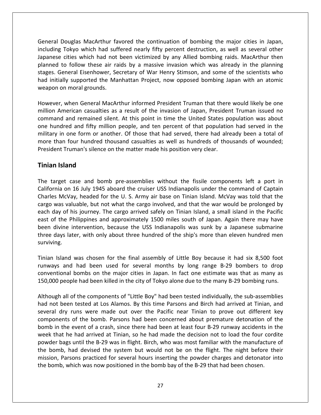Douglas MacArthur favored the continuation of bombing the major cities in Japan, Touglas MacArthur favored the continuation of bombing the major cities in Japan,<br>Tokyo which had suffered nearly fifty percent destruction, as well as several other ouglas MacArthur favored the continuation of bombing the major cities in Japan,<br>Tokyo which had suffered nearly fifty percent destruction, as well as several other<br>cities which had not been victimized by any Allied bombing Douglas MacArthur favored the continuation of bombing the major cities in Japan,<br>Tokyo which had suffered nearly fifty percent destruction, as well as several other<br>cities which had not been victimized by any Allied bombin Douglas MacArthur favored the continuation of bombing the major cities in Japan,<br>g Tokyo which had suffered nearly fifty percent destruction, as well as several other<br>e cities which had not been victimized by any Allied bo eral Douglas MacArthur favored the continuation of bombing the major cities in Japan,<br>ding Tokyo which had suffered nearly fifty percent destruction, as well as several other<br>nese cities which had not been victimized by an General Douglas MacArthur favored the continuation of bombing the major cities in Japan, including Tokyo which had suffered nearly fifty percent destruction, as well as several other<br>Japanese cities which had not been victimized by any Allied bombing raids. MacArthur then cities which had not been victimized by any Allied bombing raids. MacArthur then<br>o follow these air raids by a massive invasion which was already in the planning<br>neral Eisenhower, Secretary of War Henry Stimson, and some o planned to follow these air raids by a massive invasion which was already in the planning I to follow these air raids by a massive invasion which was already in the planning<br>General Eisenhower, Secretary of War Henry Stimson, and some of the scientists who<br>ially supported the Manhattan Project, now opposed bomb stages. General Eisenhower, Secretary of War Henry Stimson, and some of the scientists who neral Eisenhower, Secretary of War Henry Stimson, and some of the scientists who<br>y supported the Manhattan Project, now opposed bombing Japan with an atomic<br>i moral grounds.<br>when General MacArthur informed President Truman had initially supported the Manhattan Project, now opposed bombing Japan with an atomic weapon on moral grounds. more

initially supported the Manhattan Project, now opposed bombing Japan with an atomic<br>bon on moral grounds.<br>ever, when General MacArthur informed President Truman that there would likely be one<br>on American casualties as a re in one moral grounds.<br>
In one form or another. The form of President Truman that there would likely be one<br>
American casualties as a result of the invasion of Japan, President Truman issued no<br>
d and remained silent. At th Then four of the invasion of Japan, President Truman that there would likely be one<br>
I American casualties as a result of the invasion of Japan, President Truman issued no<br>
and and remained silent. At this point in time th However, when General MacArthur informed President Truman that there<br>million American casualties as a result of the invasion of Japan, Presider<br>command and remained silent. At this point in time the United States p<br>one hun *I*, *inter* denoted in<br>American casualtie<br>id and remained s<br>idred and fifty mi<br>in one form or ar<br>an four hundred<br>it Truman's silence military in one form or another. Of those that had served, there had already been a total of ary in one form or another. Of those that had served, there had already been a total of<br>
than four hundred thousand casualties as well as hundreds of thousands of wounded;<br>
dent Truman's silence on the matter made his posi more than four hundred thousand casualties as well as hundreds of thousands of wounded; on four hundred thousand casualties as well as hundreds of thousands of wounded;<br>Truman's silence on the matter made his position very clear.<br> **and**<br>
t case and bomb pre-assemblies without the fissile components left a por President Truman's silence on the matter made his position very clear.

### **Tinian Island**

It Truman's silence on the matter made his position very clear.<br> **Island**<br>
get case and bomb pre-assemblies without the fissile components left a port in<br>
ia on 16 July 1945 aboard the cruiser USS Indianapolis under the co **n Island**<br>arget case and bomb pre-assemblies without the fissile components left a port in<br>nia on 16 July 1945 aboard the cruiser USS Indianapolis under the command of Captain<br>s McVay, headed for the U. S. Army air base o **n Island**<br>carget case and bomb pre-assemblies without the fissile components left a port in<br>rnia on 16 July 1945 aboard the cruiser USS Indianapolis under the command of Captain<br>es McVay, headed for the U. S. Army air bas target case and bomb pre-assemblies without the fissile components left a port in<br>prnia on 16 July 1945 aboard the cruiser USS Indianapolis under the command of Captain<br>es McVay, headed for the U. S. Army air base on Tinia The target case and bomb pre-assemblies without the fissile components left a port in California on 16 July 1945 aboard the cruiser USS Indianapolis under the command of Captain Charles McVay, headed for the U. S. Army air California on 16 July 1945 aboard the cruiser USS Indianapolis under the command of Captain mia on 16 July 1945 aboard the cruiser USS Indianapolis under the command of Captain<br>is McVay, headed for the U. S. Army air base on Tinian Island. McVay was told that the<br>was valuable, but not what the cargo involved, and Charles McVay, headed for the U.S. Army air base on Tinian Island. McVay was told that the cargo was valuable, but not what the cargo involved, and that the war would be prolonged by each day of his journey. The cargo arrived safely on Tinian Island, a small island in the Pacific east of the Philippines and appr Island was chosen for the final assembly of Little Boy because it had six 8,500 foot Island was chosen for the final assembly of Little Boy because it had six 8,500 foot east of the Philippines and approximately 1500 miles south of Japan. Again there may have is per Philippines and approximately 1500 miles south of Japan. Again there may have<br>the intervention, because the USS Indianapolis was sunk by a Japanese submarine<br>s later, with only about three hundred of the ship's more been divine intervention, because the USS Indianapolis was sunk by a Japanese submarine both the major secure the USS Indianapolis was sunk by a Japanese submarine<br>er, with only about three hundred of the ship's more than eleven hundred men<br>was chosen for the final assembly of Little Boy because it had six 8, three days later, with only about three hundred of the ship's more than eleven hundred men

three days later, with only about three hundred of the ship's more than eleven hundred men<br>surviving.<br>Tinian Island was chosen for the final assembly of Little Boy because it had six 8,500 foot<br>runways and had been used fo and was chosen for the final assembly of Little Boy because it had six 8,500 foot<br>and had been used for several months by long range B-29 bombers to drop<br>nal bombs on the major cities in Japan. In fact one estimate was tha Tinian Island was chosen for the final assembly of Little Boy because it had six 8,500 foot In Island was chosen for the final assembly of Little Boy because it had six 8,500 foot ways and had been used for several months by long range B-29 bombers to drop entional bombs on the major cities in Japan. In fact one .<br>دوسرین and had been used for several months by long range B-29 bombers to drop<br>ional bombs on the major cities in Japan. In fact one estimate was that as many as<br>people had been killed in the city of Tokyo alone due to the many B conventional bombs on the major cities in Japan. In fact one estimate was that as many as 150,000 people had been killed in the city of Tokyo alone due to the many B-29 bombing runs. week

powder bags until the B-29 was in flight. Birch, who was most familiar with the manufacture of bombs on the major cities in Japan. In fact one estimate was that as many as<br>le had been killed in the city of Tokyo alone due to the many B-29 bombing runs.<br>of the components of "Little Boy" had been tested individually, ID people had been killed in the city of Tokyo alone due to the many B-29 bombing runs.<br>
In all of the components of "Little Boy" had been tested individually, the sub-assemblies<br>
In all of the components of "Little Boy" h If all of the components of "Little Boy" had been tested individually, the sub-assemblies<br>ot been tested at Los Alamos. By this time Parsons and Birch had arrived at Tinian, and<br>all dry runs were made out over the Pacific Although all of the components of "Little Boy" had been tested individually, the sub-assemblies hall of the components of "Little Boy" had been tested individually, the sub-assemblies<br>been tested at Los Alamos. By this time Parsons and Birch had arrived at Tinian, and<br>dry runs were made out over the Pacific near Tini had not been tested at Los Alamos. By this time Parsons and Birch had arrived at Tinian, and not been tested at Los Alamos. By this time Parsons and Birch had arrived at Tinian, and<br>ral dry runs were made out over the Pacific near Tinian to prove out different key<br>ponents of the bomb. Parsons had been concerned ab several dry runs were made out over the Pacific near Tinian to prove out different key Hry runs were made out over the Pacific near Tinian to prove out different key<br>ents of the bomb. Parsons had been concerned about premature detonation of the<br>the event of a crash, since there had been at least four B-29 ru components of the bomb. Parsons had been concerned about premature detonation of bomb in the event of a crash, since there had been at least four B-29 runway accidents week that he had arrived at Tinian, so he had made the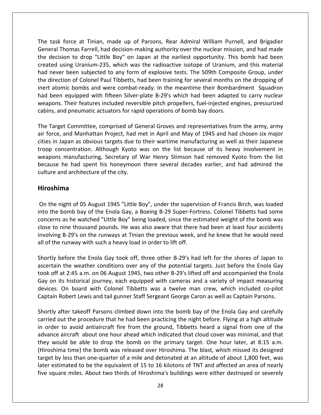task force at Tinian, made up of Parsons. Rear Admiral William Purnell, and Brigadier<br>The Standard Purnell, and brigadier<br>Lask force at Tinian, made up of Parsons. Rear Admiral William Purnell, and Brigadier Thomas Farrell, had decision-making authority over the nuclear mission, and Brigadier<br>Thomas Farrell, had decision-making authority over the nuclear mission, and had made task force at Tinian, made up of Parsons, Rear Admiral William Purnell, and Brigadier<br>eral Thomas Farrell, had decision-making authority over the nuclear mission, and had made<br>decision to drop "Little Boy" on Japan at the If force at Tinian, made up of Parsons, Rear Admiral William Purnell, and Brigadier<br>Thomas Farrell, had decision-making authority over the nuclear mission, and had made<br>sion to drop "Little Boy" on Japan at the earliest op task force at Tinian, made up of Parsons, Rear Admiral William Purnell, and Brigadier<br>eral Thomas Farrell, had decision-making authority over the nuclear mission, and had made<br>decision to drop "Little Boy" on Japan at the task force at Tinian, made up of Parsons, Rear Admiral William Purnell, and Brigadier<br>eral Thomas Farrell, had decision-making authority over the nuclear mission, and had made<br>decision to drop "Little Boy" on Japan at the The task force at Tinian, made up of Parsons, Rear Admiral William Purnell, and Brigadier ask force at Tinian, made up of Parsons, Rear Admiral William Purnell, and Brigadier<br>ral Thomas Farrell, had decision-making authority over the nuclear mission, and had made<br>ecision to drop "Little Boy" on Japan at the ear General Thomas Farrell, had decision-making authority over the nuclear mission, and had made eral Thomas Farrell, had decision-making authority over the nuclear mission, and had made<br>decision to drop "Little Boy" on Japan at the earliest opportunity. This bomb had been<br>ted using Uranium-235, which was the radioact the decision to drop "Little Boy" on Japan at the earliest opportunity. This bomb had been on to drop "Little Boy" on Japan at the earliest opportunity. This bomb had been<br>sing Uranium-235, which was the radioactive isotope of Uranium, and this material<br>been subjected to any form of explosive tests. The 509th Co created using Uranium-235, which was the radioactive isotope of Uranium, and this material created using Uranium-235, which was the radioactive isotope of Uranium,<br>had never been subjected to any form of explosive tests. The 509th Compo<br>the direction of Colonel Paul Tibbetts, had been training for several months direction of Colonel Paul Tibbetts, had been training for several months on the dropping of<br>
t atomic bombs and were combat-ready. In the meantime their Bombardment Squadron<br>
been equipped with fifteen Silver-plate B-29's .<br>inc For a tomic bombs and were combat-ready. In the meantime their Bombardment Squadron<br>I been equipped with fifteen Silver-plate B-29's which had been adapted to carry nuclear<br>apons. Their features included reversible pitch p had been equipped with fifteen Silver-plate B-29's which had been adapted to carry nuclear een equipped with fifteen Silver-plate B-29's which had been adapted to carry nuclear<br>ons. Their features included reversible pitch propellers, fuel-injected engines, pressurized<br>is, and pneumatic actuators for rapid opera weapons. Their features included reversible pitch propellers, fuel-injected engines, pressurized ت میں ہے۔<br>یون cabins because

ns. Their features included reversible pitch propellers, fuel-injected engines, pressurized<br>and pneumatic actuators for rapid operations of bomb bay doors.<br>rget Committee, comprised of General Groves and representatives fr d pneumatic actuators for rapid operations of bomb bay doors.<br>
t Committee, comprised of General Groves and representatives from the army, army<br>
and Manhattan Project, had met in April and May of 1945 and had chosen six ma extra committee, comprised of General Groves and representatives from the army, army<br>and Manhattan Project, had met in April and May of 1945 and had chosen six major<br>apan as obvious targets due to their wartime manufacturi The Target Committee, comprised of Ge<br>air force, and Manhattan Project, had r<br>cities in Japan as obvious targets due to<br>troop concentration. Although Kyoto<br>weapons manufacturing, Secretary of<br>because he had spent his honey weapons manufacturing, Secretary of War Henry Stimson had removed Kyoto from the list pons manufacturing, Secretary of War Henry Stimson had removed Kyoto from the list<br>ause he had spent his honeymoon there several decades earlier, and had admired the<br>ure and architecture of the city.<br>**Oshima**<br>the night of because he had spent his honeymoon there several decades earlier, and had admired the use he had spent his honeymoon there several decades earlier, and had admired the<br>
ire and architecture of the city.<br> **Shima**<br>
the night of 05 August 1945 "Little Boy", under the supervision of Francis Birch, was loaded<br>
t culture and architecture of the city.

#### Hiroshima

na<br>
Ana<br>
ight of 05 August 1945 "Little Boy", under the supervision of Francis Birch, was loaded<br>
Jomb bay of the Enola Gay, a Boeing B-29 Super-Fortress. Colonel Tibbetts had some<br>
as he watched "Little Boy" being loaded, **Shima**<br>The night of 05 August 1945 "Little Boy", under the supervision of Francis Birch, was loaded<br>The bomb bay of the Enola Gay, a Boeing B-29 Super-Fortress. Colonel Tibbetts had some<br>The same was also aware that there **na**<br>Beptived the Saugust 1945 "Little Boy", under the supervision of Francis Birch, was loaded<br>Domb bay of the Enola Gay, a Boeing B-29 Super-Fortress. Colonel Tibbetts had some<br>as he watched "Little Boy" being loaded, si On the night of 05 August 1945 "Little Boy", under the supervi<br>into the bomb bay of the Enola Gay, a Boeing B-29 Super-Fort<br>concerns as he watched "Little Boy" being loaded, since the es<br>close to nine thousand pounds. He w bomb bay of the Enola Gay, a Boeing B-29 Super-Fortress. Colonel Tibbetts had some<br>s as he watched "Little Boy" being loaded, since the estimated weight of the bomb was<br>nine thousand pounds. He was also aware that there ha into the bomb bay of the Enola Gay, a Boeing B-29 Super-Fortress. Colonel Tibbetts had some concerns as he watched "Little Boy" being loaded, since the estimated weight of the bomb was as he watched "Little Boy" being loaded, since the estimated weight of the bomb was<br>ine thousand pounds. He was also aware that there had been at least four accidents<br>B-29's on the runways at Tinian the previous week, and close to nine thousand pounds. He was also aware that there had been at least four accidents to nine thousand pounds. He was also aware that there had been at least four accidents<br>ving B-29's on the runways at Tinian the previous week, and he knew that he would need<br>the runway with such a heavy load in order to li involving B-29's on the runways at Tinian the previous week, and he knew that he would need all of the runway with such a heavy load in order to lift off.

iving B-29's on the runways at Tinian the previous week, and he knew that he would need<br>
f the runway with such a heavy load in order to lift off.<br>
tly before the Enola Gay took off, three other B-29's had left for the sho runway with such a heavy load in order to lift off.<br>
efore the Enola Gay took off, three other B-29's had left for the shores of Japan to<br>
the weather conditions over any of the potential targets. Just before the Enola Gay Shortly before the Enola Gay took off, three other B-29's had left for the shores of Japan to<br>ascertain the weather conditions over any of the potential targets. Just before the Enola Gay<br>took off at 2:45 a.m. on 06 August In the weather conditions over any of the potential targets. Just before the Enola Gay<br>
i at 2:45 a.m. on 06 August 1945, two other B-29's lifted off and accompanied the Enola<br>
its historical journey, each equipped with ca took off at 2:45 a.m. on 06 August 1945, two other B-29's lifted off and accompanied the Enola f at 2:45 a.m. on 06 August 1945, two other B-29's lifted off and accompanied the Enola<br>its historical journey, each equipped with cameras and a variety of impact measuring<br>. On board with Colonel Tibbetts was a twelve man Gay on its historical journey, each equipped with cameras and a variety of impact measuring y on its historical journey, each equipped with cameras and a variety of impact measuring<br>vices. On board with Colonel Tibbetts was a twelve man crew, which included co-pilot<br>otain Robert Lewis and tail gunner Staff Sergea Captain Robert Lewis and tail gunner Staff Sergeant George Caron as well as Captain Parsons.

they would be able to drop the bomb on the primary target. One hour later, at 8:15 a.m. devices. On board with Colonel Tibbetts was a twelve man crew, which included co-pilot<br>Captain Robert Lewis and tail gunner Staff Sergeant George Caron as well as Captain Parsons.<br>Shortly after takeoff Parsons climbed down Captain Robert Lewis and tail gunner Staff Sergeant George Caron as well as Captain Parsons.<br>Shortly after takeoff Parsons climbed down into the bomb bay of the Enola Gay and carefully<br>carried out the procedure that he had It is the bomb was climbed down into the bomb bay of the Enola Gay and carefully<br>the procedure that he had been practicing the night before. Flying at a high altitude<br>avoid antiaircraft fire from the ground, Tibbetts heard Shortly after takeoff Parsons climbed down into the bomb bay of the Enola Gay and carefully of the Enola Gay and carefully<br>
by of the Enola Gay and carefully<br>
but the procedure that he had been practicing the night before. Flying at a high altitude<br>
er to avoid antiaircraft fire from the ground, Tibbetts heard a carried out the procedure that he had been practicing the night before. Flying at a high altitude<br>in order to avoid antiaircraft fire from the ground, Tibbetts heard a signal from one of the<br>advance aircraft about one hour in order to avoid antiaircraft fire from the ground, Tibbetts heard a signal from one of the advance aircraft about one hour ahead which indicated that cloud cover was minimal, and that<br>they would be able to drop the bomb on the primary target. One hour later, at 8:15 a.m.<br>(Hiroshima time) the bomb was released ov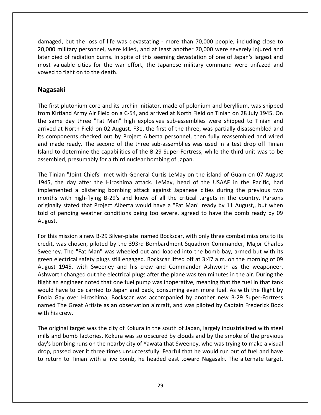but the loss of life was devastating - more than 70,000 people, including close to military personnel, were killed, and at least another 70,000 people, including close to<br>military personnel, were killed, and at least another 70,000 were severely injured and died of radiation burns. In spite of this seeming close to a military personnel, were killed, and at least another 70,000 people, including close to inditary personnel, were killed, and at least another 70,000 were severel valuable cities for the was devastating - more than 70,000 people, including close to<br>initiary personnel, were killed, and at least another 70,000 were severely injured and<br>lied of radiation burns. In spite of this seeming damaged, but the loss of life was devastating - more than 70,000 people, including close to<br>20,000 military personnel, were killed, and at least another 70,000 were severely injured and later died of radiation burns. In spite of this seeming devastation of one of Japan's largest and In the of radiation burns. In spite of this seeming devastation of one of Japan's largest and<br>it valuable cities for the war effort, the Japanese military command were unfazed and<br>ed to fight on to the death.<br>**Example 10.** most valuable cities for the war effort, the Japanese military command were unfazed and valuable cities for the war effort, the Japanese military command were unfazed and<br>
d to fight on to the death.<br> **ISAKi**<br>
ISKIFIANG Army Air Field on a C-54, and arrived at North Field on Tinian on 28 July 1945. On vowed to fight on to the death.

#### Nagasaki and

ed to fight on to the death.<br> **Asaki**<br>
first plutonium core and its urchin initiator, made of polonium and beryllium, was shipped<br>
I Kirtland Army Air Field on a C-54, and arrived at North Field on Tinian on 28 July 1945. **aki**<br>I plutonium core and its urchin initiator, made of polonium and beryllium, was shipped<br>Thand Army Air Field on a C-54, and arrived at North Field on Tinian on 28 July 1945. On<br>The day three "Fat Man" high explosives **gasaki**<br>
e first plutonium core and its urchin initiator, made of polonium and beryllium, was shipped<br>
m Kirtland Army Air Field on a C-54, and arrived at North Field on Tinian on 28 July 1945. On<br>
same day three "Fat Man first plutonium core and its urchin initiator, made of polonium and beryllium, was shipped<br>I Kirtland Army Air Field on a C-54, and arrived at North Field on Tinian on 28 July 1945. On<br>same day three "Fat Man" high explosi The first plutonium core and its urchin initiator, made of polonium and beryllium, was shipped st plutonium core and its urchin initiator, made of polonium and beryllium, was shipped<br>irtland Army Air Field on a C-54, and arrived at North Field on Tinian on 28 July 1945. On<br>me day three "Fat Man" high explosives subfrom Kirtland Army Air Field on a C-54, and arrived at North Field on Tinian on 28 July 1945. On from Kirtland Army Air Field on a C-54, and arrived at North Field<br>the same day three "Fat Man" high explosives sub-assemblies<br>arrived at North Field on 02 August. F31, the first of the three, w<br>its components checked out ed at North Field on 02 August. F31, the first of the three, was partially disassembled and<br>omponents checked out by Project Alberta personnel, then fully reassembled and wired<br>made ready. The second of the three sub-assem arrived at North Field on 02 August. F31, the first of the three, was partially disassembled and its components checked out by Project Alberta personnel, then fully reassembled and wired nponents checked out by Project Alberta personnel, then fully reassembled and wired<br>ade ready. The second of the three sub-assemblies was used in a test drop off Tinian<br>to determine the capabilities of the B-29 Super-Fortr and made ready. The second of the three sub-assemblies was used in a test drop off Tinian dy. The second of the three sub-assemblies was used in a test drop off Tinian<br>mine the capabilities of the B-29 Super-Fortress, while the third unit was to be<br>esumably for a third nuclear bombing of Japan.<br>int Chiefs" met Island to determine the capabilities of the B-29 Super-Fortress, while the third unit was to be assembled, presumably for a third nuclear bombing of Japan. told

determine the capabilities of the B-29 Super-Fortress, while the third unit was to be<br>ed, presumably for a third nuclear bombing of Japan.<br>an "Joint Chiefs" met with General Curtis LeMay on the island of Guam on 07 August<br> Stated that Project Alberta would have a "Fat Man" ready by 11 August.<br>
Stated that Project Alberta would have a "Fat Man" ready by 11 August.<br>
Stated that Project Alberta would have a "Fat Man" ready by 11 August,, but wh Tinian "Joint Chiefs" met with General Curtis LeMay on the island of Guam on 07 August<br>
the day after the Hiroshima attack. LeMay, head of the USAAF in the Pacific, had<br>
emented a blistering bombing attack against Japanese The Tinian "Joint Chiefs" met with General Curtis LeMay on the island of Guam on 07 August implemented a blistering bombing attack against Japanese cities during the previous two<br>months with high-flying B-29's and knew of all the critical targets in the country. Parsons<br>originally stated that Project Alberta wou months with high-flying B-29's and knew of all the critical targets in the country. Parsons with high-flying B-29's and knew of all the critical targets in the country. Parsons<br>lly stated that Project Alberta would have a "Fat Man" ready by 11 August,, but when<br>pending weather conditions being too severe, agreed originally stated that Project Alberta would have a "Fat Man" ready by 11 August,, but when stated that Project Alberta would have a "Fat Man" ready by 11 August,, but when<br>nding weather conditions being too severe, agreed to have the bomb ready by 09<br>ission a new B-29 Silver-plate named Bockscar, with only three August

For this mission a new B-29 Silver-plate named Bockscar, with only three combat missions to its<br>For this mission a new B-29 Silver-plate named Bockscar, with only three combat missions to its<br>credit, was chosen, piloted by August.<br>
For this mission a new B-29 Silver-plate named Bockscar, with only three combat missions to its<br>
credit, was chosen, piloted by the 393rd Bombardment Squadron Commander, Major Charles<br>
Sweeney. The "Fat Man" was w ission a new B-29 Silver-plate named Bockscar, with only three combat missions to its<br>s chosen, piloted by the 393rd Bombardment Squadron Commander, Major Charles<br>The "Fat Man" was wheeled out and loaded into the bomb bay, For this mission a new B-29 Silver-plate named Bockscar, with only three combat missions to its is mission a new B-29 Silver-plate named Bockscar, with only three combat missions to its<br>, was chosen, piloted by the 393rd Bombardment Squadron Commander, Major Charles<br>ney. The "Fat Man" was wheeled out and loaded into credit, was chosen, piloted by the 393rd Bombardment Squadron Commander, Major Charles was chosen, piloted by the 393rd Bombardment Squadron Commander, Major Charles<br>ey. The "Fat Man" was wheeled out and loaded into the bomb bay, armed but with its<br>electrical safety plugs still engaged. Bockscar lifted off a Sweeney. The "Fat Man" was wheeled out and loaded into the bomb bay, armed but with its ey. The "Fat Man" was wheeled out and loaded into the bomb bay, armed but with its electrical safety plugs still engaged. Bockscar lifted off at 3:47 a.m. on the morning of 09 t 1945, with Sweeney and his crew and Commande green electrical safety plugs still engaged. Bockscar lifted off at 3:47 a.m. on the morning of 09<br>August 1945, with Sweeney and his crew and Commander Ashworth as the weaponeer.<br>Ashworth changed out the electrical plugs a August 1945, wit<br>Ashworth changed<br>flight an engineer<br>would have to be<br>Enola Gay over H<br>named The Great<br>with his crew. t an engineer noted that one fuel pump was inoperative, meaning that the fuel in that tank<br>Id have to be carried to Japan and back, consuming even more fuel. As with the flight by<br>a Gay over Hiroshima, Bockscar was accompa flight an engineer noted that one fuel pump was inoperative, meaning that the fuel in that tank<br>would have to be carried to Japan and back, consuming even more fuel. As with the flight by d have to be carried to Japan and back, consuming even more fuel. As with the flight by<br>
Gay over Hiroshima, Bockscar was accompanied by another new B-29 Super-Fortress<br>
d The Great Artiste as an observation aircraft, and Enola Gay over Hiroshima, Bockscar was accompanied by another new B-29 Super-Fortress<br>named The Great Artiste as an observation aircraft, and was piloted by Captain Frederick Bock<br>with his crew.<br>The original target was the Enola Gay over Hiroshima, Bockscar was accompanied by another new B-29 Super-Fortress named The Great Artiste as an observation aircraft, and was piloted by Captain Frederick Bock with his crew.

mills and bomb factories. Kokura was so obscured by clouds and by the smoke of the previous day's bombing runs on the nearby city of Yawata that Sweeney, who was trying to make a visual parameter of the Great Artiste as an observation aircraft, and was piloted by Captain Frederick Bock<br>is crew.<br>riginal target was the city of Kokura in the south of Japan, largely industrialized with steel<br>and bomb factorie return to Tinian with a live bomb, he headed east toward Nagasaki. The alternate target the Tinian with a live bomb, he headed east toward Nagasaki. The alternate target, the smoke of the previous return to Tinian with a l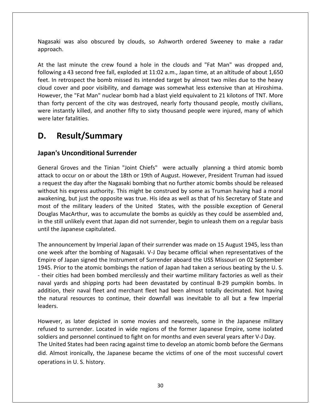was also obscured by clouds, so Ashworth ordered Sweeney to make <sup>a</sup> radar Nagasaki was<br>approach. Nagasaki was also obscured by clouds, so Ashworth ordered Sweeney to make a radar<br>approach.<br>At the last minute the crew found a hole in the clouds and "Fat Man" was dropped and. was also obscured by clouds, so Ashworth ordered Sweeney to make a radar<br>st minute the crew found a hole in the clouds and "Fat Man" was dropped and,<br>a 43 second free fall, exploded at 11:02 a.m., Japan time, at an altitud ر<br>Naga than

Saki was also obscured by clouds, so Ashworth ordered Sweeney to make a radar<br>Dach.<br>The last minute the crew found a hole in the clouds and "Fat Man" was dropped and,<br>Ding a 43 second free fall, exploded at 11:02 a.m., Jap Nagasaki was also obscured by clouds, so Ashworth ordered Sweeney to make a radar<br>approach.<br>At the last minute the crew found a hole in the clouds and "Fat Man" was dropped and,<br>following a 43 second free fall, exploded at t minute the crew found a hole in the clouds and "Fat Man" was dropped and,<br>a 43 second free fall, exploded at 11:02 a.m., Japan time, at an altitude of about 1,650<br>trospect the bomb missed its intended target by almost tw Fig. 2014<br>At the last minute the crew found a hole in the clouds and "Fat Man" was dropped and,<br>following a 43 second free fall, exploded at 11:02 a.m., Japan time, at an altitude of about 1,650<br>feet. In retrospect the bom e last minute the crew found a hole in the clouds and "Fat Man" was dropped and,<br>ing a 43 second free fall, exploded at 11:02 a.m., Japan time, at an altitude of about 1,650<br>n retrospect the bomb missed its intended target At the last minute the crew found a hole in the clouds and "Fat Man" was dropped and,<br>following a 43 second free fall, exploded at 11:02 a.m., Japan time, at an altitude of about 1,650 At the last minute the<br>following a 43 second fre<br>feet. In retrospect the b<br>cloud cover and poor vi<br>However, the "Fat Man"<br>than forty percent of th<br>were instantly killed, an<br>were later fatalities. last minute the crew found a hole in the same of the same of the same over and poor visibility, and damage or, the "Fat Man" nuclear bomb had a rity percent of the city was destroyed stantly killed, and another fifty to si However<br> **Japanese instrance late**<br> **D.** F The "Fat Man" nuclear bomb had a<br> **Under the Surrender** y percent of the city was destroyed<br>
Unconditional Surrender<br>
Unconditional Surrender were later fatalities.

### D.

#### lanan<sup>i</sup>c II sapa

er fatalities.<br> **Signally and the Tinian Tomage Signal Surrender**<br>
Groves and the Tinian "Joint Chiefs" were actually planning a third atomic bomb **Result/Summary**<br> **k Unconditional Surrender**<br> **coccur on or about the 18th or 19th of August. However, President Truman had issued issued Result/Summary**<br> **pan's Unconditional Surrender**<br> **eneral Groves and the Tinian "Joint Chiefs"** were actually planning a third atomic bomb<br>
tack to occur on or about the 18th or 19th of August. However, President Truman h **Unconditional Surrender**<br>
Groves and the Tinian "Joint Chiefs" were actually planning a third atomic bomb<br>
boccur on or about the 18th or 19th of August. However, President Truman had issued<br>
t the day after the Nagasaki **nconditional Surrender**<br>by es and the Tinian "Joint Chiefs" were actually planning a third atomic bomb<br>cur on or about the 18th or 19th of August. However, President Truman had issued<br>e day after the Nagasaki bombing that of the military leaders of the United States, with the possible exception of General<br>of the military leaders of the United States, Pressent Truman had issued<br>and the day after the Nagasaki bombing that no further atomic bo General Groves and the Tinian "Joint Chiefs" were actually planning a third atomic bomb Groves and the Tinian "Joint Chiefs" were actually planning a third atomic bomb<br>
o occur on or about the 18th or 19th of August. However, President Truman had issued<br>
t the day after the Nagasaki bombing that no further at attack to occur on or about the 18th or 19th of August. However, President Truman had issued<br>a request the day after the Nagasaki bombing that no further atomic bombs should be released<br>without his express authority. This a request the day after the Nagasaki bombing that no further atomic bombs should be released a request the day after the Nagasal<br>without his express authority. This<br>awakening, but just the opposite w<br>most of the military leaders of th<br>Douglas MacArthur, was to accumi<br>in the still unlikely event that Japar<br>until th kening, but just the opposite was true. His idea as well as that of his Secretary of State and<br>t of the military leaders of the United States, with the possible exception of General<br>glas MacArthur, was to accumulate the bo most of the military leaders of the United States, with the possible exception of General t of the military leaders of the United States, with the possible exception of General<br>glas MacArthur, was to accumulate the bombs as quickly as they could be assembled and,<br>e still unlikely event that Japan did not surren Douglas MacArthur, was to accumulate the bombs as quickly as they could be assembled and, MacArthur, was to accumulate the bombs as quickly as they could be assembled and,<br>till unlikely event that Japan did not surrender, begin to unleash them on a regular basis<br>and the Japanese capitulated.<br>Japanese capitulate

In the still unlikely event that Japan did not surrender, begin to unleash them on a regular basis<br>
until the Japanese capitulated.<br>
The announcement by Imperial Japan of their surrender was made on 15 August 1945, less th The Japanese capitulated.<br>The announcement by Imperial Japan of their surrender was made on 15 August 1945, less than<br>The week after the bombing of Nagasaki. V-J Day became official when representatives of the<br>Their of Jap Inouncement by Imperial Japan of their surrender was made on 15 August 1945, less than<br>eek after the bombing of Nagasaki. V-J Day became official when representatives of the<br>e of Japan signed the Instrument of Surrender ab The announcement by Imperial Japan of their surrender was made on 15 August 1945, less than uncement by Imperial Japan of their surrender was made on 15 August 1945, less than<br>after the bombing of Nagasaki. V-J Day became official when representatives of the<br>Japan signed the Instrument of Surrender aboard the USS one week after the bombing of Nagasaki. V-J Day became official when representatives of the week after the bombing of Nagasaki. V-J Day became official when representatives of the<br>ire of Japan signed the Instrument of Surrender aboard the USS Missouri on 02 September<br>i. Prior to the atomic bombings the nation of Empire of Japan signed the Instrument of Surrender aboard the USS Missouri on 02 September - their cities<br>naval yards<br>addition, the<br>the natural<br>leaders. is had been bombed mercilessly and their wartime military factories as well as their<br>s and shipping ports had been devastated by continual B-29 pumpkin bombs. In<br>heir naval fleet and merchant fleet had been almost totally refused<br>Trining rds and shipping ports had been devastated by continual B-29 pumpkin bombs. In<br>their naval fleet and merchant fleet had been almost totally decimated. Not having<br>aral resources to continue, their downfall was inevitable to addition, their naval fleet and merchant fleet had been almost totally decimated. Not having<br>the natural resources to continue, their downfall was inevitable to all but a few Imperial<br>leaders.<br>However, as later depicted in leaders.

The United States had been racing against time to develop an atomic bomb before the Germans natural resources to continue, their downfall was inevitable to all but a few Imperial<br>ers.<br>vever, as later depicted in some movies and newsreels, some in the Japanese military<br>sed to surrender. Located in wide regions of ever, as later depicted in some movies and newsreels, some in the Japanese military<br>sed to surrender. Located in wide regions of the former Japanese Empire, some isolated<br>ers and personnel continued to fight on for months Im later depict<br>
surrender. Loc<br>
d personnel cor<br>
States had bee<br>
in U. S. history.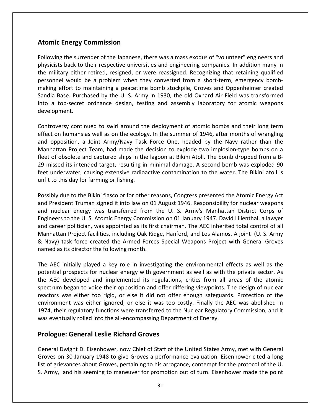# **Energy Commission Atomic Energy Commission**

the surrender of the Japanese, there was a mass exodus of "volunteer" engineers and<br>The surrender of the Japanese, there was a mass exodus of "volunteer" engineers and **Commission**<br>
the surrender of the Japanese, there was a mass exodus of "volunteer" engineers and<br>
back to their respective universities and engineering companies. In addition many in mic Energy Commission<br>
polyton powing the surrender of the Japanese, there was a mass exodus of "volunteer" engineers and<br>
sicists back to their respective universities and engineering companies. In addition many in<br>
milit **Atomic Energy Commission**<br>Following the surrender of the Japanese, there was a mass exodus of "volunteer" engineers and<br>physicists back to their respective universities and engineering companies. In addition many in<br>the m Energy Commission<br>
In the surrender of the Japanese, there was a mass exodus of "volunteer" engineers and<br>
In addition many in<br>
In addition many in<br>
Intary either retired, resigned, or were reassigned. Recognizing that ret Base. Purchase of the Japanese, there was a mass exodus of "volunteer" engineers and<br>tis back to their respective universities and engineering companies. In addition many in<br>itary either retired, resigned, or were reassign ان<br>Follo wing the surrender of the Japanese, there was a mass exodus of "volunteer" engineers and<br>cists back to their respective universities and engineering companies. In addition many in<br>nilitary either retired, resigned, or were physicists back to their respective universities and engineering companies. In addition many in personnel would be a problem when they converted from a short-term, emergency bomb-<br>making effort to maintaining a peacetime bomb stockpile, Groves and Oppenheimer created<br>Sandia Base. Purchased by the U. S. Army in 1930, personnel would be a problem when they converted from a short-term, emergency bomb-<br>making effort to maintaining a peacetime bomb stockpile, Groves and Oppenheimer created g effort to maintaining a peacetime bomb stockpile, Groves and Oppenheimer created<br>
Base. Purchased by the U. S. Army in 1930, the old Oxnard Air Field was transformed<br>
top-secret ordnance design, testing and assembly labo Sandia Base. Purchased by the U. S. Army in 1930, the old Oxnard Air Field was transformed<br>into a top-secret ordnance design, testing and assembly laboratory for atomic weapons<br>development.<br>Controversy continued to swirl a development.

into a top-secret ordnance design, testing and assembly laboratory for atomic weapons<br>development.<br>Controversy continued to swirl around the deployment of atomic bombs and their long term<br>effect on humans as well as on the development.<br>
Controversy continued to swirl around the deployment of atomic bombs and their long term<br>
effect on humans as well as on the ecology. In the summer of 1946, after months of wrangling<br>
and opposition, a Joint metroversy continued to swirl around the deployment of atomic bombs and their long term<br>ect on humans as well as on the ecology. In the summer of 1946, after months of wrangling<br>al opposition, a Joint Army/Navy Task Force Controversy continued to swirl around the deployment of atomic bombs and their long term<br>effect on humans as well as on the ecology. In the summer of 1946, after months of wrangling<br>and opposition, a Joint Army/Navy Task F effect on humans as well as on the ecology. In the summer of 1946, after months of wrangling and opposition, a Joint Army/Navy Task Force One, headed by the Navy rather than the Manhattan Project Team, had made the decision to explode two implosion-type bombs on a an Project Team, had made the decision to explode two implosion-type bombs on a bbsolete and captured ships in the lagoon at Bikini Atoll. The bomb dropped from a B--d its intended target, resulting in minimal damage. A se fleet of obsolete and captured ships in the lagoon at Bikini Atoll. The bomb dropped from a Bor of obsolete and captured ships in the lagoon at Bikini Atoll. The bomb dropped from a B-<br>nissed its intended target, resulting in minimal damage. A second bomb was exploded 90<br>underwater, causing extensive radioactive c 29 missed its intended target, resulting in minimal damage. A second bomb was exploded 90 issed its intended target, resulting in minimal damage. A second bomb was exploded 90<br>underwater, causing extensive radioactive contamination to the water. The Bikini atoll is<br>to this day for farming or fishing.<br>bly due to feet underwater, causing extensive radioactive contamination to the water. The Bikini atoll is unfit to this day for farming or fishing. Manhattan

The U. S. Atomic Energy Commission on 01 January 1947. David Lilienthal, a lawyer to the U. S. Atomic Energy Commission on 01 January 1947. David Lilienthal, a lawyer care to this day for farming or fishing.<br>
ibly due to the Bikini fiasco or for other reasons, Congress presented the Atomic Energy Act<br>
President Truman signed it into law on 01 August 1946. Responsibility for nuclear weap Provide to the Bikini fiasco or for other reasons, Congress presented the Atomic Energy Act<br>
In Truman signed it into law on 01 August 1946. Responsibility for nuclear weapons<br>
In energy was transferred from the U. S. Army Possibly due to the Bikini fiasco or for other reasons, Congress presented the Atomic Energy Act ssibly due to the Bikini fiasco or for other reasons, Congress presented the Atomic Energy Act<br>d President Truman signed it into law on 01 August 1946. Responsibility for nuclear weapons<br>d nuclear energy was transferred fr and President Truman signed it into law on 01 August 1946. Responsibility for nuclear weapons and nuclear energy was transferred from the U. S. Army's Manhattan District Corps of Engineers to the U. S. Atomic Energy Commission on 01 January 1947. David Lilienthal, a lawyer neers to the U. S. Atomic Energy Commission on 01 January 1947. David Lilienthal, a lawyer<br>career politician, was appointed as its first chairman. The AEC inherited total control of all<br>hattan Project facilities, including and career politician, was appointed as its first chairman. The AEC inherited total control of all r politician, was appointed as its first chairman. The AEC inherited total control of all<br>n Project facilities, including Oak Ridge, Hanford, and Los Alamos. A joint (U. S. Army<br>ask force created the Armed Forces Special W Manhattan Project facilities, including Oak Ridge, Hanford, and Los Alamos. A joint (U. S. Army hattan Project facilities, including Oak Ridge, Hanford, and Los Alamos. A joint (U. S. Army<br>avy) task force created the Armed Forces Special Weapons Project with General Groves<br>ed as its director the following month.<br>AEC & Navy) task force created the Armed Forces Special Weapons Project with General Groves named as its director the following month. environment

ask force created the Armed Forces Special Weapons Project with General Groves<br>its director the following month.<br>nitially played a key role in investigating the environmental effects as well as the<br>prospects for nuclear en is its director the following month.<br>
initially played a key role in investigating the environmental effects as well as the<br>
prospects for nuclear energy with government as well as with the private sector. As<br>
developed an ally played a key role in investigating the environmental effects as well as the<br>spects for nuclear energy with government as well as with the private sector. As<br>eloped and implemented its regulations, critics from all are The AEC initially played a key role in investigating the environmental effects as well as the EC initially played a key role in investigating the environmental effects as well as the<br>tial prospects for nuclear energy with government as well as with the private sector. As<br>EC developed and implemented its regulations potential prospects for nuclear energy with government as well as with the private sector. As the AEC developed and implemented its regulations, critics from all areas of the atomic spectrum began to voice their opposition and offer differing viewpoints. The design of nuclear reactors was either too rigid, or else **Experience the interest called** interest on the set of the set of the set of the set of the set of the set of the set of the set of the set of the set of the set of the set of the set of the set of the set of the set of t environment was either ignored, or else it was too costly. Finally the AEC was abolished in ment was either ignored, or else it was too costly. Finally the AEC was abolished in<br>eir regulatory functions were transferred to the Nuclear Regulatory Commission, and it<br>intually rolled into the all-encompassing Departme 1974, their regulatory functions were transferred to the Nuclear Regulatory Commission, and it neir regulatory functions were transferred to the Nuclear Regulatory Commission, and it<br>
intually rolled into the all-encompassing Department of Energy.<br> **ue: General Leslie Richard Groves**<br>
Dwight D. Eisenhower, now Chief was eventually rolled into the all-encompassing Department of Energy.

was eventually rolled into the all-encompassing Department of Energy.<br> **Prologue: General Leslie Richard Groves**<br>
General Dwight D. Eisenhower, now Chief of Staff of the United States Army, met with General<br>
Groves on 30 J **Cologue: General Leslie Richard Groves**<br>
Army, met with General<br>
Division of Staff of the United States Army, met with General<br>
Division of the point<br>
Cologies and his seeming to the promotion out of turn. Eisenhower made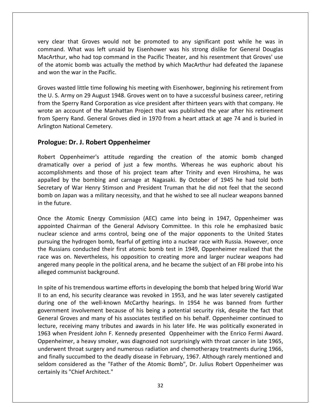clear that Groves would not be promoted to any significant post while he was in Mat Groves would not be promoted to any significant post while he was in<br>What was left unsaid by Eisenhower was his strong dislike for General Douglas what Groves would not be promoted to any significant post while he was in<br>What was left unsaid by Eisenhower was his strong dislike for General Douglas<br>Who had top command in the Pacific Theater, and his resentment that Gr the atomic bomb was left unsaid by the promoted to any significant post while he was in<br>the atomic What was left unsaid by Eisenhower was his strong dislike for General Douglas<br>in the atomic bomb was actually the method by very clear that Groves would not be promoted to any significant post while he was in ear that Groves would not be promoted to any significant post while he was in<br>nd. What was left unsaid by Eisenhower was his strong dislike for General Douglas<br>hur, who had top command in the Pacific Theater, and his resen command. What was left unsaid by Eisenhower was his strong dislike for General Douglas I. S. Army on 29 August 1948. Groves went on to have a successful business career, retiring<br>U.S. Army on 29 August 1948. Groves went on to have a successful business career, retiring<br>U.S. Army on 29 August 1948. Groves wen MacArthur, who had top command in the Pacific Theater, and his resentment that Groves' use In thur, who had top command in the Pacific Theater, and his resentment that Groves' use<br>
The atomic bomb was actually the method by which MacArthur had defeated the Japanese<br>
Species was vice president after thirteen year of the atomic bomb was actually the method by which MacArthur had defeated the Japanese and won the war in the Pacific.

atomic bomb was actually the method by which MacArthur had defeated the Japanese<br>on the war in the Pacific.<br>wasted little time following his meeting with Eisenhower, beginning his retirement from<br>S. Army on 29 August 1948. Sperry Rand Corporation as vice president after thirteen years with that company.<br>
Sperry Rand Corporation as vice president after thirteen years with that company. He<br>
Sperry Rand Corporation as vice president after thirt Groves wasted little time following his meeting with Eisenhower, beginning his retirement from the U. S. Army on 29 August 1948. Groves went on to have a successful business career, retiring from the Sperry Rand Corporatio red little time following his meeting with<br>the only on 29 August 1948. Groves went on<br>erry Rand Corporation as vice president<br>count of the Manhattan Project that<br>Rand. General Groves died in 1970 fro<br>tional Cemetery.<br>**Dr.** wrote an account of the Manhattan Project that was published the year after his retirement n account of the Manhattan Project that was published the year after his retirement<br>erry Rand. General Groves died in 1970 from a heart attack at age 74 and is buried in<br>I National Cemetery.<br>**I.e.: Dr. J. Robert Oppenheime** from Sperry Rand. General Groves died in 1970 from a heart attack at age 74 and is buried in over <sup>a</sup> period of just <sup>a</sup> few months. Whereas he was euphoric about his Arlington National Cemetery. appalled

#### Drologu  $\cdots$

Cemetery.<br> **Robert Oppenheimer**<br>
mer's attitude regarding the creation of the atomic bomb changed<br>
a period of just a few months. Whereas he was euphoric about his<br>
and those of his project team after Trinity and even Hiro **Example 19 The Bombing and Compenheimer**<br> **Example and carnage at Nagasaki. By October of 1945 he had told both**<br>
by the bombing and carnage at Nagasaki. By October of 1945 he had told both **Example Show The President Cypenheimer**<br>ppenheimer's attitude regarding the creation of the atomic bomb changed<br>lly over a period of just a few months. Whereas he was euphoric about his<br>nments and those of his project tea gact Division Coppennicum.<br>
I Oppenheimer's attitude regarding the creation of the atomic bomb changed<br>
tically over a period of just a few months. Whereas he was euphoric about his<br>
plishments and those of his project tea Robert Oppenhe<br>dramatically over<br>accomplishments<br>appalled by the<br>Secretary of War<br>bomb on Japan w<br>in the future. plishments and those of his project team after Trinity and even Hiroshima, he was<br>ed by the bombing and carnage at Nagasaki. By October of 1945 he had told both<br>ary of War Henry Stimson and President Truman that he did not accomplishments and those of his project team after Trinity and even Hiroshima, he was appalled by the bombing and carnage at Nagasaki. By October of 1945 he had told both y the bombing and carnage at Nagasaki. By October of 1945 he had told both<br>of War Henry Stimson and President Truman that he did not feel that the second<br>pan was a military necessity, and that he wished to see all nuclear Secretary of War Henry Stimson and President Truman that he did not feel that the second schiff war Henry Stimson and President Truman that he did not feel that the second<br>
I Japan was a military necessity, and that he wished to see all nuclear weapons banned<br>
ture.<br>
e Atomic Energy Commission (AEC) came into bomb on Japan was a military necessity, and that he wished to see all nuclear weapons banned in the future. race

Japan was a military necessity, and that he wished to see all nuclear weapons banned<br>ure.<br>2 Atomic Energy Commission (AEC) came into being in 1947, Oppenheimer was<br>4 Chairman of the General Advisory Committee. In this role re future.<br>
Russians conducted their first atomic bomb test in 1947, Oppenheimer was<br>
pointed Chairman of the General Advisory Committee. In this role he emphasized basic<br>
ear science and arms control, being one of the maj the Atomic Energy Commission (AEC) came into being in 1947, Oppenheimer was<br>inted Chairman of the General Advisory Committee. In this role he emphasized basic<br>ar science and arms control, being one of the major opponents t Once the Atomic Energy Commission (AEC) came into being in 1947, Oppenheimer was<br>appointed Chairman of the General Advisory Committee. In this role he emphasized basic<br>nuclear science and arms control, being one of the maj appointed Chairman of the Genera<br>nuclear science and arms control,<br>pursuing the hydrogen bomb, fearfu<br>the Russians conducted their first a<br>race was on. Nevertheless, his opp<br>angered many people in the politica<br>alleged comm nuclear science and arms control, being one of the major opponents to the United States pursuing the hydrogen bomb, fearful of getting into a nuclear race with Russia. However, once rsuing the hydrogen bomb, fearful of getting into a nuclear race with Russia. However, once<br>e Russians conducted their first atomic bomb test in 1949, Oppenheimer realized that the<br>ce was on. Nevertheless, his opposition t the Russians conducted their first atomic bomb test in 1949, Oppenheimer realized that the e Russians conducted their first atomic bomb test in 1949, Oppenheimer realized that the<br>ce was on. Nevertheless, his opposition to creating more and larger nuclear weapons had<br>gered many people in the political arena, and race was on. Nevertheless, his opposition to creating more and larger nuclear weapons had is on. Nevertheless, his opposition to creating more and larger nuclear weapons had<br>I many people in the political arena, and he became the subject of an FBI probe into his<br>communist background.<br>of his tremendous wartime e angered many people in the political arena, and he became the subject of an FBI probe into his alleged communist background.  $\frac{1}{2}$ 

Oppenheimer, a heavy smoker, was diagnosed not surprisingly with throat cancer in late 1965, involvement because of his being a potential security risk, despite the fact that<br>involvement because of his being a potential security clearance was revoked in 1953, and he was later severely castigated<br>of the well-known Franch many of his tremendous wartime efforts in developing the bomb that helped bring World War<br>end, his security clearance was revoked in 1953, and he was later severely castigated<br>one of the well-known McCarthy hearings of his tremendous wartime efforts in developing the bomb that helped bring World War<br>end, his security clearance was revoked in 1953, and he was later severely castigated<br>one of the well-known McCarthy hearings. In 1954 he In spite of his tremendous wartime efforts in developing the bomb that helped bring World War In spite of his tremendous wartime efforts in developing the bomb that helped bring World War<br>II to an end, his security clearance was revoked in 1953, and he was later severely castigated<br>during one of the well-known McCa II to an end, his security clearance was revoked in 1953, and he was later severely castigated<br>during one of the well-known McCarthy hearings. In 1954 he was banned from further<br>government involvement because of his being during one of the well-known McCarthy hearings. In 1954 he was banned from further government involvement because of his being a potential security risk, despite the fact that General Groves and many of his associates test Finally succumbed to the deadly disease in February, 1967. Although rarely mentioned and<br>the deadly succumbed to the deadly disease in this later life. He was politically exonerated in<br>3 when President John F. Kennedy pres government involvement because of his being a potential security risk, despite the fact that General Groves and many of his associates testified on his behalf. Oppenheimer continued to Groves and many of his associates testified on his behalf. Oppenheimer continued to receiving many tributes and awards in his later life. He was politically exonerated in nen President John F. Kennedy presented Oppenheimer Ecture, receiving many tributed<br>1963 when President John F.<br>Oppenheimer, a heavy smoke<br>underwent throat surgery and<br>and finally succumbed to the<br>seldom considered as the "F<br>certainly its "Chief Architect."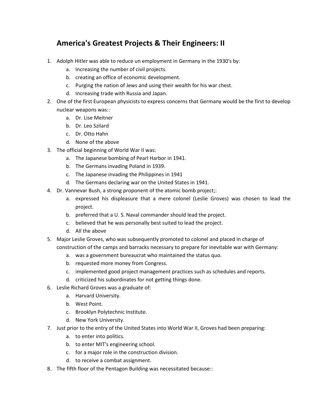## **America's Greatest Projects & Their Engineers: II** America's Greatest Projects & Their Engineers: II<br>Adolph Hitler was able to reduce un employment in Germany in the 1930's by: **1erica's Greatest Projects & Thei**<br>Iph Hitler was able to reduce un employment in<br>a. Increasing the number of civil projects. **nerica's Greatest Projects & Their En<br>Iph Hitler was able to reduce un employment in Germ<br>a. Increasing the number of civil projects.<br>b. creating an office of economic development. nerica's Greatest Projects & Their Engineers: II**<br>Iph Hitler was able to reduce un employment in Germany in the 1930's by:<br>a. Increasing the number of civil projects.<br>b. creating an office of economic development.<br>c. Purg

- 1. Adolph Hitler was able to reduce un employment in<br>
a. Increasing the number of civil projects.<br>
b. creating an office of economic development<br>
c. Purging the nation of Jews and using their w<br>
d. Increasing trade with Ru nuclear
	-
	-
	-
	-
- Adolph Hitler was able to reduce un employment in Germany in the 1930's by:<br>
a. Increasing the number of civil projects.<br>
b. creating an office of economic development.<br>
c. Purging the nation of Jews and using their wealth Increasing the numl<br>creating an office of<br>Purging the nation of<br>Increasing trade withe<br>first European pl<br>weapons was:: a. Increasing the namber<br>b. creating an office of ec<br>c. Purging the nation of J<br>d. Increasing trade with F<br>of the first European phys<br>ear weapons was::<br>a. Dr. Lise Meitner b. Creating an once of ecc.<br>
c. Purging the nation of Je<br>
d. Increasing trade with Ru<br>
of the first European physic<br>
ear weapons was::<br>
a. Dr. Lise Meitner<br>
b. Dr. Leo Szilard d. Increasing trade with Ru<br>of the first European physic<br>ear weapons was::<br>a. Dr. Lise Meitner<br>b. Dr. Leo Szilard<br>C. Dr. Otto Hahn d. Thereasing trade with hassien<br>of the first European physicists<br>ear weapons was::<br>a. Dr. Lise Meitner<br>b. Dr. Leo Szilard<br>c. Dr. Otto Hahn<br>d. None of the above  $\ddot{\phantom{0}}$ one of the mat Earopean physicses to express<br>
nuclear weapons was::<br>
a. Dr. Lise Meitner<br>
b. Dr. Leo Szilard<br>
c. Dr. Otto Hahn<br>
d. None of the above<br>
The official beginning of World War II was: nuclear weapons was::<br>a. Dr. Lise Meitner
	-
	-
	-
	- c. Dr. Otto Hahn<br>d. None of the above
- a.
- a. Dr. Lise Meitner<br>
b. Dr. Leo Szilard<br>
c. Dr. Otto Hahn<br>
d. None of the above<br>
official beginning of World War II was:<br>
a. The Japanese bombing of Pearl Harbor in 1941. a. Dr. Lise Welther<br>
b. Dr. Leo Szilard<br>
c. Dr. Otto Hahn<br>
d. None of the above<br>
official beginning of World War II was:<br>
a. The Japanese bombing of Pearl Harbor in 1<br>
b. The Germans invading Poland in 1939. Dr. Otto Hahn<br>None of the above<br>cial beginning of World War II was:<br>The Japanese bombing of Pearl Harbor in 1941.<br>The Germans invading Poland in 1939.<br>The Japanese invading the Philippines in 1941 d. None of the above<br>3. The official beginning of World War II was:<br>a. The Japanese bombing of Pearl Harbor in 1941.<br>b. The Germans invading Poland in 1939.<br>c. The Japanese invading the Philippines in 1941<br>d. The Germans d
	- b. The Germans invading Poland in 1939.
	-
	- The official beginning of World War II was:<br>
	a. The Japanese bombing of Pearl Harbor in 1941.<br>
	b. The Germans invading Poland in 1939.<br>
	c. The Japanese invading the Philippines in 1941<br>
	d. The Germans declaring war on the
- 4. Dr. Vannevar Bush, a strong proponent of the atomic bomb project;:
- Final Beginning of World Wall it Was.<br>The Japanese bombing of Pearl Harbor in 1941.<br>The Germans invading the Philippines in 1941<br>The Germans declaring war on the United States in 1941.<br>Nevar Bush, a strong proponent of the c. The Japanese invading the Philippines in 1941<br>d. The Germans declaring war on the United States in 1941.<br>Vannevar Bush, a strong proponent of the atomic bomb project<br>a. expressed his displeasure that a mere colonel (Les preferred that a U. S. Naval commander should lead the project.<br>
The Germans declaring war on the United States in 1941.<br>
Vannevar Bush, a strong proponent of the atomic bomb project;<br>
a. expressed his displeasure that a m believed that he was personally best suited States in 1941.<br>
Mannevar Bush, a strong proponent of the atomic bomb project;<br>
a. expressed his displeasure that a mere colonel (Leslie Groves) v<br>
project.<br>
b. preferred that a The Semans accuring<br>
Nevar Bush, a strong pr<br>
expressed his displea<br>
project.<br>
preferred that a U. S. I<br>
believed that he was p<br>
All the above Major Leslie Groves, who was subsequently promoted to colonel and placed in charge of<br>Major Leslie Groves, who was subsequently promoted to colonel and placed in charge of<br>Major Leslie Groves, who was subsequently promoted  $\alpha$ .  $\alpha$ 
	- b. preferred that a U.S. Naval commander should lead the project.
	-
	-
- Figures and barracks necessary to prepare for inevitable war with Germany:<br>of the camps and barracks necessary to prepare for inevitable war with Germany:<br>of the camps and barracks necessary to prepare for inevitable war w b. preferred that a U. S. Naval commander should lead the project.<br>
c. believed that he was personally best suited to lead the project.<br>
d. All the above<br>
or Leslie Groves, who was subsequently promoted to colonel and plac referred that a of 5. Navar commander show<br>c. believed that he was personally best suited<br>d. All the above<br>or Leslie Groves, who was subsequently promot<br>struction of the camps and barracks necessary to<br>a. was a government Entered that he was personally sest sancel to lead the project.<br>
In All the above<br>
or Leslie Groves, who was subsequently promoted to colonel and placed in charge of<br>
struction of the camps and barracks necessary to prepar 5. Major Leslie Groves, who was subsequently promoted to colonel a<br>construction of the camps and barracks necessary to prepare for ir<br>a. was a government bureaucrat who maintained the status of<br>b. requested more money from
	- a. was a government bure<br>b. requested more money<br>c. implemented good projid.<br>d. criticized his subordinat<br>ie Richard Groves was a grad<br>a. Harvard University.
	-
	- construction of the camps and barracks necessary to prepare for inevitable war with Germany:<br>
	a. was a government bureaucrat who maintained the status quo.<br>
	b. requested more money from Congress.<br>
	c. implemented good proje Brooklyn Polytechnic Honey Hom Cong.<br>
	C. implemented good project manage<br>
	d. criticized his subordinates for not g<br>
	ie Richard Groves was a graduate of:<br>
	a. Harvard University.<br>
	b. West Point.<br>
	c. Brooklyn Polytechnic Inst
		-
- 6. Leslie Richard Groves was a graduate of:<br>
a. Harvard University.<br>
b. West Point.<br>
c. Brooklyn Polytechnic Institute.<br>
d. New York University.
- b. requested more<br>c. implemented go<br>d. criticized his sub<br>ie Richard Groves wa<br>a. Harvard Univers<br>b. West Point. a. Harvard University.
	-
	- a. Harvard University.<br>
	b. West Point.<br>
	c. Brooklyn Polytechnic Insti<br>
	d. New York University.<br>
	prior to the entry of the Unite<br>
	a. to enter into politics.
	-
- Leslie Richard Groves was a graduate of:<br>
Just prior to the entry of the United States into World War II. Groves had been preparing:<br>
Just prior to the entry of the United States into World War II. Groves had been preparin to enter MIT's enterprise.<br>
to enterprise the MIT's enterprise into<br>
the MIT's engineering school.<br>
to enter into politics.<br>
to enter MIT's engineering school. For a major provided in the construction.<br>
For a major role in the construction of the construction division.<br>
For a major role in the construction division.<br>
For a major role in the construction division. d. New York University.<br>
d. New York University.<br>
7. Just prior to the entry of the United States int<br>
a. to enter into politics.<br>
b. to enter MIT's engineering school.<br>
c. for a major role in the construction d<br>
d. to rec I ust prior to the entry of the United States into World War II, Grove<br>
a. to enter into politics.<br>
b. to enter MIT's engineering school.<br>
c. for a major role in the construction division.<br>
d. to receive a combat assignmen
	-
	-
	-
	-
-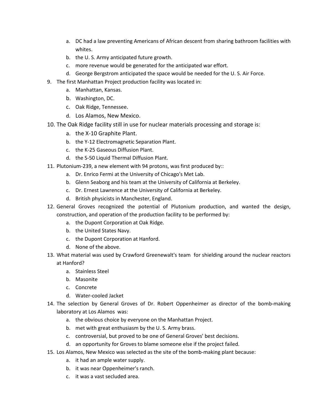- DC had <sup>a</sup> law preventing Americans of African descent from sharing bathroom facilities with a. DC had a law preventing Americans of African<br>whites.<br>b. the U. S. Army anticipated future growth. a. DC had a law preventing Americans of African descent from sharing bandwites.<br>b. the U.S. Army anticipated future growth.<br>c. more revenue would be generated for the anticipated war effort. a. DC had a law preventing Americans of African descent from sharing bathroom facilitie<br>whites.<br>b. the U. S. Army anticipated future growth.<br>c. more revenue would be generated for the anticipated war effort.<br>d. George Berg a. DC had a law preventing Americans of African descent from<br>whites.<br>b. the U.S. Army anticipated future growth.<br>c. more revenue would be generated for the anticipated war e<br>d. George Bergstrom anticipated the space would a.a. De had a law preventing<br>whites.<br>b. the U.S. Army anticipate<br>c. more revenue would be<br>d. George Bergstrom antici<br>first Manhattan Project proc<br>a. Manhattan. Kansas.
	-
	- b. the U.S. Army anticip<br>c. more revenue would<br>d. George Bergstrom an<br>first Manhattan Project p<br>a. Manhattan, Kansas.<br>b. Washington. DC. b. the U. S. Army anticipated f<br>c. more revenue would be ger<br>d. George Bergstrom anticipat<br>first Manhattan Project product<br>a. Manhattan, Kansas.<br>b. Washington, DC.<br>c. Oak Ridge. Tennessee.
	-
- c. more revenue would be generate<br>d. George Bergstrom anticipated th<br>9. The first Manhattan Project production f<br>a. Manhattan, Kansas.<br>b. Washington, DC.<br>c. Oak Ridge, Tennessee.<br>d. Los Alamos. New Mexico. 9. The first Manhattan Project production facility was located in:<br>a. Manhattan, Kansas.
	-
	-
	-
	-
- a. George Bergstrom anticipated the space would be heeded for the U.S. Air Force.<br>The first Manhattan Project production facility was located in:<br>a. Manhattan, Kansas.<br>b. Washington, DC.<br>c. Oak Ridge, Tennessee.<br>d. Los Ala Inst Manhattan Project production<br>
a. Manhattan, Kansas.<br>
b. Washington, DC.<br>
c. Oak Ridge, Tennessee.<br>
d. Los Alamos, New Mexico.<br>
Oak Ridge facility still in use for<br>
a. the X-10 Graphite Plant. b. Washington, DC.<br>
c. Oak Ridge, Tennessee.<br>
d. Los Alamos, New Mexico.<br>
Oak Ridge facility still in use for nuclear materia<br>
a. the X-10 Graphite Plant.<br>
b. the Y-12 Electromagnetic Separation Plant. c. Oak Ridge, Tennessee.<br>
d. Los Alamos, New Mexico.<br>
Oak Ridge facility still in use for nuclea<br>
a. the X-10 Graphite Plant.<br>
b. the Y-12 Electromagnetic Separation F<br>
c. the K-25 Gaseous Diffusion Plant. d. Los Alamos, New Mexico.<br>
10. The Oak Ridge facility still in use for nuclear mat<br>
a. the X-10 Graphite Plant.<br>
b. the Y-12 Electromagnetic Separation Plant.<br>
c. the K-25 Gaseous Diffusion Plant.<br>
d. the S-50 Liquid Ther The Oak Ridge facility still in use for nuclear materials processing and s<br>
a. the X-10 Graphite Plant.<br>
b. the Y-12 Electromagnetic Separation Plant.<br>
c. the K-25 Gaseous Diffusion Plant.<br>
d. the S-50 Liquid Thermal Diffu
	- a. the X-10 Graphite Plant.
	-
	-
	-
- a. the X-10 Graphite Plant.<br>
b. the Y-12 Electromagnetic Separation Plant.<br>
c. the K-25 Gaseous Diffusion Plant.<br>
d. the S-50 Liquid Thermal Diffusion Plant.<br>
onium-239, a new element with 94 protons, was first produced<br>
a Glenn Seaborg and his team at the University of California at Berkeley.<br>Glenn Seaborg and Diffusion Plant.<br>The S-50 Liquid Thermal Diffusion Plant.<br>The S-50 Liquid Thermal Diffusion Plant.<br>The S-50 Liquid Thermal Diffusion d. the K 25 date of Binasion Franchester.<br>
d. the S-50 Liquid Thermal Diffusion Plant.<br>
11. Plutonium-239, a new element with 94 protons, was f<br>
a. Dr. Enrico Fermi at the University of Chicago's<br>
b. Glenn Seaborg and his
	-
	- Br. The Priz Electromagnetic separation Plant.<br>
	d. the S-50 Liquid Thermal Diffusion Plant.<br>
	onium-239, a new element with 94 protons, was first produced by::<br>
	a. Dr. Enrico Fermi at the University of Chicago's Met Lab.<br>
	b a. Dr. Enrico Fermi at the University of Chicago's Met Lab.<br>b. Glenn Seaborg and his team at the University of California at Berkeley.
	-
	-
- General Groves recognized the potential of Plutonium produced by:<br>
a. Dr. Enrico Fermi at the University of Chicago's Met Lab.<br>
b. Glenn Seaborg and his team at the University of California at Berkeley.<br>
c. Dr. Ernest Lawr by a fiew element with 54 procons, was first produced by:<br>
irico Fermi at the University of Chicago's Met Lab.<br>
I Seaborg and his team at the University of California at Berkeley.<br>
In physicists in Manchester, England.<br>
I the Dupont Corporation at the University of Check<br>C. Dr. Ernest Lawrence at the University of Ca<br>d. British physicists in Manchester, England.<br>eral Groves recognized the potential of Pl<br>struction, and operation of the prod b. Chemised States and the United States C. Dr. Ernest Lawrence at the U.<br>1. British physicists in Manches<br>1. The United States Navy.<br>1. The United States Navy. d. British physicists in Manchester, England.<br>
eral Groves recognized the potential of P<br>
struction, and operation of the production faci<br>
a. the Dupont Corporation at Oak Ridge.<br>
b. the United States Navy.<br>
c. the Dupont 12. General Groves recognized the construction, and operation of t<br>a. the Dupont Corporation<br>b. the United States Navy.<br>c. the Dupont Corporation<br>d. None of the above. Senetal Groves Tecegnized the potential of Tratemann procluders, and wanted the design,<br>
construction, and operation of the production facility to be performed by:<br>
a. the Dupont Corporation at Oak Ridge.<br>
b. the Dupont Co construction, and operation of the production facility to be performed by:
	-
	-
	- b.
	- d. None of the above.
- a. the Dupont<br>b. the United S<br>c. the Dupont<br>d. None of the<br>hat material was u a. The Bupont Corporation<br>b. the United States I<br>c. the Dupont Corporation<br>d. None of the above<br>at material was used b<br>anford?<br>a. Stainless Steel the Dupont Corpor<br>None of the above<br>aterial was used b<br>ord?<br>Stainless Steel<br>Masonite and Bupont Corpo<br>None of the above<br>aterial was used b<br>ord?<br>Stainless Steel<br>Masonite<br>Concrete d. World of the disovelent<br>anford?<br>a. Stainless Steel<br>b. Masonite<br>c. Concrete<br>d. Water-cooled Jacket  $1, 4$ The selection by General Groves of Dr. Robert Oppenheimer as director of the bomb-making<br>The selection by General Groves of Dr. Robert Oppenheimer as director of the bomb-making at Hanford?<br>a. Stainless Steel
	-
	- b. Masonite
	-
	-
- Aniless Steel<br>
sonite<br>
ncrete<br>
tter-cooled Jacket<br>
ion by General Groves<br>
at Los Alamos was: the Masonite<br>
the Masonite<br>
c. Concrete<br>
d. Water-cooled Jacket<br>
selection by General Groves of Dr. Robert Oppenheimer as di<br>
ratory at Los Alamos was:<br>
a. the obvious choice by everyone on the Manhattan Project. E. Massime<br>
C. Concrete<br>
d. Water-cooled Jacket<br>
selection by General Groves of Dr. Robert Oppenheime<br>
ratory at Los Alamos was:<br>
a. the obvious choice by everyone on the Manhattan Proje<br>
b. met with great enthusiasm by th d. Water-cooled Jacket<br>selection by General Groves of Dr. Robert Oppenheimer as director of t<br>ratory at Los Alamos was:<br>a. the obvious choice by everyone on the Manhattan Project.<br>b. met with great enthusiasm by the U.S. A an opportunity for Groves of Dr. Robert Oppenheimer as director of the laboratory at Los Alamos was:<br>
a. the obvious choice by everyone on the Manhattan Project.<br>
b. met with great enthusiasm by the U.S. Army brass.<br>
c. co Laboratory at Los Alamos was:<br>
a. the obvious choice by everyone on the Manhattan Project.<br>
b. met with great enthusiasm by the U.S. Army brass.<br>
c. controversial, but proved to be one of General Groves' best decisions.<br>
d
	- a. the obvious choice by everyone or<br>b. met with great enthusiasm by the<br>c. controversial, but proved to be on<br>d. an opportunity for Groves to blam<br>Alamos, New Mexico was selected as t<br>a. it had an ample water supply.
	-
	-
	-
- b. met with great enthusiasm by the U.S. Army brass.<br>
c. controversial, but proved to be one of General Groves' best decisions.<br>
d. an opportunity for Groves to blame someone else if the project failed.<br>
15. Los Alamos, Ne
	-
	- a. it had an ample water supply.<br>b. it was near Oppenheimer's raic.<br>c. it was a vast secluded area.
	-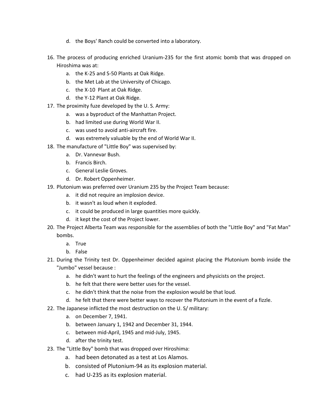- the Boys' Ranch could be converted into a laboratory.
- d. the Boys' Ranch could be converted into a laboratory.<br>The process of producing enriched Uranium-235 for the first atomic bomb that was dropped on e Boys' Ranc<br>ss of produc<br>was at: d. the Boys' Ranch could be converted into a<br>process of producing enriched Uranium-235<br>shima was at:<br>a. the K-25 and S-50 Plants at Oak Ridge. d. the Boys' Ranch could be converted into a lab<br>process of producing enriched Uranium-235 for<br>shima was at:<br>a. the K-25 and S-50 Plants at Oak Ridge.<br>b. the Met Lab at the University of Chicago. the Boys Ranen coald be converted.<br>
process of producing enriched Uran<br>
shima was at:<br>
a. the K-25 and S-50 Plants at Oak R<br>
b. the Met Lab at the University of C.<br>
c. the X-10 Plant at Oak Ridge. 16. The process of producing enriched Ura<br>
Hiroshima was at:<br>
a. the K-25 and S-50 Plants at Oak I<br>
b. the Met Lab at the University of<br>
c. the X-10 Plant at Oak Ridge.<br>
d. the Y-12 Plant at Oak Ridge. The process of producing emicined ordinam 255 to<br>Hiroshima was at:<br>a. the K-25 and S-50 Plants at Oak Ridge.<br>b. the Met Lab at the University of Chicago.<br>c. the X-10 Plant at Oak Ridge.<br>d. the Y-12 Plant at Oak Ridge.<br>The Hiroshima was at:<br>a. the K-25 and S-50 Plants at Oak Ridge.
	-
	- a. the K-25 and S-50 Plants at Oak Ridge.<br>b. the Met Lab at the University of Chicago.<br>c. the X-10 Plant at Oak Ridge.<br>d. the Y-12 Plant at Oak Ridge.<br>proximity fuze developed by the U.S. Army:<br>a. was a byproduct of the Ma d. the N 25 and 5 36 Frants at Sak Mage.<br>
	b. the Met Lab at the University of Chicago.<br>
	c. the X-10 Plant at Oak Ridge.<br>
	d. the Y-12 Plant at Oak Ridge.<br>
	proximity fuze developed by the U.S. Army:<br>
	a. was a byproduct of th
	-
	-
- b. the Met Lab at the University of Chicago.<br>
c. the X-10 Plant at Oak Ridge.<br>
d. the Y-12 Plant at Oak Ridge.<br>
17. The proximity fuze developed by the U.S. Army:<br>
a. was a byproduct of the Manhattan Projec<br>
b. had limited extremely valuable by the end of World War II.<br>
17. The proximity fuze developed by the U.S. Army:<br>
a. was a byproduct of the Manhattan Project.<br>
b. had limited use during World War II.<br>
c. was used to avoid anti-aircraft .<br>م.
	-
	- a. was a byproduct of the<br>b. had limited use during \<br>c. was used to avoid anti-a<br>d. was extremely valuable<br>manufacture of "Little Boy"<br>a. Dr. Vannevar Bush. d. Was a syproduct of<br>b. had limited use du<br>c. was used to avoid<br>d. was extremely val<br>manufacture of "Little<br>a. Dr. Vannevar Bush<br>b. Francis Birch.
	- E. That immed ase daring trol.<br>
	C. Twas used to avoid anti-airc<br>
	d. Twas extremely valuable by<br>
	manufacture of "Little Boy" wa<br>
	a. Dr. Vannevar Bush.<br>
	b. Francis Birch.<br>
	c. General Leslie Groves.
	- d. was extremely valuable by the end of World War II.
- d. was ased to avoid and ancient<br>d. was extremely valuable by the<br>18. The manufacture of "Little Boy" was st<br>a. Dr. Vannevar Bush.<br>b. Francis Birch.<br>c. General Leslie Groves.<br>d. Dr. Robert Oppenheimer. a.
	-
	-
	-
	-
- The manufacture of "Little Boy" was supervised by:<br>
a. Dr. Vannevar Bush.<br>
b. Francis Birch.<br>
c. General Leslie Groves.<br>
d. Dr. Robert Oppenheimer.<br>
Plutonium was preferred over Uranium 235 by the Project Team because: manutectic of Entit Boy Was supervised by<br>a. Dr. Vannevar Bush.<br>b. Francis Birch.<br>c. General Leslie Groves.<br>d. Dr. Robert Oppenheimer.<br>onium was preferred over Uranium 235 by the<br>a. it did not require an implosion device. d. Entrancis Birch.<br>
1. General Leslie Groves.<br>
1. Dr. Robert Oppenheimer.<br>
1. Dr. Robert Oppenheimer.<br>
1. The species of the Uranium 235 by<br>
1. It did not require an implosion device.<br>
1. It wasn't as loud when it explode E. Trancis Birch.<br>
C. General Leslie Groves.<br>
d. Dr. Robert Oppenheimer.<br>
onium was preferred over Uranium 235 by the Project Team b<br>
a. it did not require an implosion device.<br>
b. it wasn't as loud when it exploded.<br>
c. i d. Dr. Robert Oppenheimer.<br>19. Plutonium was preferred over Uranium 235 by th<br>a. it did not require an implosion device.<br>b. it wasn't as loud when it exploded.<br>c. it could be produced in large quantities r<br>d. it kept the c
	-
	-
	- b. it wasn't as loud when it exploded.<br>c. it could be produced in large quantities more quickly.
	-
- The Project Alberta Team was referred over Uranium 235 by the Project Team because:<br>
a. it did not require an implosion device.<br>
b. it wasn't as loud when it exploded.<br>
c. it could be produced in large quantities more quic d. It wasn't as looking<br>b. It wasn't as look.<br>d. It kept the cose<br>Project Alberta Te<br>hbs.<br>a. True it could be pro<br>it could be pro<br>it kept the cos<br>ject Alberta Te<br>True<br>False d. It kept the cost of the Project lower.<br>
The Project Alberta Team was responsible for the assemblies of both the "Little Boy" and "Fat Man"<br>
bombs.<br>
a. True<br>
b. False<br>
During the Trinity test Dr. Oppenheimer decided agai The Project Alberta Team was rest<br>
The Project Alberta Team was res<br>
bombs.<br>
a. True<br>
b. False<br>
During the Trinity test Dr. Oppe<br>
"Jumbo" vessel because : hombs.
	-
	-
- he didn't want to hurt the feelings of the engineers and physicists on the project.<br>
a. True<br>
the didn't want to hurt the feelings of the engineers and physicists on the project.<br>
a. he didn't want to hurt the feelings of he false<br>
he false<br>
ing the Trinity test Dr. Oppenheimer decided against plan<br>
hoo'' vessel because :<br>
a. he didn't want to hurt the feelings of the engineers ar<br>
b. he felt that there were better uses for the vessel. b. False<br>ing the Trinity test Dr. Oppenheimer decided against placing the Plutoniun<br>nbo" vessel because :<br>a. he didn't want to hurt the feelings of the engineers and physicists on the<br>b. he felt that there were better uses be fractive that there were better ways to recover the Plutonium in the event of a fizzle.<br>
1. The felt that there were better uses for the engineers and physicists on the project.<br>
1. The felt that there were better uses The Japanese inflicted the most destruction on the U. S/ military:<br>The Japanese inflicted the most destruction on the most destruction.<br>The Japanese inflicted the most destruction on the U. S/ military:
	- a. he didn't want to hurt the<br>b. he felt that there were bet<br>c. he didn't think that the noid.<br>d. he felt that there were bet<br>Japanese inflicted the most de<br>a. on December 7, 1941.
	-
	- b. he felt that there were better uses for the vessel.<br>c. he didn't think that the noise from the explosion would<br>d. he felt that there were better ways to recover the Plut<br>Japanese inflicted the most destruction on the U. between mid-April, 1945 and mid-July, 1945.<br>
	the felt that there were better ways to recover the<br>
	Japanese inflicted the most destruction on the U.S/ r<br>
	a. on December 7, 1941.<br>
	b. between January 1, 1942 and December 31,
	-
- d. he felt that there were both the trinity that there were both the felt that there were both the trinity of the trinity of the trinity test.<br>B. b. between January 1, 1942<br>c. between mid-April, 1945<br>d. after the trinity t The Japanese inflicted the most destruction on the U. S/ milition.<br>
a. on December 7, 1941.<br>
b. between January 1, 1942 and December 31, 1944.<br>
c. between mid-April, 1945 and mid-July, 1945.<br>
d. after the trinity test.<br>
Th a.
	-
	- Japanese inflicted the most destruction on the U. S/ milit<br>a. on December 7, 1941.<br>b. between January 1, 1942 and December 31, 1944.<br>c. between mid-April, 1945 and mid-July, 1945.<br>d. after the trinity test.<br>"Little Boy" bo
	-
	-
- 
- a. on December 7, 1941.<br>
b. between January 1, 1942 and December 31, 1944.<br>
c. between mid-April, 1945 and mid-July, 1945.<br>
d. after the trinity test.<br>
"Little Boy" bomb that was dropped over Hiroshima:<br>
a. had been detona
- b. between January 1, 1942 and December 31, 1944.<br>
c. between mid-April, 1945 and mid-July, 1945.<br>
d. after the trinity test.<br>
23. The "Little Boy" bomb that was dropped over Hiroshima:<br>
a. had been detonated as a test at
	-